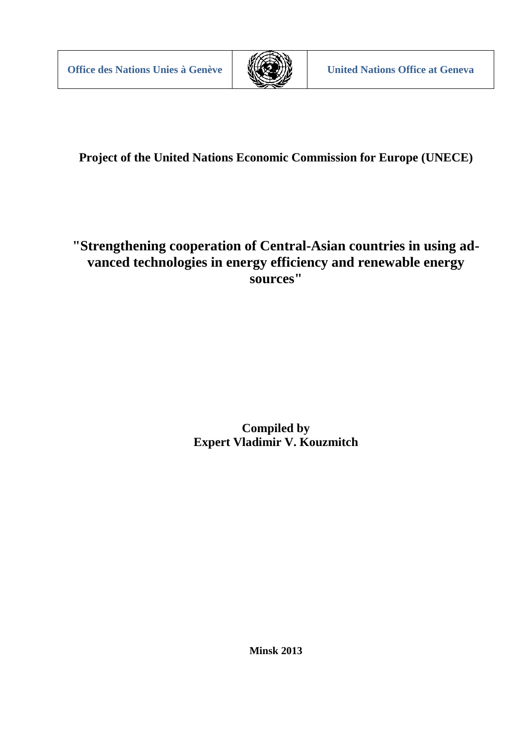

**Project of the United Nations Economic Commission for Europe (UNECE)**

# **"Strengthening cooperation of Central-Asian countries in using advanced technologies in energy efficiency and renewable energy sources"**

**Compiled by Expert Vladimir V. Kouzmitch**

**Minsk 2013**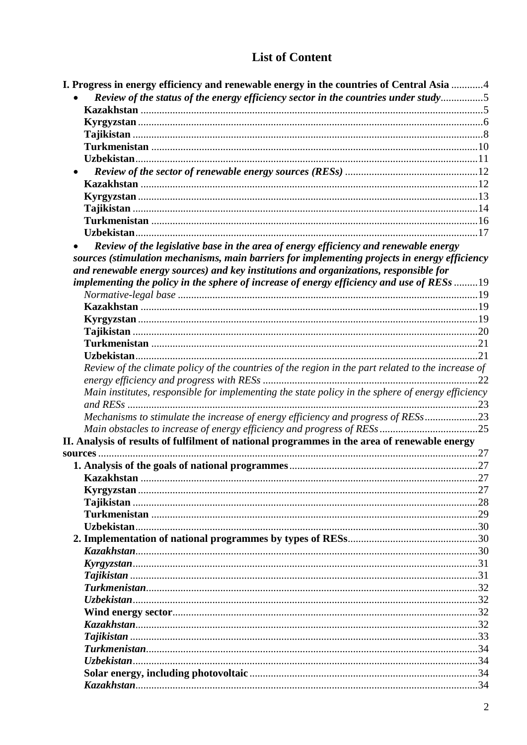# **List of Content**

| I. Progress in energy efficiency and renewable energy in the countries of Central Asia 4                                                                                                                                                                                                                                                                                    |     |
|-----------------------------------------------------------------------------------------------------------------------------------------------------------------------------------------------------------------------------------------------------------------------------------------------------------------------------------------------------------------------------|-----|
| Review of the status of the energy efficiency sector in the countries under study5                                                                                                                                                                                                                                                                                          |     |
|                                                                                                                                                                                                                                                                                                                                                                             |     |
|                                                                                                                                                                                                                                                                                                                                                                             |     |
|                                                                                                                                                                                                                                                                                                                                                                             |     |
|                                                                                                                                                                                                                                                                                                                                                                             |     |
|                                                                                                                                                                                                                                                                                                                                                                             |     |
|                                                                                                                                                                                                                                                                                                                                                                             |     |
|                                                                                                                                                                                                                                                                                                                                                                             |     |
|                                                                                                                                                                                                                                                                                                                                                                             |     |
|                                                                                                                                                                                                                                                                                                                                                                             |     |
|                                                                                                                                                                                                                                                                                                                                                                             |     |
|                                                                                                                                                                                                                                                                                                                                                                             |     |
| Review of the legislative base in the area of energy efficiency and renewable energy<br>sources (stimulation mechanisms, main barriers for implementing projects in energy efficiency<br>and renewable energy sources) and key institutions and organizations, responsible for<br>implementing the policy in the sphere of increase of energy efficiency and use of RESs 19 |     |
|                                                                                                                                                                                                                                                                                                                                                                             |     |
|                                                                                                                                                                                                                                                                                                                                                                             |     |
|                                                                                                                                                                                                                                                                                                                                                                             |     |
|                                                                                                                                                                                                                                                                                                                                                                             |     |
|                                                                                                                                                                                                                                                                                                                                                                             |     |
|                                                                                                                                                                                                                                                                                                                                                                             |     |
| Review of the climate policy of the countries of the region in the part related to the increase of                                                                                                                                                                                                                                                                          | .22 |
| Main institutes, responsible for implementing the state policy in the sphere of energy efficiency                                                                                                                                                                                                                                                                           |     |
| Mechanisms to stimulate the increase of energy efficiency and progress of RESs23                                                                                                                                                                                                                                                                                            |     |
|                                                                                                                                                                                                                                                                                                                                                                             |     |
| II. Analysis of results of fulfilment of national programmes in the area of renewable energy<br>sources.                                                                                                                                                                                                                                                                    |     |
|                                                                                                                                                                                                                                                                                                                                                                             |     |
|                                                                                                                                                                                                                                                                                                                                                                             |     |
|                                                                                                                                                                                                                                                                                                                                                                             |     |
|                                                                                                                                                                                                                                                                                                                                                                             |     |
|                                                                                                                                                                                                                                                                                                                                                                             |     |
|                                                                                                                                                                                                                                                                                                                                                                             |     |
|                                                                                                                                                                                                                                                                                                                                                                             |     |
|                                                                                                                                                                                                                                                                                                                                                                             |     |
|                                                                                                                                                                                                                                                                                                                                                                             |     |
|                                                                                                                                                                                                                                                                                                                                                                             |     |
|                                                                                                                                                                                                                                                                                                                                                                             |     |
|                                                                                                                                                                                                                                                                                                                                                                             |     |
|                                                                                                                                                                                                                                                                                                                                                                             |     |
|                                                                                                                                                                                                                                                                                                                                                                             |     |
|                                                                                                                                                                                                                                                                                                                                                                             |     |
|                                                                                                                                                                                                                                                                                                                                                                             |     |
|                                                                                                                                                                                                                                                                                                                                                                             |     |
|                                                                                                                                                                                                                                                                                                                                                                             |     |
|                                                                                                                                                                                                                                                                                                                                                                             |     |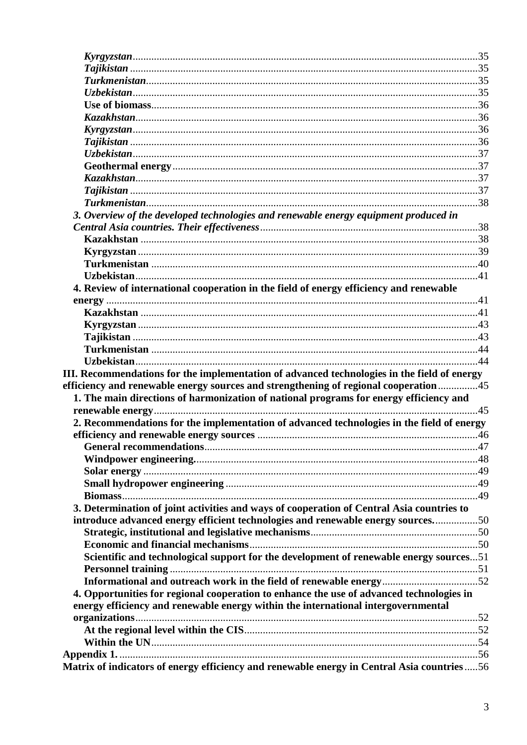| 3. Overview of the developed technologies and renewable energy equipment produced in        |  |
|---------------------------------------------------------------------------------------------|--|
|                                                                                             |  |
|                                                                                             |  |
|                                                                                             |  |
|                                                                                             |  |
|                                                                                             |  |
| 4. Review of international cooperation in the field of energy efficiency and renewable      |  |
|                                                                                             |  |
|                                                                                             |  |
|                                                                                             |  |
|                                                                                             |  |
|                                                                                             |  |
|                                                                                             |  |
| III. Recommendations for the implementation of advanced technologies in the field of energy |  |
| efficiency and renewable energy sources and strengthening of regional cooperation 45        |  |
| 1. The main directions of harmonization of national programs for energy efficiency and      |  |
|                                                                                             |  |
| 2. Recommendations for the implementation of advanced technologies in the field of energy   |  |
|                                                                                             |  |
|                                                                                             |  |
|                                                                                             |  |
|                                                                                             |  |
|                                                                                             |  |
|                                                                                             |  |
| 3. Determination of joint activities and ways of cooperation of Central Asia countries to   |  |
| introduce advanced energy efficient technologies and renewable energy sources50             |  |
|                                                                                             |  |
|                                                                                             |  |
| Scientific and technological support for the development of renewable energy sources51      |  |
|                                                                                             |  |
| Informational and outreach work in the field of renewable energy52                          |  |
| 4. Opportunities for regional cooperation to enhance the use of advanced technologies in    |  |
| energy efficiency and renewable energy within the international intergovernmental           |  |
|                                                                                             |  |
|                                                                                             |  |
|                                                                                             |  |
|                                                                                             |  |
| Matrix of indicators of energy efficiency and renewable energy in Central Asia countries56  |  |
|                                                                                             |  |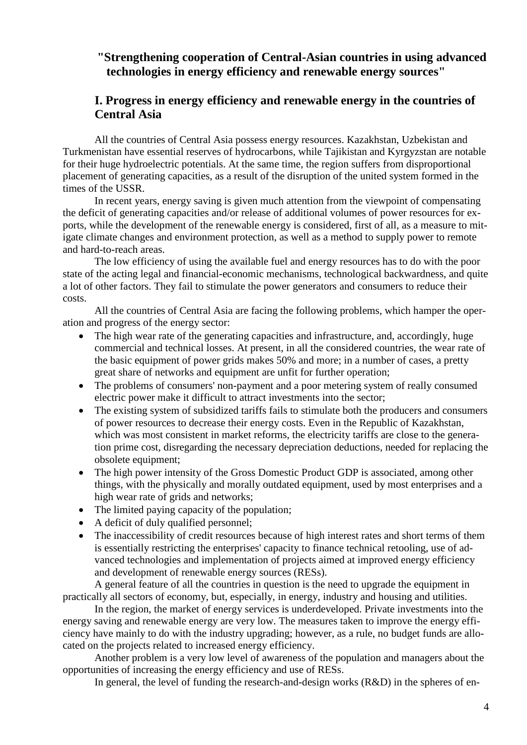# **"Strengthening cooperation of Central-Asian countries in using advanced technologies in energy efficiency and renewable energy sources"**

# <span id="page-3-0"></span>**I. Progress in energy efficiency and renewable energy in the countries of Central Asia**

All the countries of Central Asia possess energy resources. Kazakhstan, Uzbekistan and Turkmenistan have essential reserves of hydrocarbons, while Tajikistan and Kyrgyzstan are notable for their huge hydroelectric potentials. At the same time, the region suffers from disproportional placement of generating capacities, as a result of the disruption of the united system formed in the times of the USSR.

In recent years, energy saving is given much attention from the viewpoint of compensating the deficit of generating capacities and/or release of additional volumes of power resources for exports, while the development of the renewable energy is considered, first of all, as a measure to mitigate climate changes and environment protection, as well as a method to supply power to remote and hard-to-reach areas.

The low efficiency of using the available fuel and energy resources has to do with the poor state of the acting legal and financial-economic mechanisms, technological backwardness, and quite a lot of other factors. They fail to stimulate the power generators and consumers to reduce their costs.

All the countries of Central Asia are facing the following problems, which hamper the operation and progress of the energy sector:

- The high wear rate of the generating capacities and infrastructure, and, accordingly, huge commercial and technical losses. At present, in all the considered countries, the wear rate of the basic equipment of power grids makes 50% and more; in a number of cases, a pretty great share of networks and equipment are unfit for further operation;
- The problems of consumers' non-payment and a poor metering system of really consumed electric power make it difficult to attract investments into the sector;
- The existing system of subsidized tariffs fails to stimulate both the producers and consumers of power resources to decrease their energy costs. Even in the Republic of Kazakhstan, which was most consistent in market reforms, the electricity tariffs are close to the generation prime cost, disregarding the necessary depreciation deductions, needed for replacing the obsolete equipment;
- The high power intensity of the Gross Domestic Product GDP is associated, among other things, with the physically and morally outdated equipment, used by most enterprises and a high wear rate of grids and networks;
- The limited paying capacity of the population;
- A deficit of duly qualified personnel;
- The inaccessibility of credit resources because of high interest rates and short terms of them is essentially restricting the enterprises' capacity to finance technical retooling, use of advanced technologies and implementation of projects aimed at improved energy efficiency and development of renewable energy sources (RESs).

A general feature of all the countries in question is the need to upgrade the equipment in practically all sectors of economy, but, especially, in energy, industry and housing and utilities.

In the region, the market of energy services is underdeveloped. Private investments into the energy saving and renewable energy are very low. The measures taken to improve the energy efficiency have mainly to do with the industry upgrading; however, as a rule, no budget funds are allocated on the projects related to increased energy efficiency.

Another problem is a very low level of awareness of the population and managers about the opportunities of increasing the energy efficiency and use of RESs.

In general, the level of funding the research-and-design works (R&D) in the spheres of en-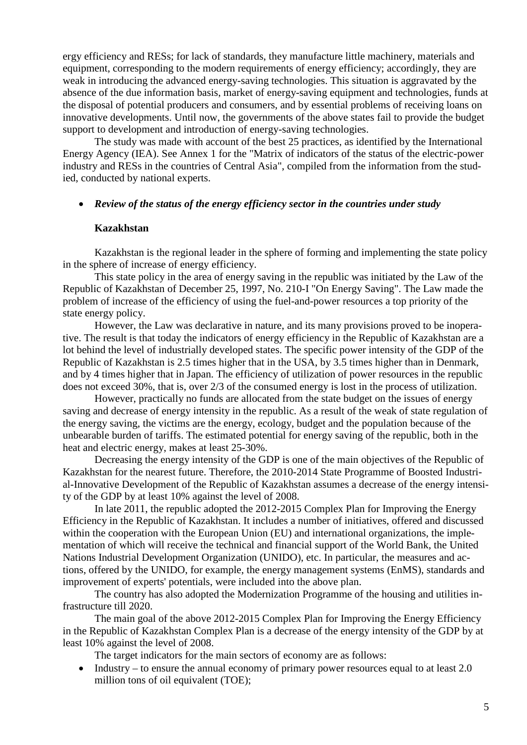ergy efficiency and RESs; for lack of standards, they manufacture little machinery, materials and equipment, corresponding to the modern requirements of energy efficiency; accordingly, they are weak in introducing the advanced energy-saving technologies. This situation is aggravated by the absence of the due information basis, market of energy-saving equipment and technologies, funds at the disposal of potential producers and consumers, and by essential problems of receiving loans on innovative developments. Until now, the governments of the above states fail to provide the budget support to development and introduction of energy-saving technologies.

The study was made with account of the best 25 practices, as identified by the International Energy Agency (IEA). See Annex 1 for the "Matrix of indicators of the status of the electric-power industry and RESs in the countries of Central Asia", compiled from the information from the studied, conducted by national experts.

# <span id="page-4-0"></span>• *Review of the status of the energy efficiency sector in the countries under study*

### **Kazakhstan**

<span id="page-4-1"></span>Kazakhstan is the regional leader in the sphere of forming and implementing the state policy in the sphere of increase of energy efficiency.

This state policy in the area of energy saving in the republic was initiated by the Law of the Republic of Kazakhstan of December 25, 1997, No. 210-I "On Energy Saving". The Law made the problem of increase of the efficiency of using the fuel-and-power resources a top priority of the state energy policy.

However, the Law was declarative in nature, and its many provisions proved to be inoperative. The result is that today the indicators of energy efficiency in the Republic of Kazakhstan are a lot behind the level of industrially developed states. The specific power intensity of the GDP of the Republic of Kazakhstan is 2.5 times higher that in the USA, by 3.5 times higher than in Denmark, and by 4 times higher that in Japan. The efficiency of utilization of power resources in the republic does not exceed 30%, that is, over 2/3 of the consumed energy is lost in the process of utilization.

However, practically no funds are allocated from the state budget on the issues of energy saving and decrease of energy intensity in the republic. As a result of the weak of state regulation of the energy saving, the victims are the energy, ecology, budget and the population because of the unbearable burden of tariffs. The estimated potential for energy saving of the republic, both in the heat and electric energy, makes at least 25-30%.

Decreasing the energy intensity of the GDP is one of the main objectives of the Republic of Kazakhstan for the nearest future. Therefore, the 2010-2014 State Programme of Boosted Industrial-Innovative Development of the Republic of Kazakhstan assumes a decrease of the energy intensity of the GDP by at least 10% against the level of 2008.

In late 2011, the republic adopted the 2012-2015 Complex Plan for Improving the Energy Efficiency in the Republic of Kazakhstan. It includes a number of initiatives, offered and discussed within the cooperation with the European Union (EU) and international organizations, the implementation of which will receive the technical and financial support of the World Bank, the United Nations Industrial Development Organization (UNIDO), etc. In particular, the measures and actions, offered by the UNIDO, for example, the energy management systems (EnMS), standards and improvement of experts' potentials, were included into the above plan.

The country has also adopted the Modernization Programme of the housing and utilities infrastructure till 2020.

The main goal of the above 2012-2015 Complex Plan for Improving the Energy Efficiency in the Republic of Kazakhstan Complex Plan is a decrease of the energy intensity of the GDP by at least 10% against the level of 2008.

The target indicators for the main sectors of economy are as follows:

• Industry – to ensure the annual economy of primary power resources equal to at least 2.0 million tons of oil equivalent (TOE);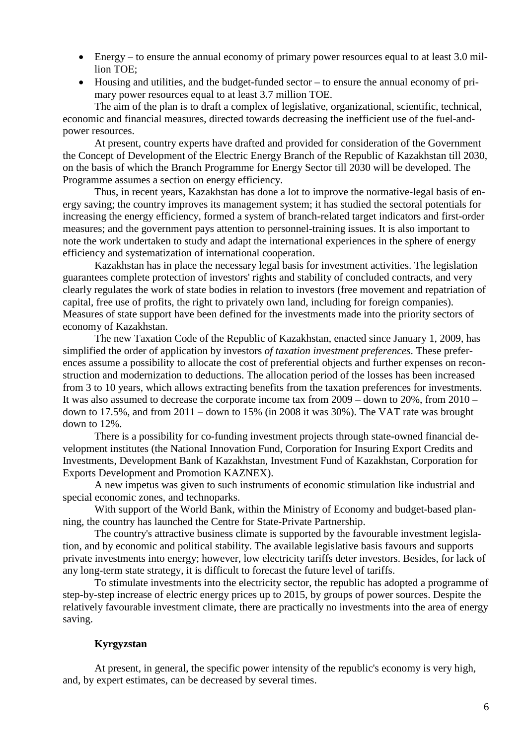- Energy to ensure the annual economy of primary power resources equal to at least 3.0 million TOE;
- Housing and utilities, and the budget-funded sector to ensure the annual economy of primary power resources equal to at least 3.7 million TOE.

The aim of the plan is to draft a complex of legislative, organizational, scientific, technical, economic and financial measures, directed towards decreasing the inefficient use of the fuel-andpower resources.

At present, country experts have drafted and provided for consideration of the Government the Concept of Development of the Electric Energy Branch of the Republic of Kazakhstan till 2030, on the basis of which the Branch Programme for Energy Sector till 2030 will be developed. The Programme assumes a section on energy efficiency.

Thus, in recent years, Kazakhstan has done a lot to improve the normative-legal basis of energy saving; the country improves its management system; it has studied the sectoral potentials for increasing the energy efficiency, formed a system of branch-related target indicators and first-order measures; and the government pays attention to personnel-training issues. It is also important to note the work undertaken to study and adapt the international experiences in the sphere of energy efficiency and systematization of international cooperation.

Kazakhstan has in place the necessary legal basis for investment activities. The legislation guarantees complete protection of investors' rights and stability of concluded contracts, and very clearly regulates the work of state bodies in relation to investors (free movement and repatriation of capital, free use of profits, the right to privately own land, including for foreign companies). Measures of state support have been defined for the investments made into the priority sectors of economy of Kazakhstan.

The new Taxation Code of the Republic of Kazakhstan, enacted since January 1, 2009, has simplified the order of application by investors *of taxation investment preferences*. These preferences assume a possibility to allocate the cost of preferential objects and further expenses on reconstruction and modernization to deductions. The allocation period of the losses has been increased from 3 to 10 years, which allows extracting benefits from the taxation preferences for investments. It was also assumed to decrease the corporate income tax from 2009 – down to 20%, from 2010 – down to 17.5%, and from 2011 – down to 15% (in 2008 it was 30%). The VAT rate was brought down to 12%.

There is a possibility for co-funding investment projects through state-owned financial development institutes (the National Innovation Fund, Corporation for Insuring Export Credits and Investments, Development Bank of Kazakhstan, Investment Fund of Kazakhstan, Corporation for Exports Development and Promotion KAZNEX).

A new impetus was given to such instruments of economic stimulation like industrial and special economic zones, and technoparks.

With support of the World Bank, within the Ministry of Economy and budget-based planning, the country has launched the Centre for State-Private Partnership.

The country's attractive business climate is supported by the favourable investment legislation, and by economic and political stability. The available legislative basis favours and supports private investments into energy; however, low electricity tariffs deter investors. Besides, for lack of any long-term state strategy, it is difficult to forecast the future level of tariffs.

To stimulate investments into the electricity sector, the republic has adopted a programme of step-by-step increase of electric energy prices up to 2015, by groups of power sources. Despite the relatively favourable investment climate, there are practically no investments into the area of energy saving.

# **Kyrgyzstan**

<span id="page-5-0"></span>At present, in general, the specific power intensity of the republic's economy is very high, and, by expert estimates, can be decreased by several times.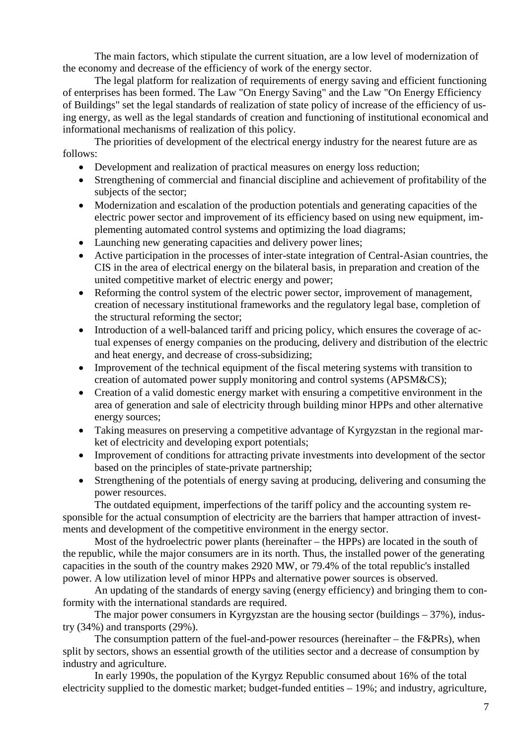The main factors, which stipulate the current situation, are a low level of modernization of the economy and decrease of the efficiency of work of the energy sector.

The legal platform for realization of requirements of energy saving and efficient functioning of enterprises has been formed. The Law "On Energy Saving" and the Law "On Energy Efficiency of Buildings" set the legal standards of realization of state policy of increase of the efficiency of using energy, as well as the legal standards of creation and functioning of institutional economical and informational mechanisms of realization of this policy.

The priorities of development of the electrical energy industry for the nearest future are as follows:

- Development and realization of practical measures on energy loss reduction;
- Strengthening of commercial and financial discipline and achievement of profitability of the subjects of the sector;
- Modernization and escalation of the production potentials and generating capacities of the electric power sector and improvement of its efficiency based on using new equipment, implementing automated control systems and optimizing the load diagrams;
- Launching new generating capacities and delivery power lines;
- Active participation in the processes of inter-state integration of Central-Asian countries, the CIS in the area of electrical energy on the bilateral basis, in preparation and creation of the united competitive market of electric energy and power;
- Reforming the control system of the electric power sector, improvement of management, creation of necessary institutional frameworks and the regulatory legal base, completion of the structural reforming the sector;
- Introduction of a well-balanced tariff and pricing policy, which ensures the coverage of actual expenses of energy companies on the producing, delivery and distribution of the electric and heat energy, and decrease of cross-subsidizing;
- Improvement of the technical equipment of the fiscal metering systems with transition to creation of automated power supply monitoring and control systems (APSM&CS);
- Creation of a valid domestic energy market with ensuring a competitive environment in the area of generation and sale of electricity through building minor HPPs and other alternative energy sources;
- Taking measures on preserving a competitive advantage of Kyrgyzstan in the regional market of electricity and developing export potentials;
- Improvement of conditions for attracting private investments into development of the sector based on the principles of state-private partnership;
- Strengthening of the potentials of energy saving at producing, delivering and consuming the power resources.

The outdated equipment, imperfections of the tariff policy and the accounting system responsible for the actual consumption of electricity are the barriers that hamper attraction of investments and development of the competitive environment in the energy sector.

Most of the hydroelectric power plants (hereinafter – the HPPs) are located in the south of the republic, while the major consumers are in its north. Thus, the installed power of the generating capacities in the south of the country makes 2920 МW, or 79.4% of the total republic's installed power. A low utilization level of minor HPPs and alternative power sources is observed.

An updating of the standards of energy saving (energy efficiency) and bringing them to conformity with the international standards are required.

The major power consumers in Kyrgyzstan are the housing sector (buildings  $-37\%$ ), industry (34%) and transports (29%).

The consumption pattern of the fuel-and-power resources (hereinafter – the F&PRs), when split by sectors, shows an essential growth of the utilities sector and a decrease of consumption by industry and agriculture.

In early 1990s, the population of the Kyrgyz Republic consumed about 16% of the total electricity supplied to the domestic market; budget-funded entities – 19%; and industry, agriculture,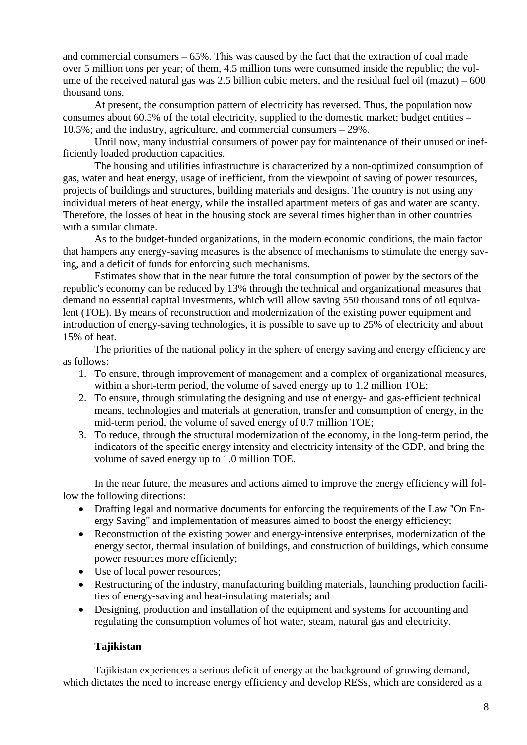and commercial consumers – 65%. This was caused by the fact that the extraction of coal made over 5 million tons per year; of them, 4.5 million tons were consumed inside the republic; the volume of the received natural gas was 2.5 billion cubic meters, and the residual fuel oil  $(maxut) - 600$ thousand tons.

At present, the consumption pattern of electricity has reversed. Thus, the population now consumes about 60.5% of the total electricity, supplied to the domestic market; budget entities – 10.5%; and the industry, agriculture, and commercial consumers – 29%.

Until now, many industrial consumers of power pay for maintenance of their unused or inefficiently loaded production capacities.

The housing and utilities infrastructure is characterized by a non-optimized consumption of gas, water and heat energy, usage of inefficient, from the viewpoint of saving of power resources, projects of buildings and structures, building materials and designs. The country is not using any individual meters of heat energy, while the installed apartment meters of gas and water are scanty. Therefore, the losses of heat in the housing stock are several times higher than in other countries with a similar climate.

As to the budget-funded organizations, in the modern economic conditions, the main factor that hampers any energy-saving measures is the absence of mechanisms to stimulate the energy saving, and a deficit of funds for enforcing such mechanisms.

Estimates show that in the near future the total consumption of power by the sectors of the republic's economy can be reduced by 13% through the technical and organizational measures that demand no essential capital investments, which will allow saving 550 thousand tons of oil equivalent (TOE). By means of reconstruction and modernization of the existing power equipment and introduction of energy-saving technologies, it is possible to save up to 25% of electricity and about 15% of heat.

The priorities of the national policy in the sphere of energy saving and energy efficiency are as follows:

- 1. To ensure, through improvement of management and a complex of organizational measures, within a short-term period, the volume of saved energy up to 1.2 million TOE;
- 2. To ensure, through stimulating the designing and use of energy- and gas-efficient technical means, technologies and materials at generation, transfer and consumption of energy, in the mid-term period, the volume of saved energy of 0.7 million TOE;
- 3. To reduce, through the structural modernization of the economy, in the long-term period, the indicators of the specific energy intensity and electricity intensity of the GDP, and bring the volume of saved energy up to 1.0 million TOE.

In the near future, the measures and actions aimed to improve the energy efficiency will follow the following directions:

- Drafting legal and normative documents for enforcing the requirements of the Law "On Energy Saving" and implementation of measures aimed to boost the energy efficiency;
- Reconstruction of the existing power and energy-intensive enterprises, modernization of the energy sector, thermal insulation of buildings, and construction of buildings, which consume power resources more efficiently;
- Use of local power resources;
- Restructuring of the industry, manufacturing building materials, launching production facilities of energy-saving and heat-insulating materials; and
- Designing, production and installation of the equipment and systems for accounting and regulating the consumption volumes of hot water, steam, natural gas and electricity.

# **Tajikistan**

<span id="page-7-0"></span>Tajikistan experiences a serious deficit of energy at the background of growing demand, which dictates the need to increase energy efficiency and develop RESs, which are considered as a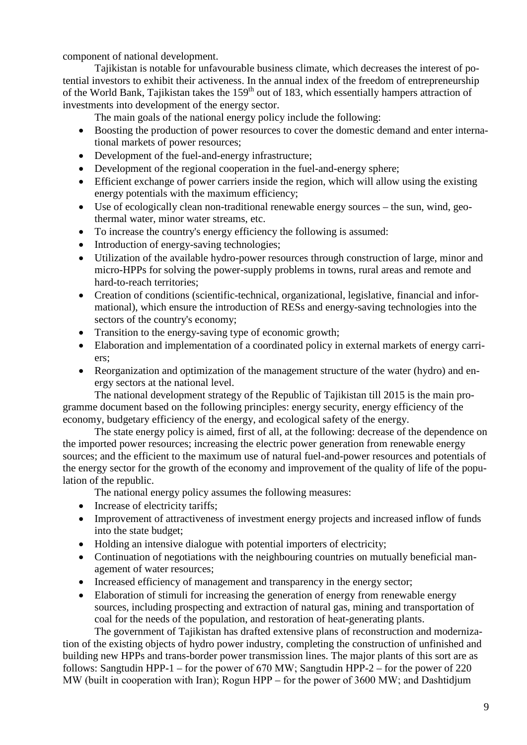component of national development.

Tajikistan is notable for unfavourable business climate, which decreases the interest of potential investors to exhibit their activeness. In the annual index of the freedom of entrepreneurship of the World Bank, Tajikistan takes the 159<sup>th</sup> out of 183, which essentially hampers attraction of investments into development of the energy sector.

The main goals of the national energy policy include the following:

- Boosting the production of power resources to cover the domestic demand and enter international markets of power resources;
- Development of the fuel-and-energy infrastructure;
- Development of the regional cooperation in the fuel-and-energy sphere;
- Efficient exchange of power carriers inside the region, which will allow using the existing energy potentials with the maximum efficiency;
- Use of ecologically clean non-traditional renewable energy sources the sun, wind, geothermal water, minor water streams, etc.
- To increase the country's energy efficiency the following is assumed:
- Introduction of energy-saving technologies;
- Utilization of the available hydro-power resources through construction of large, minor and micro-HPPs for solving the power-supply problems in towns, rural areas and remote and hard-to-reach territories;
- Creation of conditions (scientific-technical, organizational, legislative, financial and informational), which ensure the introduction of RESs and energy-saving technologies into the sectors of the country's economy;
- Transition to the energy-saving type of economic growth;
- Elaboration and implementation of a coordinated policy in external markets of energy carriers;
- Reorganization and optimization of the management structure of the water (hydro) and energy sectors at the national level.

The national development strategy of the Republic of Tajikistan till 2015 is the main programme document based on the following principles: energy security, energy efficiency of the economy, budgetary efficiency of the energy, and ecological safety of the energy.

The state energy policy is aimed, first of all, at the following: decrease of the dependence on the imported power resources; increasing the electric power generation from renewable energy sources; and the efficient to the maximum use of natural fuel-and-power resources and potentials of the energy sector for the growth of the economy and improvement of the quality of life of the population of the republic.

The national energy policy assumes the following measures:

- Increase of electricity tariffs;
- Improvement of attractiveness of investment energy projects and increased inflow of funds into the state budget;
- Holding an intensive dialogue with potential importers of electricity;
- Continuation of negotiations with the neighbouring countries on mutually beneficial management of water resources;
- Increased efficiency of management and transparency in the energy sector;
- Elaboration of stimuli for increasing the generation of energy from renewable energy sources, including prospecting and extraction of natural gas, mining and transportation of coal for the needs of the population, and restoration of heat-generating plants.

The government of Tajikistan has drafted extensive plans of reconstruction and modernization of the existing objects of hydro power industry, completing the construction of unfinished and building new HPPs and trans-border power transmission lines. The major plants of this sort are as follows: Sangtudin HPP-1 – for the power of 670 МW; Sangtudin HPP-2 – for the power of 220 МW (built in cooperation with Iran); Rogun HPP – for the power of 3600 МW; and Dashtidjum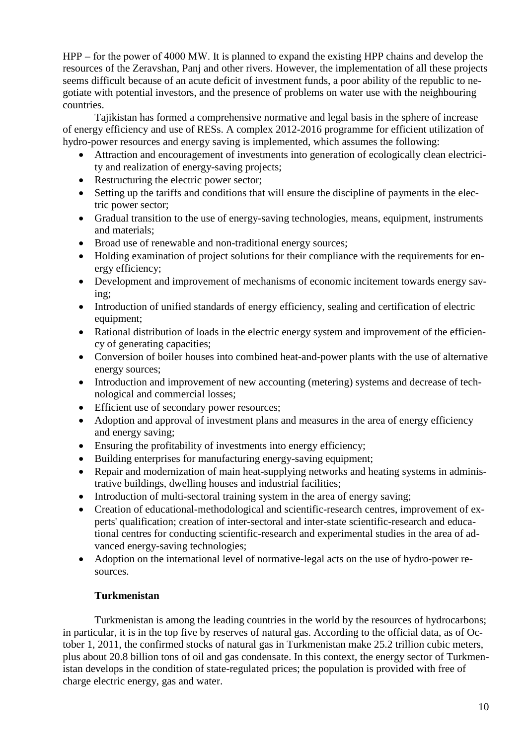HPP – for the power of 4000 МW. It is planned to expand the existing HPP chains and develop the resources of the Zeravshan, Panj and other rivers. However, the implementation of all these projects seems difficult because of an acute deficit of investment funds, a poor ability of the republic to negotiate with potential investors, and the presence of problems on water use with the neighbouring countries.

Tajikistan has formed a comprehensive normative and legal basis in the sphere of increase of energy efficiency and use of RESs. A complex 2012-2016 programme for efficient utilization of hydro-power resources and energy saving is implemented, which assumes the following:

- Attraction and encouragement of investments into generation of ecologically clean electricity and realization of energy-saving projects;
- Restructuring the electric power sector;
- Setting up the tariffs and conditions that will ensure the discipline of payments in the electric power sector;
- Gradual transition to the use of energy-saving technologies, means, equipment, instruments and materials;
- Broad use of renewable and non-traditional energy sources;
- Holding examination of project solutions for their compliance with the requirements for energy efficiency;
- Development and improvement of mechanisms of economic incitement towards energy saving;
- Introduction of unified standards of energy efficiency, sealing and certification of electric equipment;
- Rational distribution of loads in the electric energy system and improvement of the efficiency of generating capacities;
- Conversion of boiler houses into combined heat-and-power plants with the use of alternative energy sources;
- Introduction and improvement of new accounting (metering) systems and decrease of technological and commercial losses;
- Efficient use of secondary power resources;
- Adoption and approval of investment plans and measures in the area of energy efficiency and energy saving;
- Ensuring the profitability of investments into energy efficiency;
- Building enterprises for manufacturing energy-saving equipment;
- Repair and modernization of main heat-supplying networks and heating systems in administrative buildings, dwelling houses and industrial facilities;
- Introduction of multi-sectoral training system in the area of energy saving;
- Creation of educational-methodological and scientific-research centres, improvement of experts' qualification; creation of inter-sectoral and inter-state scientific-research and educational centres for conducting scientific-research and experimental studies in the area of advanced energy-saving technologies;
- Adoption on the international level of normative-legal acts on the use of hydro-power resources.

# **Turkmenistan**

<span id="page-9-0"></span>Turkmenistan is among the leading countries in the world by the resources of hydrocarbons; in particular, it is in the top five by reserves of natural gas. According to the official data, as of October 1, 2011, the confirmed stocks of natural gas in Turkmenistan make 25.2 trillion cubic meters, plus about 20.8 billion tons of oil and gas condensate. In this context, the energy sector of Turkmenistan develops in the condition of state-regulated prices; the population is provided with free of charge electric energy, gas and water.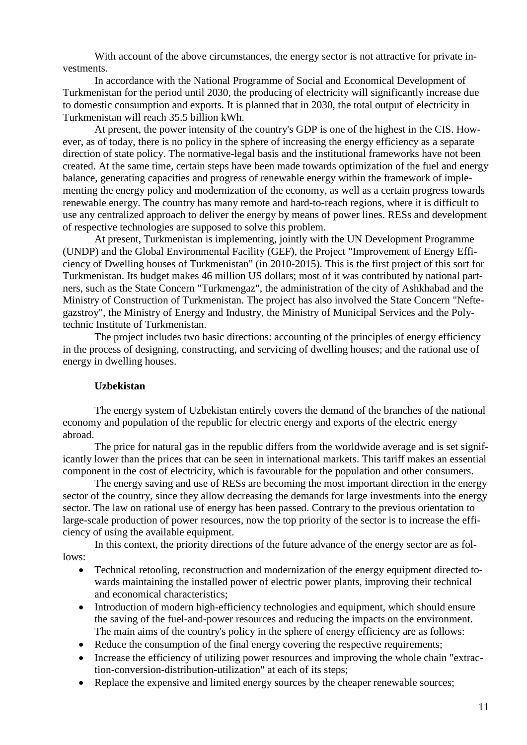With account of the above circumstances, the energy sector is not attractive for private investments.

In accordance with the National Programme of Social and Economical Development of Turkmenistan for the period until 2030, the producing of electricity will significantly increase due to domestic consumption and exports. It is planned that in 2030, the total output of electricity in Turkmenistan will reach 35.5 billion kWh.

At present, the power intensity of the country's GDP is one of the highest in the CIS. However, as of today, there is no policy in the sphere of increasing the energy efficiency as a separate direction of state policy. The normative-legal basis and the institutional frameworks have not been created. At the same time, certain steps have been made towards optimization of the fuel and energy balance, generating capacities and progress of renewable energy within the framework of implementing the energy policy and modernization of the economy, as well as a certain progress towards renewable energy. The country has many remote and hard-to-reach regions, where it is difficult to use any centralized approach to deliver the energy by means of power lines. RESs and development of respective technologies are supposed to solve this problem.

At present, Turkmenistan is implementing, jointly with the UN Development Programme (UNDP) and the Global Environmental Facility (GEF), the Project "Improvement of Energy Efficiency of Dwelling houses of Turkmenistan" (in 2010-2015). This is the first project of this sort for Turkmenistan. Its budget makes 46 million US dollars; most of it was contributed by national partners, such as the State Concern "Turkmengaz", the administration of the city of Ashkhabad and the Ministry of Construction of Turkmenistan. The project has also involved the State Concern "Neftegazstroy", the Ministry of Energy and Industry, the Ministry of Municipal Services and the Polytechnic Institute of Turkmenistan.

The project includes two basic directions: accounting of the principles of energy efficiency in the process of designing, constructing, and servicing of dwelling houses; and the rational use of energy in dwelling houses.

### **Uzbekistan**

<span id="page-10-0"></span>The energy system of Uzbekistan entirely covers the demand of the branches of the national economy and population of the republic for electric energy and exports of the electric energy abroad.

The price for natural gas in the republic differs from the worldwide average and is set significantly lower than the prices that can be seen in international markets. This tariff makes an essential component in the cost of electricity, which is favourable for the population and other consumers.

The energy saving and use of RESs are becoming the most important direction in the energy sector of the country, since they allow decreasing the demands for large investments into the energy sector. The law on rational use of energy has been passed. Contrary to the previous orientation to large-scale production of power resources, now the top priority of the sector is to increase the efficiency of using the available equipment.

In this context, the priority directions of the future advance of the energy sector are as follows:

- Technical retooling, reconstruction and modernization of the energy equipment directed towards maintaining the installed power of electric power plants, improving their technical and economical characteristics;
- Introduction of modern high-efficiency technologies and equipment, which should ensure the saving of the fuel-and-power resources and reducing the impacts on the environment. The main aims of the country's policy in the sphere of energy efficiency are as follows:
- Reduce the consumption of the final energy covering the respective requirements;
- Increase the efficiency of utilizing power resources and improving the whole chain "extraction-conversion-distribution-utilization" at each of its steps;
- Replace the expensive and limited energy sources by the cheaper renewable sources;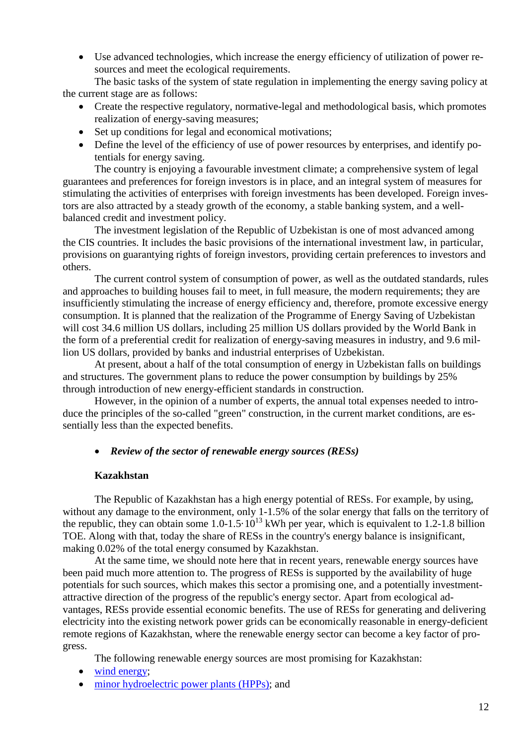• Use advanced technologies, which increase the energy efficiency of utilization of power resources and meet the ecological requirements.

The basic tasks of the system of state regulation in implementing the energy saving policy at the current stage are as follows:

- Create the respective regulatory, normative-legal and methodological basis, which promotes realization of energy-saving measures;
- Set up conditions for legal and economical motivations;
- Define the level of the efficiency of use of power resources by enterprises, and identify potentials for energy saving.

The country is enjoying a favourable investment climate; a comprehensive system of legal guarantees and preferences for foreign investors is in place, and an integral system of measures for stimulating the activities of enterprises with foreign investments has been developed. Foreign investors are also attracted by a steady growth of the economy, a stable banking system, and a wellbalanced credit and investment policy.

The investment legislation of the Republic of Uzbekistan is one of most advanced among the CIS countries. It includes the basic provisions of the international investment law, in particular, provisions on guarantying rights of foreign investors, providing certain preferences to investors and others.

The current control system of consumption of power, as well as the outdated standards, rules and approaches to building houses fail to meet, in full measure, the modern requirements; they are insufficiently stimulating the increase of energy efficiency and, therefore, promote excessive energy consumption. It is planned that the realization of the Programme of Energy Saving of Uzbekistan will cost 34.6 million US dollars, including 25 million US dollars provided by the World Bank in the form of a preferential credit for realization of energy-saving measures in industry, and 9.6 million US dollars, provided by banks and industrial enterprises of Uzbekistan.

At present, about a half of the total consumption of energy in Uzbekistan falls on buildings and structures. The government plans to reduce the power consumption by buildings by 25% through introduction of new energy-efficient standards in construction.

However, in the opinion of a number of experts, the annual total expenses needed to introduce the principles of the so-called "green" construction, in the current market conditions, are essentially less than the expected benefits.

# <span id="page-11-0"></span>• *Review of the sector of renewable energy sources (RESs)*

### **Kazakhstan**

<span id="page-11-1"></span>The Republic of Kazakhstan has a high energy potential of RESs. For example, by using, without any damage to the environment, only 1-1.5% of the solar energy that falls on the territory of the republic, they can obtain some  $1.0 - 1.5 \cdot 10^{13}$  kWh per year, which is equivalent to 1.2-1.8 billion TOE. Along with that, today the share of RESs in the country's energy balance is insignificant, making 0.02% of the total energy consumed by Kazakhstan.

At the same time, we should note here that in recent years, renewable energy sources have been paid much more attention to. The progress of RESs is supported by the availability of huge potentials for such sources, which makes this sector a promising one, and a potentially investmentattractive direction of the progress of the republic's energy sector. Apart from ecological advantages, RESs provide essential economic benefits. The use of RESs for generating and delivering electricity into the existing network power grids can be economically reasonable in energy-deficient remote regions of Kazakhstan, where the renewable energy sector can become a key factor of progress.

The following renewable energy sources are most promising for Kazakhstan:

- [wind energy;](http://www.mint.gov.kz/index.php?id=202&lang=ru)
- [minor hydroelectric power plants \(HPPs\);](http://www.mint.gov.kz/index.php?id=203&lang=ru) and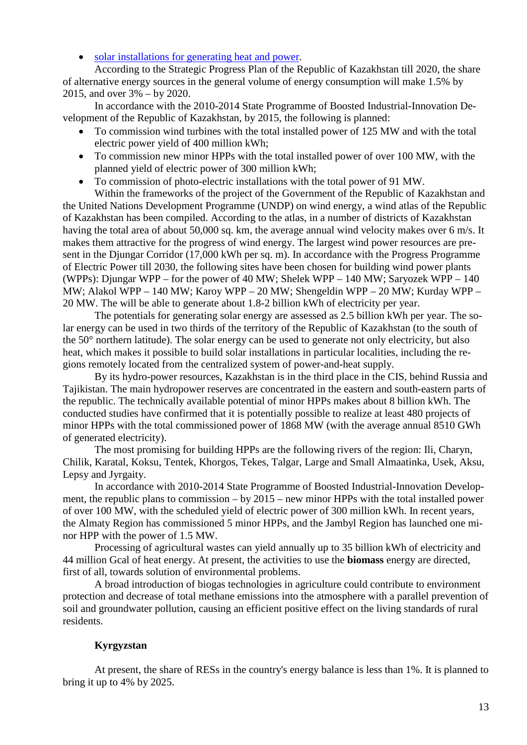• [solar installations for generating heat and power.](http://www.mint.gov.kz/index.php?id=204&lang=ru)

According to the Strategic Progress Plan of the Republic of Kazakhstan till 2020, the share of alternative energy sources in the general volume of energy consumption will make 1.5% by 2015, and over 3% – by 2020.

In accordance with the 2010-2014 State Programme of Boosted Industrial-Innovation Development of the Republic of Kazakhstan, by 2015, the following is planned:

- To commission wind turbines with the total installed power of 125 МW and with the total electric power yield of 400 million kWh;
- To commission new minor HPPs with the total installed power of over 100 MW, with the planned yield of electric power of 300 million kWh;
- To commission of photo-electric installations with the total power of 91 МW.

Within the frameworks of the project of the Government of the Republic of Kazakhstan and the United Nations Development Programme (UNDP) on wind energy, a wind atlas of the Republic of Kazakhstan has been compiled. According to the atlas, in a number of districts of Kazakhstan having the total area of about 50,000 sq. km, the average annual wind velocity makes over 6 m/s. It makes them attractive for the progress of wind energy. The largest wind power resources are present in the Djungar Corridor (17,000 kWh per sq. m). In accordance with the Progress Programme of Electric Power till 2030, the following sites have been chosen for building wind power plants (WPPs): Djungar WPP – for the power of 40 МW; Shelek WPP – 140 МW; Saryozek WPP – 140 МW; Alakol WPP – 140 МW; Karoy WPP – 20 МW; Shengeldin WPP – 20 МW; Kurday WPP – 20 МW. The will be able to generate about 1.8-2 billion kWh of electricity per year.

The potentials for generating solar energy are assessed as 2.5 billion kWh per year. The solar energy can be used in two thirds of the territory of the Republic of Kazakhstan (to the south of the 50° northern latitude). The solar energy can be used to generate not only electricity, but also heat, which makes it possible to build solar installations in particular localities, including the regions remotely located from the centralized system of power-and-heat supply.

By its hydro-power resources, Kazakhstan is in the third place in the CIS, behind Russia and Tajikistan. The main hydropower reserves are concentrated in the eastern and south-eastern parts of the republic. The technically available potential of minor HPPs makes about 8 billion kWh. The conducted studies have confirmed that it is potentially possible to realize at least 480 projects of minor HPPs with the total commissioned power of 1868 МW (with the average annual 8510 GWh of generated electricity).

The most promising for building HPPs are the following rivers of the region: Ili, Charyn, Chilik, Karatal, Koksu, Tentek, Khorgos, Tekes, Talgar, Large and Small Almaatinka, Usek, Aksu, Lepsy and Jyrgaity.

In accordance with 2010-2014 State Programme of Boosted Industrial-Innovation Development, the republic plans to commission – by 2015 – new minor HPPs with the total installed power of over 100 МW, with the scheduled yield of electric power of 300 million kWh. In recent years, the Almaty Region has commissioned 5 minor HPPs, and the Jambyl Region has launched one minor HPP with the power of 1.5 МW.

Processing of agricultural wastes can yield annually up to 35 billion kWh of electricity and 44 million Gcal of heat energy. At present, the activities to use the **biomass** energy are directed, first of all, towards solution of environmental problems.

A broad introduction of biogas technologies in agriculture could contribute to environment protection and decrease of total methane emissions into the atmosphere with a parallel prevention of soil and groundwater pollution, causing an efficient positive effect on the living standards of rural residents.

# **Kyrgyzstan**

<span id="page-12-0"></span>At present, the share of RESs in the country's energy balance is less than 1%. It is planned to bring it up to 4% by 2025.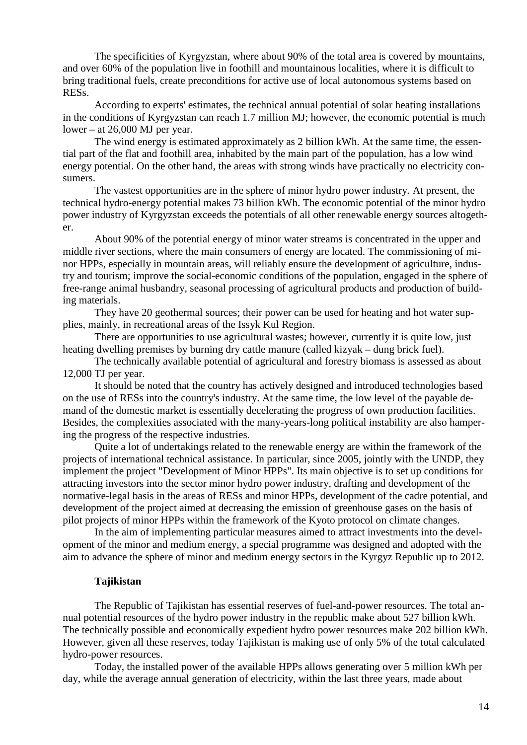The specificities of Kyrgyzstan, where about 90% of the total area is covered by mountains, and over 60% of the population live in foothill and mountainous localities, where it is difficult to bring traditional fuels, create preconditions for active use of local autonomous systems based on RESs.

According to experts' estimates, the technical annual potential of solar heating installations in the conditions of Kyrgyzstan can reach 1.7 million MJ; however, the economic potential is much lower – at 26,000 MJ per year.

The wind energy is estimated approximately as 2 billion kWh. At the same time, the essential part of the flat and foothill area, inhabited by the main part of the population, has a low wind energy potential. On the other hand, the areas with strong winds have practically no electricity consumers.

The vastest opportunities are in the sphere of minor hydro power industry. At present, the technical hydro-energy potential makes 73 billion kWh. The economic potential of the minor hydro power industry of Kyrgyzstan exceeds the potentials of all other renewable energy sources altogether.

About 90% of the potential energy of minor water streams is concentrated in the upper and middle river sections, where the main consumers of energy are located. The commissioning of minor HPPs, especially in mountain areas, will reliably ensure the development of agriculture, industry and tourism; improve the social-economic conditions of the population, engaged in the sphere of free-range animal husbandry, seasonal processing of agricultural products and production of building materials.

They have 20 geothermal sources; their power can be used for heating and hot water supplies, mainly, in recreational areas of the Issyk Kul Region.

There are opportunities to use agricultural wastes; however, currently it is quite low, just heating dwelling premises by burning dry cattle manure (called kizyak – dung brick fuel).

The technically available potential of agricultural and forestry biomass is assessed as about 12,000 ТJ per year.

It should be noted that the country has actively designed and introduced technologies based on the use of RESs into the country's industry. At the same time, the low level of the payable demand of the domestic market is essentially decelerating the progress of own production facilities. Besides, the complexities associated with the many-years-long political instability are also hampering the progress of the respective industries.

Quite a lot of undertakings related to the renewable energy are within the framework of the projects of international technical assistance. In particular, since 2005, jointly with the UNDP, they implement the project "Development of Minor HPPs". Its main objective is to set up conditions for attracting investors into the sector minor hydro power industry, drafting and development of the normative-legal basis in the areas of RESs and minor HPPs, development of the cadre potential, and development of the project aimed at decreasing the emission of greenhouse gases on the basis of pilot projects of minor HPPs within the framework of the Kyoto protocol on climate changes.

In the aim of implementing particular measures aimed to attract investments into the development of the minor and medium energy, a special programme was designed and adopted with the aim to advance the sphere of minor and medium energy sectors in the Kyrgyz Republic up to 2012.

### **Tajikistan**

<span id="page-13-0"></span>The Republic of Tajikistan has essential reserves of fuel-and-power resources. The total annual potential resources of the hydro power industry in the republic make about 527 billion kWh. The technically possible and economically expedient hydro power resources make 202 billion kWh. However, given all these reserves, today Tajikistan is making use of only 5% of the total calculated hydro-power resources.

Today, the installed power of the available HPPs allows generating over 5 million kWh per day, while the average annual generation of electricity, within the last three years, made about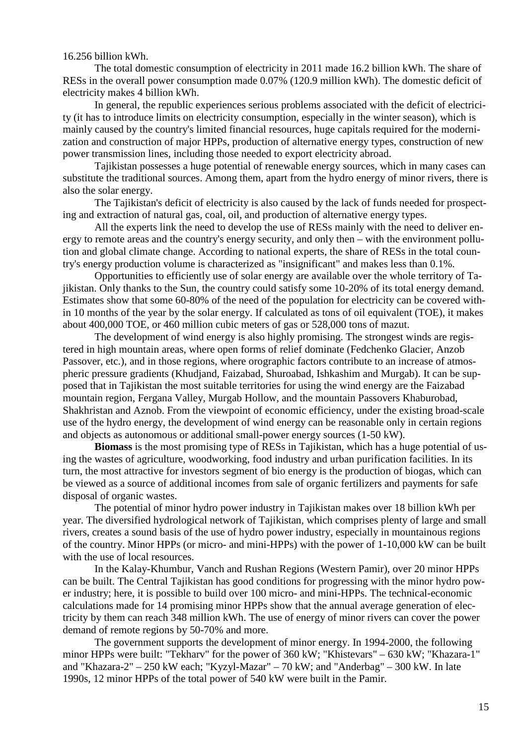16.256 billion kWh.

The total domestic consumption of electricity in 2011 made 16.2 billion kWh. The share of RESs in the overall power consumption made 0.07% (120.9 million kWh). The domestic deficit of electricity makes 4 billion kWh.

In general, the republic experiences serious problems associated with the deficit of electricity (it has to introduce limits on electricity consumption, especially in the winter season), which is mainly caused by the country's limited financial resources, huge capitals required for the modernization and construction of major HPPs, production of alternative energy types, construction of new power transmission lines, including those needed to export electricity abroad.

Tajikistan possesses a huge potential of renewable energy sources, which in many cases can substitute the traditional sources. Among them, apart from the hydro energy of minor rivers, there is also the solar energy.

The Tajikistan's deficit of electricity is also caused by the lack of funds needed for prospecting and extraction of natural gas, coal, oil, and production of alternative energy types.

All the experts link the need to develop the use of RESs mainly with the need to deliver energy to remote areas and the country's energy security, and only then – with the environment pollution and global climate change. According to national experts, the share of RESs in the total country's energy production volume is characterized as "insignificant" and makes less than 0.1%.

Opportunities to efficiently use of solar energy are available over the whole territory of Tajikistan. Only thanks to the Sun, the country could satisfy some 10-20% of its total energy demand. Estimates show that some 60-80% of the need of the population for electricity can be covered within 10 months of the year by the solar energy. If calculated as tons of oil equivalent (TOE), it makes about 400,000 TOE, or 460 million cubic meters of gas or 528,000 tons of mazut.

The development of wind energy is also highly promising. The strongest winds are registered in high mountain areas, where open forms of relief dominate (Fedchenko Glacier, Anzob Passover, etc.), and in those regions, where orographic factors contribute to an increase of atmospheric pressure gradients (Khudjand, Faizabad, Shuroabad, Ishkashim and Murgab). It can be supposed that in Tajikistan the most suitable territories for using the wind energy are the Faizabad mountain region, Fergana Valley, Murgab Hollow, and the mountain Passovers Khaburobad, Shakhristan and Aznob. From the viewpoint of economic efficiency, under the existing broad-scale use of the hydro energy, the development of wind energy can be reasonable only in certain regions and objects as autonomous or additional small-power energy sources (1-50 kW).

**Biomass** is the most promising type of RESs in Tajikistan, which has a huge potential of using the wastes of agriculture, woodworking, food industry and urban purification facilities. In its turn, the most attractive for investors segment of bio energy is the production of biogas, which can be viewed as a source of additional incomes from sale of organic fertilizers and payments for safe disposal of organic wastes.

The potential of minor hydro power industry in Tajikistan makes over 18 billion kWh per year. The diversified hydrological network of Tajikistan, which comprises plenty of large and small rivers, creates a sound basis of the use of hydro power industry, especially in mountainous regions of the country. Minor HPPs (or micro- and mini-HPPs) with the power of 1-10,000 kW can be built with the use of local resources.

In the Kalay-Khumbur, Vanch and Rushan Regions (Western Pamir), over 20 minor HPPs can be built. The Central Tajikistan has good conditions for progressing with the minor hydro power industry; here, it is possible to build over 100 micro- and mini-HPPs. The technical-economic calculations made for 14 promising minor HPPs show that the annual average generation of electricity by them can reach 348 million kWh. The use of energy of minor rivers can cover the power demand of remote regions by 50-70% and more.

The government supports the development of minor energy. In 1994-2000, the following minor HPPs were built: "Tekharv" for the power of 360 kW; "Khistevars" – 630 kW; "Khazara-1" and "Khazara-2" – 250 kW each; "Kyzyl-Mazar" – 70 kW; and "Anderbag" – 300 kW. In late 1990s, 12 minor HPPs of the total power of 540 kW were built in the Pamir.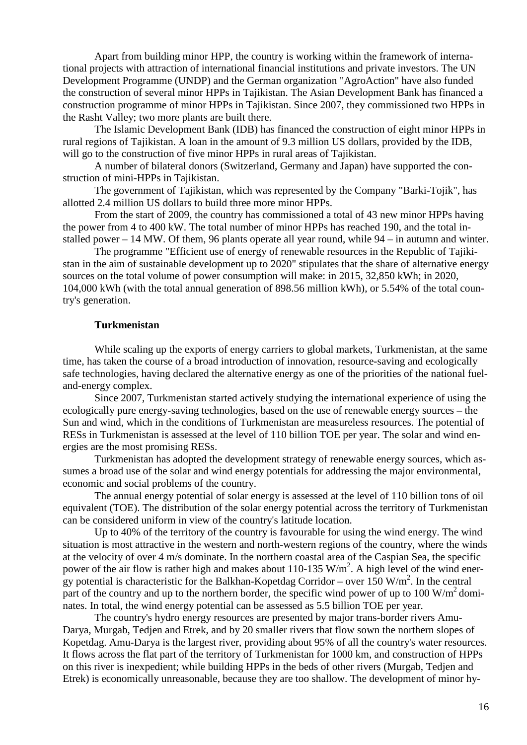Apart from building minor HPP, the country is working within the framework of international projects with attraction of international financial institutions and private investors. The UN Development Programme (UNDP) and the German organization "AgroAction" have also funded the construction of several minor HPPs in Tajikistan. The Asian Development Bank has financed a construction programme of minor HPPs in Tajikistan. Since 2007, they commissioned two HPPs in the Rasht Valley; two more plants are built there.

The Islamic Development Bank (IDB) has financed the construction of eight minor HPPs in rural regions of Tajikistan. A loan in the amount of 9.3 million US dollars, provided by the IDB, will go to the construction of five minor HPPs in rural areas of Tajikistan.

A number of bilateral donors (Switzerland, Germany and Japan) have supported the construction of mini-HPPs in Tajikistan.

The government of Tajikistan, which was represented by the Company "Barki-Tojik", has allotted 2.4 million US dollars to build three more minor HPPs.

From the start of 2009, the country has commissioned a total of 43 new minor HPPs having the power from 4 to 400 kW. The total number of minor HPPs has reached 190, and the total installed power – 14 МW. Of them, 96 plants operate all year round, while 94 – in autumn and winter.

The programme "Efficient use of energy of renewable resources in the Republic of Tajikistan in the aim of sustainable development up to 2020" stipulates that the share of alternative energy sources on the total volume of power consumption will make: in 2015, 32,850 kWh; in 2020, 104,000 kWh (with the total annual generation of 898.56 million kWh), or 5.54% of the total country's generation.

### **Turkmenistan**

<span id="page-15-0"></span>While scaling up the exports of energy carriers to global markets, Turkmenistan, at the same time, has taken the course of a broad introduction of innovation, resource-saving and ecologically safe technologies, having declared the alternative energy as one of the priorities of the national fueland-energy complex.

Since 2007, Turkmenistan started actively studying the international experience of using the ecologically pure energy-saving technologies, based on the use of renewable energy sources – the Sun and wind, which in the conditions of Turkmenistan are measureless resources. The potential of RESs in Turkmenistan is assessed at the level of 110 billion TOE per year. The solar and wind energies are the most promising RESs.

Turkmenistan has adopted the development strategy of renewable energy sources, which assumes a broad use of the solar and wind energy potentials for addressing the major environmental, economic and social problems of the country.

The annual energy potential of solar energy is assessed at the level of 110 billion tons of oil equivalent (TOE). The distribution of the solar energy potential across the territory of Turkmenistan can be considered uniform in view of the country's latitude location.

Up to 40% of the territory of the country is favourable for using the wind energy. The wind situation is most attractive in the western and north-western regions of the country, where the winds at the velocity of over 4 m/s dominate. In the northern coastal area of the Caspian Sea, the specific power of the air flow is rather high and makes about 110-135  $W/m^2$ . A high level of the wind energy potential is characteristic for the Balkhan-Kopetdag Corridor – over 150 W/m<sup>2</sup>. In the central part of the country and up to the northern border, the specific wind power of up to 100  $\text{W/m}^2$  dominates. In total, the wind energy potential can be assessed as 5.5 billion TOE per year.

The country's hydro energy resources are presented by major trans-border rivers Amu-Darya, Murgab, Tedjen and Etrek, and by 20 smaller rivers that flow sown the northern slopes of Kopetdag. Amu-Darya is the largest river, providing about 95% of all the country's water resources. It flows across the flat part of the territory of Turkmenistan for 1000 km, and construction of HPPs on this river is inexpedient; while building HPPs in the beds of other rivers (Murgab, Tedjen and Etrek) is economically unreasonable, because they are too shallow. The development of minor hy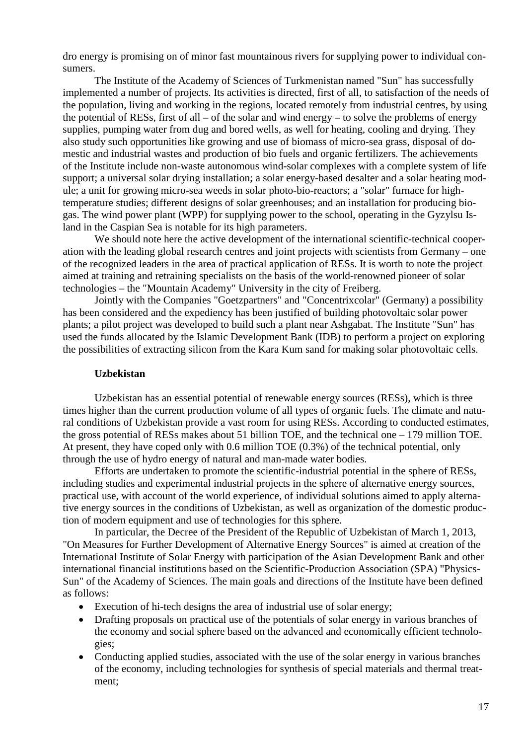dro energy is promising on of minor fast mountainous rivers for supplying power to individual consumers.

The Institute of the Academy of Sciences of Turkmenistan named "Sun" has successfully implemented a number of projects. Its activities is directed, first of all, to satisfaction of the needs of the population, living and working in the regions, located remotely from industrial centres, by using the potential of RESs, first of all – of the solar and wind energy – to solve the problems of energy supplies, pumping water from dug and bored wells, as well for heating, cooling and drying. They also study such opportunities like growing and use of biomass of micro-sea grass, disposal of domestic and industrial wastes and production of bio fuels and organic fertilizers. The achievements of the Institute include non-waste autonomous wind-solar complexes with a complete system of life support; a universal solar drying installation; a solar energy-based desalter and a solar heating module; a unit for growing micro-sea weeds in solar photo-bio-reactors; a "solar" furnace for hightemperature studies; different designs of solar greenhouses; and an installation for producing biogas. The wind power plant (WPP) for supplying power to the school, operating in the Gyzylsu Island in the Caspian Sea is notable for its high parameters.

We should note here the active development of the international scientific-technical cooperation with the leading global research centres and joint projects with scientists from Germany – one of the recognized leaders in the area of practical application of RESs. It is worth to note the project aimed at training and retraining specialists on the basis of the world-renowned pioneer of solar technologies – the "Mountain Academy" University in the city of Freiberg.

Jointly with the Companies "Goetzpartners" and "Concentrixcolar" (Germany) a possibility has been considered and the expediency has been justified of building photovoltaic solar power plants; a pilot project was developed to build such a plant near Ashgabat. The Institute "Sun" has used the funds allocated by the Islamic Development Bank (IDB) to perform a project on exploring the possibilities of extracting silicon from the Kara Kum sand for making solar photovoltaic cells.

### **Uzbekistan**

<span id="page-16-0"></span>Uzbekistan has an essential potential of renewable energy sources (RESs), which is three times higher than the current production volume of all types of organic fuels. The climate and natural conditions of Uzbekistan provide a vast room for using RESs. According to conducted estimates, the gross potential of RESs makes about 51 billion TOE, and the technical one – 179 million TOE. At present, they have coped only with 0.6 million TOE (0.3%) of the technical potential, only through the use of hydro energy of natural and man-made water bodies.

Efforts are undertaken to promote the scientific-industrial potential in the sphere of RESs, including studies and experimental industrial projects in the sphere of alternative energy sources, practical use, with account of the world experience, of individual solutions aimed to apply alternative energy sources in the conditions of Uzbekistan, as well as organization of the domestic production of modern equipment and use of technologies for this sphere.

In particular, the Decree of the President of the Republic of Uzbekistan of March 1, 2013, "On Measures for Further Development of Alternative Energy Sources" is aimed at creation of the International Institute of Solar Energy with participation of the Asian Development Bank and other international financial institutions based on the Scientific-Production Association (SPA) "Physics-Sun" of the Academy of Sciences. The main goals and directions of the Institute have been defined as follows:

- Execution of hi-tech designs the area of industrial use of solar energy;
- Drafting proposals on practical use of the potentials of solar energy in various branches of the economy and social sphere based on the advanced and economically efficient technologies;
- Conducting applied studies, associated with the use of the solar energy in various branches of the economy, including technologies for synthesis of special materials and thermal treatment;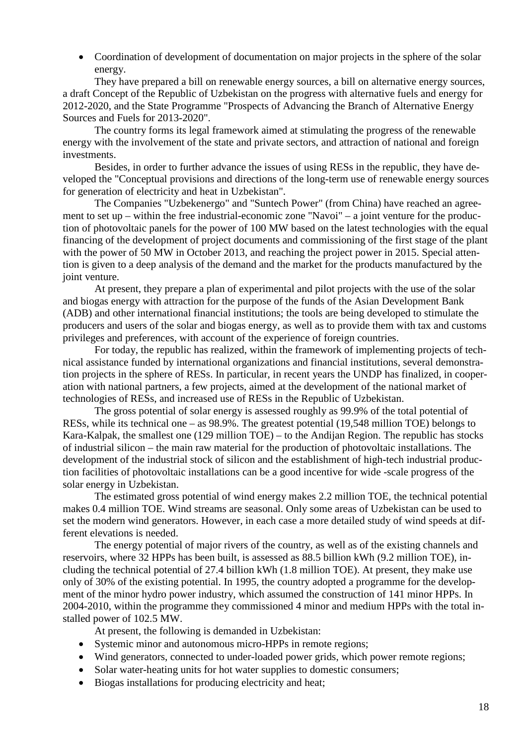• Coordination of development of documentation on major projects in the sphere of the solar energy.

They have prepared a bill on renewable energy sources, a bill on alternative energy sources, a draft Concept of the Republic of Uzbekistan on the progress with alternative fuels and energy for 2012-2020, and the State Programme "Prospects of Advancing the Branch of Alternative Energy Sources and Fuels for 2013-2020".

The country forms its legal framework aimed at stimulating the progress of the renewable energy with the involvement of the state and private sectors, and attraction of national and foreign investments.

Besides, in order to further advance the issues of using RESs in the republic, they have developed the "Conceptual provisions and directions of the long-term use of renewable energy sources for generation of electricity and heat in Uzbekistan".

The Companies "Uzbekenergo" and "Suntech Power" (from China) have reached an agreement to set up – within the free industrial-economic zone "Navoi" – a joint venture for the production of photovoltaic panels for the power of 100 MW based on the latest technologies with the equal financing of the development of project documents and commissioning of the first stage of the plant with the power of 50 MW in October 2013, and reaching the project power in 2015. Special attention is given to a deep analysis of the demand and the market for the products manufactured by the joint venture.

At present, they prepare a plan of experimental and pilot projects with the use of the solar and biogas energy with attraction for the purpose of the funds of the Asian Development Bank (ADB) and other international financial institutions; the tools are being developed to stimulate the producers and users of the solar and biogas energy, as well as to provide them with tax and customs privileges and preferences, with account of the experience of foreign countries.

For today, the republic has realized, within the framework of implementing projects of technical assistance funded by international organizations and financial institutions, several demonstration projects in the sphere of RESs. In particular, in recent years the UNDP has finalized, in cooperation with national partners, a few projects, aimed at the development of the national market of technologies of RESs, and increased use of RESs in the Republic of Uzbekistan.

The gross potential of solar energy is assessed roughly as 99.9% of the total potential of RESs, while its technical one – as 98.9%. The greatest potential (19,548 million TOE) belongs to Kara-Kalpak, the smallest one (129 million TOE) – to the Andijan Region. The republic has stocks of industrial silicon – the main raw material for the production of photovoltaic installations. The development of the industrial stock of silicon and the establishment of high-tech industrial production facilities of photovoltaic installations can be a good incentive for wide -scale progress of the solar energy in Uzbekistan.

The estimated gross potential of wind energy makes 2.2 million TOE, the technical potential makes 0.4 million TOE. Wind streams are seasonal. Only some areas of Uzbekistan can be used to set the modern wind generators. However, in each case a more detailed study of wind speeds at different elevations is needed.

The energy potential of major rivers of the country, as well as of the existing channels and reservoirs, where 32 HPPs has been built, is assessed as 88.5 billion kWh (9.2 million TOE), including the technical potential of 27.4 billion kWh (1.8 million TOE). At present, they make use only of 30% of the existing potential. In 1995, the country adopted a programme for the development of the minor hydro power industry, which assumed the construction of 141 minor HPPs. In 2004-2010, within the programme they commissioned 4 minor and medium HPPs with the total installed power of 102.5 MW.

At present, the following is demanded in Uzbekistan:

- Systemic minor and autonomous micro-HPPs in remote regions;
- Wind generators, connected to under-loaded power grids, which power remote regions;
- Solar water-heating units for hot water supplies to domestic consumers;
- Biogas installations for producing electricity and heat;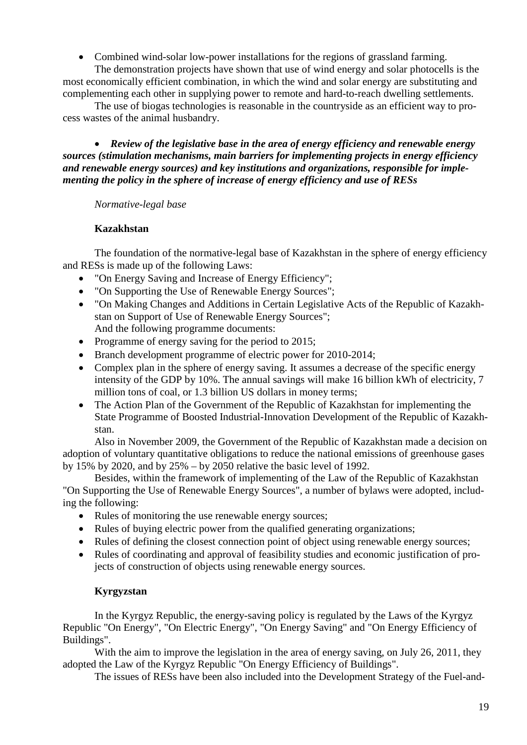• Combined wind-solar low-power installations for the regions of grassland farming.

The demonstration projects have shown that use of wind energy and solar photocells is the most economically efficient combination, in which the wind and solar energy are substituting and complementing each other in supplying power to remote and hard-to-reach dwelling settlements.

The use of biogas technologies is reasonable in the countryside as an efficient way to process wastes of the animal husbandry.

<span id="page-18-0"></span>• *Review of the legislative base in the area of energy efficiency and renewable energy sources (stimulation mechanisms, main barriers for implementing projects in energy efficiency and renewable energy sources) and key institutions and organizations, responsible for implementing the policy in the sphere of increase of energy efficiency and use of RESs*

<span id="page-18-1"></span>*Normative-legal base*

# **Kazakhstan**

<span id="page-18-2"></span>The foundation of the normative-legal base of Kazakhstan in the sphere of energy efficiency and RESs is made up of the following Laws:

- "On Energy Saving and Increase of Energy Efficiency";
- "On Supporting the Use of Renewable Energy Sources";
- "On Making Changes and Additions in Certain Legislative Acts of the Republic of Kazakhstan on Support of Use of Renewable Energy Sources"; And the following programme documents:
- Programme of energy saving for the period to 2015;
- Branch development programme of electric power for 2010-2014;
- Complex plan in the sphere of energy saving. It assumes a decrease of the specific energy intensity of the GDP by 10%. The annual savings will make 16 billion kWh of electricity, 7 million tons of coal, or 1.3 billion US dollars in money terms;
- The Action Plan of the Government of the Republic of Kazakhstan for implementing the State Programme of Boosted Industrial-Innovation Development of the Republic of Kazakhstan.

Also in November 2009, the Government of the Republic of Kazakhstan made a decision on adoption of voluntary quantitative obligations to reduce the national emissions of greenhouse gases by 15% by 2020, and by 25% – by 2050 relative the basic level of 1992.

Besides, within the framework of implementing of the Law of the Republic of Kazakhstan "On Supporting the Use of Renewable Energy Sources", a number of bylaws were adopted, including the following:

- Rules of monitoring the use renewable energy sources;
- Rules of buying electric power from the qualified generating organizations;
- Rules of defining the closest connection point of object using renewable energy sources;
- Rules of coordinating and approval of feasibility studies and economic justification of projects of construction of objects using renewable energy sources.

# **Kyrgyzstan**

<span id="page-18-3"></span>In the Kyrgyz Republic, the energy-saving policy is regulated by the Laws of the Kyrgyz Republic "On Energy", "On Electric Energy", "On Energy Saving" and "On Energy Efficiency of Buildings".

With the aim to improve the legislation in the area of energy saving, on July 26, 2011, they adopted the Law of the Kyrgyz Republic "On Energy Efficiency of Buildings".

The issues of RESs have been also included into the Development Strategy of the Fuel-and-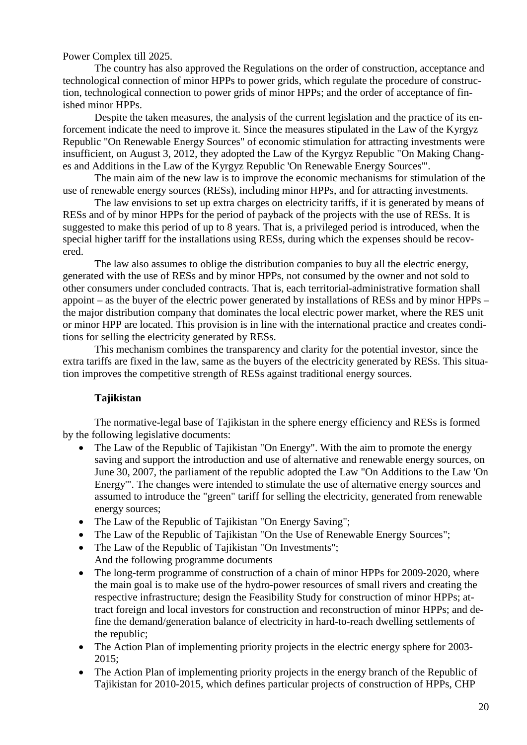Power Complex till 2025.

The country has also approved the Regulations on the order of construction, acceptance and technological connection of minor HPPs to power grids, which regulate the procedure of construction, technological connection to power grids of minor HPPs; and the order of acceptance of finished minor HPPs.

Despite the taken measures, the analysis of the current legislation and the practice of its enforcement indicate the need to improve it. Since the measures stipulated in the Law of the Kyrgyz Republic "On Renewable Energy Sources" of economic stimulation for attracting investments were insufficient, on August 3, 2012, they adopted the Law of the Kyrgyz Republic "On Making Changes and Additions in the Law of the Kyrgyz Republic 'On Renewable Energy Sources'".

The main aim of the new law is to improve the economic mechanisms for stimulation of the use of renewable energy sources (RESs), including minor HPPs, and for attracting investments.

The law envisions to set up extra charges on electricity tariffs, if it is generated by means of RESs and of by minor HPPs for the period of payback of the projects with the use of RESs. It is suggested to make this period of up to 8 years. That is, a privileged period is introduced, when the special higher tariff for the installations using RESs, during which the expenses should be recovered.

The law also assumes to oblige the distribution companies to buy all the electric energy, generated with the use of RESs and by minor HPPs, not consumed by the owner and not sold to other consumers under concluded contracts. That is, each territorial-administrative formation shall appoint – as the buyer of the electric power generated by installations of RESs and by minor HPPs – the major distribution company that dominates the local electric power market, where the RES unit or minor HPP are located. This provision is in line with the international practice and creates conditions for selling the electricity generated by RESs.

This mechanism combines the transparency and clarity for the potential investor, since the extra tariffs are fixed in the law, same as the buyers of the electricity generated by RESs. This situation improves the competitive strength of RESs against traditional energy sources.

# **Tajikistan**

<span id="page-19-0"></span>The normative-legal base of Tajikistan in the sphere energy efficiency and RESs is formed by the following legislative documents:

- The Law of the Republic of Tajikistan "On Energy". With the aim to promote the energy saving and support the introduction and use of alternative and renewable energy sources, on June 30, 2007, the parliament of the republic adopted the Law "On Additions to the Law 'On Energy'". The changes were intended to stimulate the use of alternative energy sources and assumed to introduce the "green" tariff for selling the electricity, generated from renewable energy sources;
- The Law of the Republic of Tajikistan "On Energy Saving";
- The Law of the Republic of Tajikistan "On the Use of Renewable Energy Sources";
- The Law of the Republic of Tajikistan "On Investments"; And the following programme documents
- The long-term programme of construction of a chain of minor HPPs for 2009-2020, where the main goal is to make use of the hydro-power resources of small rivers and creating the respective infrastructure; design the Feasibility Study for construction of minor HPPs; attract foreign and local investors for construction and reconstruction of minor HPPs; and define the demand/generation balance of electricity in hard-to-reach dwelling settlements of the republic;
- The Action Plan of implementing priority projects in the electric energy sphere for 2003-2015;
- The Action Plan of implementing priority projects in the energy branch of the Republic of Tajikistan for 2010-2015, which defines particular projects of construction of HPPs, CHP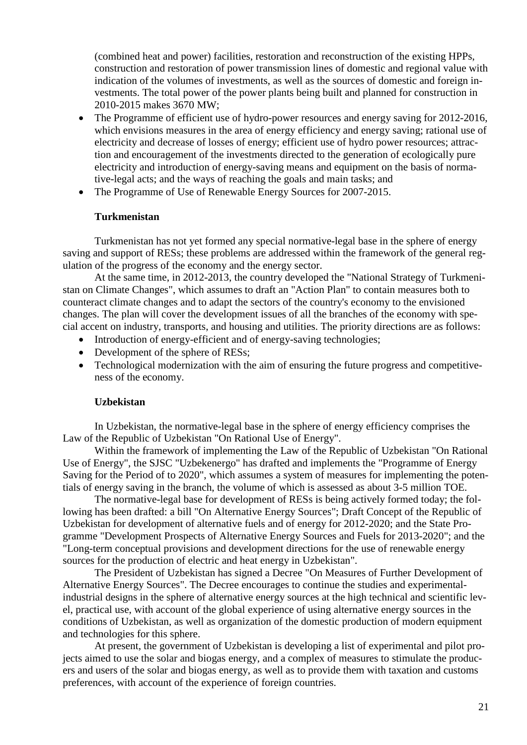(combined heat and power) facilities, restoration and reconstruction of the existing HPPs, construction and restoration of power transmission lines of domestic and regional value with indication of the volumes of investments, as well as the sources of domestic and foreign investments. The total power of the power plants being built and planned for construction in 2010-2015 makes 3670 МW;

- The Programme of efficient use of hydro-power resources and energy saving for 2012-2016, which envisions measures in the area of energy efficiency and energy saving; rational use of electricity and decrease of losses of energy; efficient use of hydro power resources; attraction and encouragement of the investments directed to the generation of ecologically pure electricity and introduction of energy-saving means and equipment on the basis of normative-legal acts; and the ways of reaching the goals and main tasks; and
- The Programme of Use of Renewable Energy Sources for 2007-2015.

### **Turkmenistan**

<span id="page-20-0"></span>Turkmenistan has not yet formed any special normative-legal base in the sphere of energy saving and support of RESs; these problems are addressed within the framework of the general regulation of the progress of the economy and the energy sector.

At the same time, in 2012-2013, the country developed the "National Strategy of Turkmenistan on Climate Changes", which assumes to draft an "Action Plan" to contain measures both to counteract climate changes and to adapt the sectors of the country's economy to the envisioned changes. The plan will cover the development issues of all the branches of the economy with special accent on industry, transports, and housing and utilities. The priority directions are as follows:

- Introduction of energy-efficient and of energy-saving technologies;
- Development of the sphere of RESs;
- Technological modernization with the aim of ensuring the future progress and competitiveness of the economy.

### **Uzbekistan**

<span id="page-20-1"></span>In Uzbekistan, the normative-legal base in the sphere of energy efficiency comprises the Law of the Republic of Uzbekistan "On Rational Use of Energy".

Within the framework of implementing the Law of the Republic of Uzbekistan "On Rational Use of Energy", the SJSC "Uzbekenergo" has drafted and implements the "Programme of Energy Saving for the Period of to 2020", which assumes a system of measures for implementing the potentials of energy saving in the branch, the volume of which is assessed as about 3-5 million TOE.

The normative-legal base for development of RESs is being actively formed today; the following has been drafted: a bill "On Alternative Energy Sources"; Draft Concept of the Republic of Uzbekistan for development of alternative fuels and of energy for 2012-2020; and the State Programme "Development Prospects of Alternative Energy Sources and Fuels for 2013-2020"; and the "Long-term conceptual provisions and development directions for the use of renewable energy sources for the production of electric and heat energy in Uzbekistan".

The President of Uzbekistan has signed a Decree "On Measures of Further Development of Alternative Energy Sources". The Decree encourages to continue the studies and experimentalindustrial designs in the sphere of alternative energy sources at the high technical and scientific level, practical use, with account of the global experience of using alternative energy sources in the conditions of Uzbekistan, as well as organization of the domestic production of modern equipment and technologies for this sphere.

At present, the government of Uzbekistan is developing a list of experimental and pilot projects aimed to use the solar and biogas energy, and a complex of measures to stimulate the producers and users of the solar and biogas energy, as well as to provide them with taxation and customs preferences, with account of the experience of foreign countries.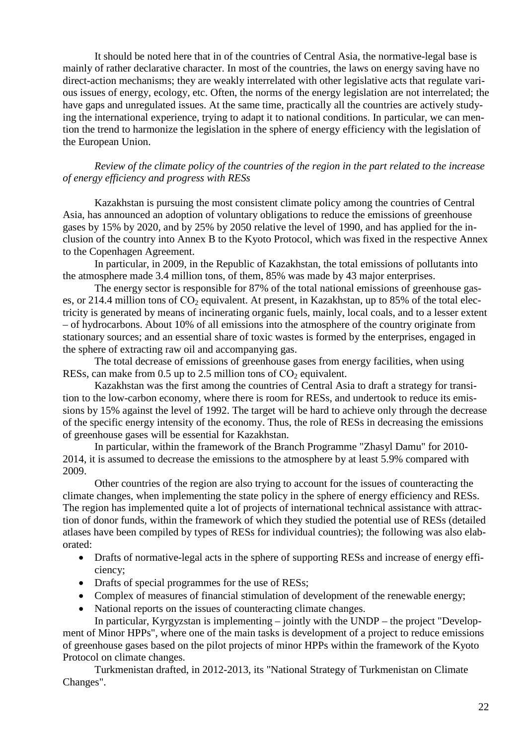It should be noted here that in of the countries of Central Asia, the normative-legal base is mainly of rather declarative character. In most of the countries, the laws on energy saving have no direct-action mechanisms; they are weakly interrelated with other legislative acts that regulate various issues of energy, ecology, etc. Often, the norms of the energy legislation are not interrelated; the have gaps and unregulated issues. At the same time, practically all the countries are actively studying the international experience, trying to adapt it to national conditions. In particular, we can mention the trend to harmonize the legislation in the sphere of energy efficiency with the legislation of the European Union.

### <span id="page-21-0"></span>*Review of the climate policy of the countries of the region in the part related to the increase of energy efficiency and progress with RESs*

Kazakhstan is pursuing the most consistent climate policy among the countries of Central Asia, has announced an adoption of voluntary obligations to reduce the emissions of greenhouse gases by 15% by 2020, and by 25% by 2050 relative the level of 1990, and has applied for the inclusion of the country into Annex B to the Kyoto Protocol, which was fixed in the respective Annex to the Copenhagen Agreement.

In particular, in 2009, in the Republic of Kazakhstan, the total emissions of pollutants into the atmosphere made 3.4 million tons, of them, 85% was made by 43 major enterprises.

The energy sector is responsible for 87% of the total national emissions of greenhouse gases, or 214.4 million tons of  $CO<sub>2</sub>$  equivalent. At present, in Kazakhstan, up to 85% of the total electricity is generated by means of incinerating organic fuels, mainly, local coals, and to a lesser extent – of hydrocarbons. About 10% of all emissions into the atmosphere of the country originate from stationary sources; and an essential share of toxic wastes is formed by the enterprises, engaged in the sphere of extracting raw oil and accompanying gas.

The total decrease of emissions of greenhouse gases from energy facilities, when using RESs, can make from 0.5 up to 2.5 million tons of  $CO<sub>2</sub>$  equivalent.

Kazakhstan was the first among the countries of Central Asia to draft a strategy for transition to the low-carbon economy, where there is room for RESs, and undertook to reduce its emissions by 15% against the level of 1992. The target will be hard to achieve only through the decrease of the specific energy intensity of the economy. Thus, the role of RESs in decreasing the emissions of greenhouse gases will be essential for Kazakhstan.

In particular, within the framework of the Branch Programme "Zhasyl Damu" for 2010- 2014, it is assumed to decrease the emissions to the atmosphere by at least 5.9% compared with 2009.

Other countries of the region are also trying to account for the issues of counteracting the climate changes, when implementing the state policy in the sphere of energy efficiency and RESs. The region has implemented quite a lot of projects of international technical assistance with attraction of donor funds, within the framework of which they studied the potential use of RESs (detailed atlases have been compiled by types of RESs for individual countries); the following was also elaborated:

- Drafts of normative-legal acts in the sphere of supporting RESs and increase of energy efficiency;
- Drafts of special programmes for the use of RESs;
- Complex of measures of financial stimulation of development of the renewable energy;
- National reports on the issues of counteracting climate changes.

In particular, Kyrgyzstan is implementing – jointly with the UNDP – the project "Development of Minor HPPs", where one of the main tasks is development of a project to reduce emissions of greenhouse gases based on the pilot projects of minor HPPs within the framework of the Kyoto Protocol on climate changes.

Turkmenistan drafted, in 2012-2013, its "National Strategy of Turkmenistan on Climate Changes".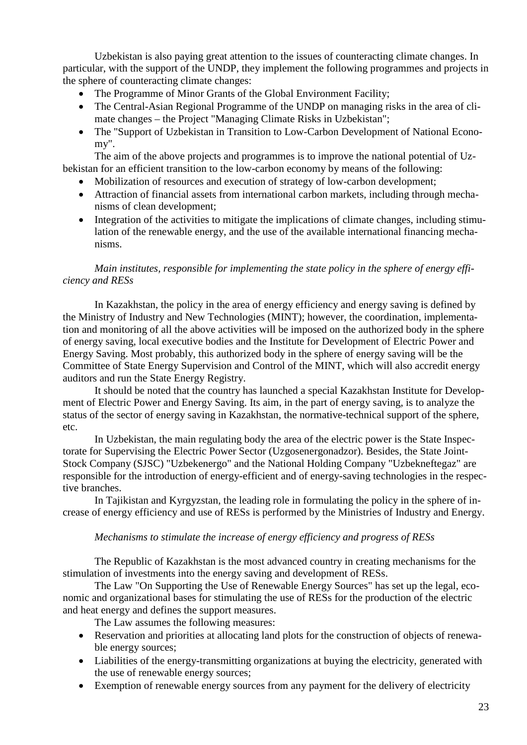Uzbekistan is also paying great attention to the issues of counteracting climate changes. In particular, with the support of the UNDP, they implement the following programmes and projects in the sphere of counteracting climate changes:

- The Programme of Minor Grants of the Global Environment Facility;
- The Central-Asian Regional Programme of the UNDP on managing risks in the area of climate changes – the Project "Managing Climate Risks in Uzbekistan";
- The "Support of Uzbekistan in Transition to Low-Carbon Development of National Economy".

The aim of the above projects and programmes is to improve the national potential of Uzbekistan for an efficient transition to the low-carbon economy by means of the following:

- Mobilization of resources and execution of strategy of low-carbon development;
- Attraction of financial assets from international carbon markets, including through mechanisms of clean development;
- Integration of the activities to mitigate the implications of climate changes, including stimulation of the renewable energy, and the use of the available international financing mechanisms.

### <span id="page-22-0"></span>*Main institutes, responsible for implementing the state policy in the sphere of energy efficiency and RESs*

In Kazakhstan, the policy in the area of energy efficiency and energy saving is defined by the Ministry of Industry and New Technologies (MINT); however, the coordination, implementation and monitoring of all the above activities will be imposed on the authorized body in the sphere of energy saving, local executive bodies and the Institute for Development of Electric Power and Energy Saving. Most probably, this authorized body in the sphere of energy saving will be the Committee of State Energy Supervision and Control of the MINT, which will also accredit energy auditors and run the State Energy Registry.

It should be noted that the country has launched a special Kazakhstan Institute for Development of Electric Power and Energy Saving. Its aim, in the part of energy saving, is to analyze the status of the sector of energy saving in Kazakhstan, the normative-technical support of the sphere, etc.

In Uzbekistan, the main regulating body the area of the electric power is the State Inspectorate for Supervising the Electric Power Sector (Uzgosenergonadzor). Besides, the State Joint-Stock Company (SJSC) "Uzbekenergo" and the National Holding Company "Uzbekneftegaz" are responsible for the introduction of energy-efficient and of energy-saving technologies in the respective branches.

In Tajikistan and Kyrgyzstan, the leading role in formulating the policy in the sphere of increase of energy efficiency and use of RESs is performed by the Ministries of Industry and Energy.

### *Mechanisms to stimulate the increase of energy efficiency and progress of RESs*

<span id="page-22-1"></span>The Republic of Kazakhstan is the most advanced country in creating mechanisms for the stimulation of investments into the energy saving and development of RESs.

The Law "On Supporting the Use of Renewable Energy Sources" has set up the legal, economic and organizational bases for stimulating the use of RESs for the production of the electric and heat energy and defines the support measures.

The Law assumes the following measures:

- Reservation and priorities at allocating land plots for the construction of objects of renewable energy sources;
- Liabilities of the energy-transmitting organizations at buying the electricity, generated with the use of renewable energy sources;
- Exemption of renewable energy sources from any payment for the delivery of electricity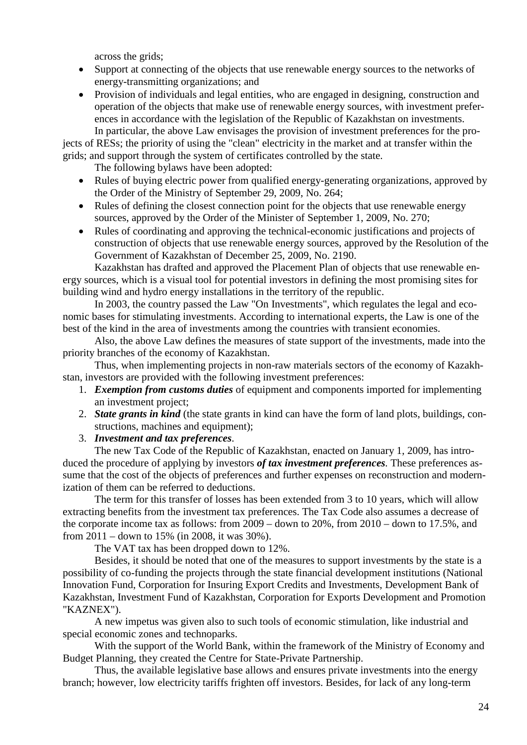across the grids;

- Support at connecting of the objects that use renewable energy sources to the networks of energy-transmitting organizations; and
- Provision of individuals and legal entities, who are engaged in designing, construction and operation of the objects that make use of renewable energy sources, with investment preferences in accordance with the legislation of the Republic of Kazakhstan on investments. In particular, the above Law envisages the provision of investment preferences for the pro-

jects of RESs; the priority of using the "clean" electricity in the market and at transfer within the grids; and support through the system of certificates controlled by the state.

The following bylaws have been adopted:

- Rules of buying electric power from qualified energy-generating organizations, approved by the Order of the Ministry of September 29, 2009, No. 264;
- Rules of defining the closest connection point for the objects that use renewable energy sources, approved by the Order of the Minister of September 1, 2009, No. 270;
- Rules of coordinating and approving the technical-economic justifications and projects of construction of objects that use renewable energy sources, approved by the Resolution of the Government of Kazakhstan of December 25, 2009, No. 2190.

Kazakhstan has drafted and approved the Placement Plan of objects that use renewable energy sources, which is a visual tool for potential investors in defining the most promising sites for building wind and hydro energy installations in the territory of the republic.

In 2003, the country passed the Law "On Investments", which regulates the legal and economic bases for stimulating investments. According to international experts, the Law is one of the best of the kind in the area of investments among the countries with transient economies.

Also, the above Law defines the measures of state support of the investments, made into the priority branches of the economy of Kazakhstan.

Thus, when implementing projects in non-raw materials sectors of the economy of Kazakhstan, investors are provided with the following investment preferences:

- 1. *Exemption from customs duties* of equipment and components imported for implementing an investment project;
- 2. *State grants in kind* (the state grants in kind can have the form of land plots, buildings, constructions, machines and equipment);

3. *Investment and tax preferences*.

The new Tax Code of the Republic of Kazakhstan, enacted on January 1, 2009, has introduced the procedure of applying by investors *of tax investment preferences.* These preferences assume that the cost of the objects of preferences and further expenses on reconstruction and modernization of them can be referred to deductions.

The term for this transfer of losses has been extended from 3 to 10 years, which will allow extracting benefits from the investment tax preferences. The Tax Code also assumes a decrease of the corporate income tax as follows: from 2009 – down to 20%, from 2010 – down to 17.5%, and from 2011 – down to 15% (in 2008, it was 30%).

The VAT tax has been dropped down to 12%.

Besides, it should be noted that one of the measures to support investments by the state is a possibility of co-funding the projects through the state financial development institutions (National Innovation Fund, Corporation for Insuring Export Credits and Investments, Development Bank of Kazakhstan, Investment Fund of Kazakhstan, Corporation for Exports Development and Promotion "KAZNEX").

A new impetus was given also to such tools of economic stimulation, like industrial and special economic zones and technoparks.

With the support of the World Bank, within the framework of the Ministry of Economy and Budget Planning, they created the Centre for State-Private Partnership.

Thus, the available legislative base allows and ensures private investments into the energy branch; however, low electricity tariffs frighten off investors. Besides, for lack of any long-term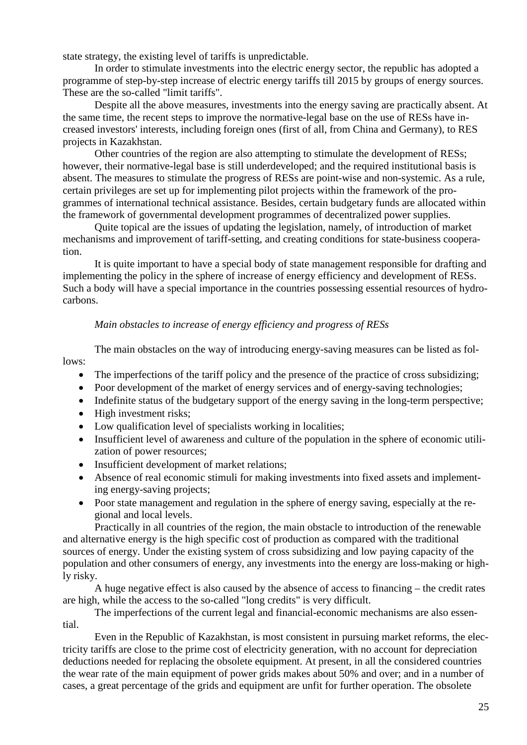state strategy, the existing level of tariffs is unpredictable.

In order to stimulate investments into the electric energy sector, the republic has adopted a programme of step-by-step increase of electric energy tariffs till 2015 by groups of energy sources. These are the so-called "limit tariffs".

Despite all the above measures, investments into the energy saving are practically absent. At the same time, the recent steps to improve the normative-legal base on the use of RESs have increased investors' interests, including foreign ones (first of all, from China and Germany), to RES projects in Kazakhstan.

Other countries of the region are also attempting to stimulate the development of RESs; however, their normative-legal base is still underdeveloped; and the required institutional basis is absent. The measures to stimulate the progress of RESs are point-wise and non-systemic. As a rule, certain privileges are set up for implementing pilot projects within the framework of the programmes of international technical assistance. Besides, certain budgetary funds are allocated within the framework of governmental development programmes of decentralized power supplies.

Quite topical are the issues of updating the legislation, namely, of introduction of market mechanisms and improvement of tariff-setting, and creating conditions for state-business cooperation.

It is quite important to have a special body of state management responsible for drafting and implementing the policy in the sphere of increase of energy efficiency and development of RESs. Such a body will have a special importance in the countries possessing essential resources of hydrocarbons.

### *Main obstacles to increase of energy efficiency and progress of RESs*

<span id="page-24-0"></span>The main obstacles on the way of introducing energy-saving measures can be listed as follows:

- The imperfections of the tariff policy and the presence of the practice of cross subsidizing;
- Poor development of the market of energy services and of energy-saving technologies;
- Indefinite status of the budgetary support of the energy saving in the long-term perspective;
- High investment risks;
- Low qualification level of specialists working in localities;
- Insufficient level of awareness and culture of the population in the sphere of economic utilization of power resources;
- Insufficient development of market relations;
- Absence of real economic stimuli for making investments into fixed assets and implementing energy-saving projects;
- Poor state management and regulation in the sphere of energy saving, especially at the regional and local levels.

Practically in all countries of the region, the main obstacle to introduction of the renewable and alternative energy is the high specific cost of production as compared with the traditional sources of energy. Under the existing system of cross subsidizing and low paying capacity of the population and other consumers of energy, any investments into the energy are loss-making or highly risky.

A huge negative effect is also caused by the absence of access to financing – the credit rates are high, while the access to the so-called "long credits" is very difficult.

The imperfections of the current legal and financial-economic mechanisms are also essential.

Even in the Republic of Kazakhstan, is most consistent in pursuing market reforms, the electricity tariffs are close to the prime cost of electricity generation, with no account for depreciation deductions needed for replacing the obsolete equipment. At present, in all the considered countries the wear rate of the main equipment of power grids makes about 50% and over; and in a number of cases, a great percentage of the grids and equipment are unfit for further operation. The obsolete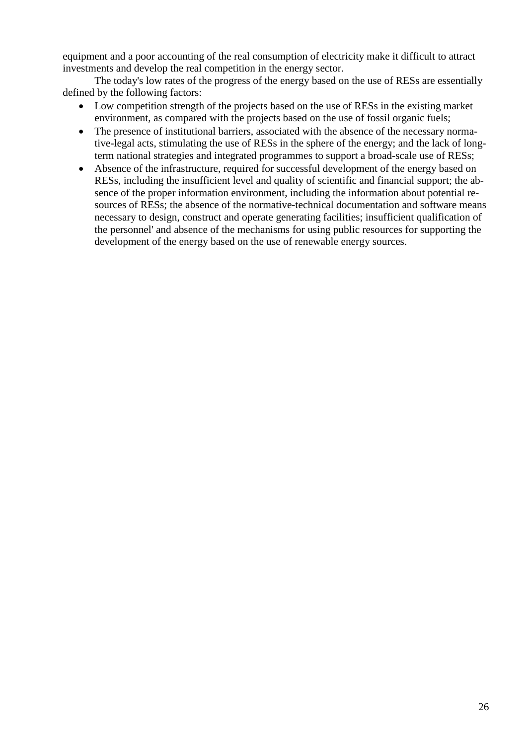equipment and a poor accounting of the real consumption of electricity make it difficult to attract investments and develop the real competition in the energy sector.

The today's low rates of the progress of the energy based on the use of RESs are essentially defined by the following factors:

- Low competition strength of the projects based on the use of RESs in the existing market environment, as compared with the projects based on the use of fossil organic fuels;
- The presence of institutional barriers, associated with the absence of the necessary normative-legal acts, stimulating the use of RESs in the sphere of the energy; and the lack of longterm national strategies and integrated programmes to support a broad-scale use of RESs;
- Absence of the infrastructure, required for successful development of the energy based on RESs, including the insufficient level and quality of scientific and financial support; the absence of the proper information environment, including the information about potential resources of RESs; the absence of the normative-technical documentation and software means necessary to design, construct and operate generating facilities; insufficient qualification of the personnel' and absence of the mechanisms for using public resources for supporting the development of the energy based on the use of renewable energy sources.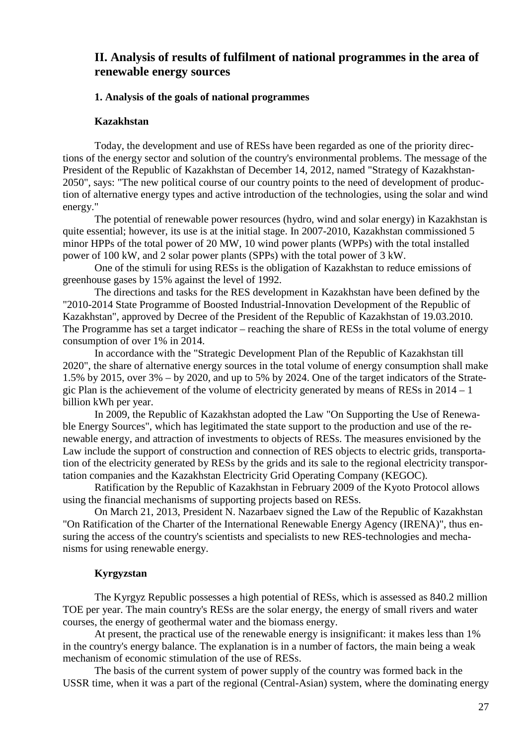# <span id="page-26-0"></span>**II. Analysis of results of fulfilment of national programmes in the area of renewable energy sources**

### <span id="page-26-1"></span>**1. Analysis of the goals of national programmes**

### **Kazakhstan**

<span id="page-26-2"></span>Today, the development and use of RESs have been regarded as one of the priority directions of the energy sector and solution of the country's environmental problems. The message of the President of the Republic of Kazakhstan of December 14, 2012, named "Strategy of Kazakhstan-2050", says: "The new political course of our country points to the need of development of production of alternative energy types and active introduction of the technologies, using the solar and wind energy."

The potential of renewable power resources (hydro, wind and solar energy) in Kazakhstan is quite essential; however, its use is at the initial stage. In 2007-2010, Kazakhstan commissioned 5 minor HPPs of the total power of 20 МW, 10 wind power plants (WPPs) with the total installed power of 100 kW, and 2 solar power plants (SPPs) with the total power of 3 kW.

One of the stimuli for using RESs is the obligation of Kazakhstan to reduce emissions of greenhouse gases by 15% against the level of 1992.

The directions and tasks for the RES development in Kazakhstan have been defined by the "2010-2014 State Programme of Boosted Industrial-Innovation Development of the Republic of Kazakhstan", approved by Decree of the President of the Republic of Kazakhstan of 19.03.2010. The Programme has set a target indicator – reaching the share of RESs in the total volume of energy consumption of over 1% in 2014.

In accordance with the "Strategic Development Plan of the Republic of Kazakhstan till 2020", the share of alternative energy sources in the total volume of energy consumption shall make 1.5% by 2015, over 3% – by 2020, and up to 5% by 2024. One of the target indicators of the Strategic Plan is the achievement of the volume of electricity generated by means of RESs in 2014 – 1 billion kWh per year.

In 2009, the Republic of Kazakhstan adopted the Law "On Supporting the Use of Renewable Energy Sources", which has legitimated the state support to the production and use of the renewable energy, and attraction of investments to objects of RESs. The measures envisioned by the Law include the support of construction and connection of RES objects to electric grids, transportation of the electricity generated by RESs by the grids and its sale to the regional electricity transportation companies and the Kazakhstan Electricity Grid Operating Company (KEGOC).

Ratification by the Republic of Kazakhstan in February 2009 of the Kyoto Protocol allows using the financial mechanisms of supporting projects based on RESs.

On March 21, 2013, President N. Nazarbaev signed the Law of the Republic of Kazakhstan "On Ratification of the Charter of the International Renewable Energy Agency (IRENA)", thus ensuring the access of the country's scientists and specialists to new RES-technologies and mechanisms for using renewable energy.

### **Kyrgyzstan**

<span id="page-26-3"></span>The Kyrgyz Republic possesses a high potential of RESs, which is assessed as 840.2 million TOE per year. The main country's RESs are the solar energy, the energy of small rivers and water courses, the energy of geothermal water and the biomass energy.

At present, the practical use of the renewable energy is insignificant: it makes less than 1% in the country's energy balance. The explanation is in a number of factors, the main being a weak mechanism of economic stimulation of the use of RESs.

The basis of the current system of power supply of the country was formed back in the USSR time, when it was a part of the regional (Central-Asian) system, where the dominating energy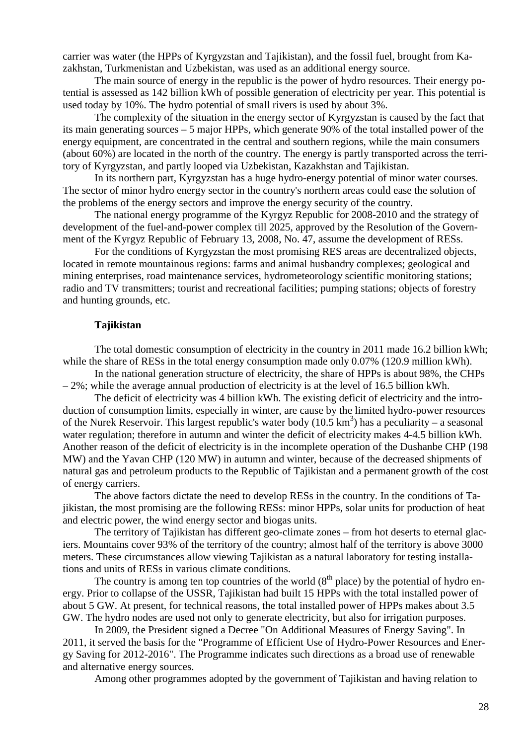carrier was water (the HPPs of Kyrgyzstan and Tajikistan), and the fossil fuel, brought from Kazakhstan, Turkmenistan and Uzbekistan, was used as an additional energy source.

The main source of energy in the republic is the power of hydro resources. Their energy potential is assessed as 142 billion kWh of possible generation of electricity per year. This potential is used today by 10%. The hydro potential of small rivers is used by about 3%.

The complexity of the situation in the energy sector of Kyrgyzstan is caused by the fact that its main generating sources – 5 major HPPs, which generate 90% of the total installed power of the energy equipment, are concentrated in the central and southern regions, while the main consumers (about 60%) are located in the north of the country. The energy is partly transported across the territory of Kyrgyzstan, and partly looped via Uzbekistan, Kazakhstan and Tajikistan.

In its northern part, Kyrgyzstan has a huge hydro-energy potential of minor water courses. The sector of minor hydro energy sector in the country's northern areas could ease the solution of the problems of the energy sectors and improve the energy security of the country.

The national energy programme of the Kyrgyz Republic for 2008-2010 and the strategy of development of the fuel-and-power complex till 2025, approved by the Resolution of the Government of the Kyrgyz Republic of February 13, 2008, No. 47, assume the development of RESs.

For the conditions of Kyrgyzstan the most promising RES areas are decentralized objects, located in remote mountainous regions: farms and animal husbandry complexes; geological and mining enterprises, road maintenance services, hydrometeorology scientific monitoring stations; radio and TV transmitters; tourist and recreational facilities; pumping stations; objects of forestry and hunting grounds, etc.

### **Tajikistan**

<span id="page-27-0"></span>The total domestic consumption of electricity in the country in 2011 made 16.2 billion kWh; while the share of RESs in the total energy consumption made only 0.07% (120.9 million kWh).

In the national generation structure of electricity, the share of HPPs is about 98%, the CHPs – 2%; while the average annual production of electricity is at the level of 16.5 billion kWh.

The deficit of electricity was 4 billion kWh. The existing deficit of electricity and the introduction of consumption limits, especially in winter, are cause by the limited hydro-power resources of the Nurek Reservoir. This largest republic's water body  $(10.5 \text{ km}^3)$  has a peculiarity – a seasonal water regulation; therefore in autumn and winter the deficit of electricity makes 4-4.5 billion kWh. Another reason of the deficit of electricity is in the incomplete operation of the Dushanbe CHP (198 МW) and the Yavan CHP (120 МW) in autumn and winter, because of the decreased shipments of natural gas and petroleum products to the Republic of Tajikistan and a permanent growth of the cost of energy carriers.

The above factors dictate the need to develop RESs in the country. In the conditions of Tajikistan, the most promising are the following RESs: minor HPPs, solar units for production of heat and electric power, the wind energy sector and biogas units.

The territory of Tajikistan has different geo-climate zones – from hot deserts to eternal glaciers. Mountains cover 93% of the territory of the country; almost half of the territory is above 3000 meters. These circumstances allow viewing Tajikistan as a natural laboratory for testing installations and units of RESs in various climate conditions.

The country is among ten top countries of the world  $(8<sup>th</sup>$  place) by the potential of hydro energy. Prior to collapse of the USSR, Tajikistan had built 15 HPPs with the total installed power of about 5 GW. At present, for technical reasons, the total installed power of HPPs makes about 3.5 GW. The hydro nodes are used not only to generate electricity, but also for irrigation purposes.

In 2009, the President signed a Decree "On Additional Measures of Energy Saving". In 2011, it served the basis for the "Programme of Efficient Use of Hydro-Power Resources and Energy Saving for 2012-2016". The Programme indicates such directions as a broad use of renewable and alternative energy sources.

Among other programmes adopted by the government of Tajikistan and having relation to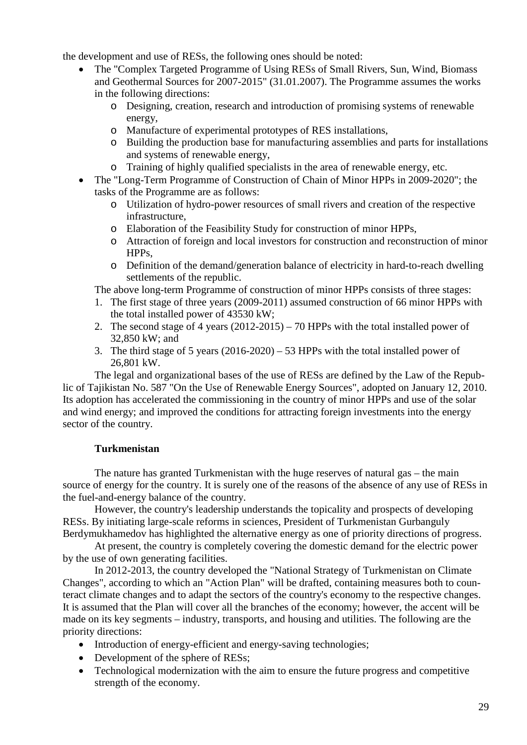the development and use of RESs, the following ones should be noted:

- The "Complex Targeted Programme of Using RESs of Small Rivers, Sun, Wind, Biomass and Geothermal Sources for 2007-2015" (31.01.2007). The Programme assumes the works in the following directions:
	- o Designing, creation, research and introduction of promising systems of renewable energy,
	- o Manufacture of experimental prototypes of RES installations,
	- o Building the production base for manufacturing assemblies and parts for installations and systems of renewable energy,
	- o Training of highly qualified specialists in the area of renewable energy, etc.
- The "Long-Term Programme of Construction of Chain of Minor HPPs in 2009-2020"; the tasks of the Programme are as follows:
	- o Utilization of hydro-power resources of small rivers and creation of the respective infrastructure,
	- o Elaboration of the Feasibility Study for construction of minor HPPs,
	- o Attraction of foreign and local investors for construction and reconstruction of minor HPPs,
	- o Definition of the demand/generation balance of electricity in hard-to-reach dwelling settlements of the republic.

The above long-term Programme of construction of minor HPPs consists of three stages:

- 1. The first stage of three years (2009-2011) assumed construction of 66 minor HPPs with the total installed power of 43530 kW;
- 2. The second stage of 4 years (2012-2015) 70 HPPs with the total installed power of 32,850 kW; and
- 3. The third stage of 5 years (2016-2020) 53 HPPs with the total installed power of 26,801 kW.

The legal and organizational bases of the use of RESs are defined by the Law of the Republic of Tajikistan No. 587 "On the Use of Renewable Energy Sources", adopted on January 12, 2010. Its adoption has accelerated the commissioning in the country of minor HPPs and use of the solar and wind energy; and improved the conditions for attracting foreign investments into the energy sector of the country.

# **Turkmenistan**

<span id="page-28-0"></span>The nature has granted Turkmenistan with the huge reserves of natural gas – the main source of energy for the country. It is surely one of the reasons of the absence of any use of RESs in the fuel-and-energy balance of the country.

However, the country's leadership understands the topicality and prospects of developing RESs. By initiating large-scale reforms in sciences, President of Turkmenistan Gurbanguly Berdymukhamedov has highlighted the alternative energy as one of priority directions of progress.

At present, the country is completely covering the domestic demand for the electric power by the use of own generating facilities.

In 2012-2013, the country developed the "National Strategy of Turkmenistan on Climate Changes", according to which an "Action Plan" will be drafted, containing measures both to counteract climate changes and to adapt the sectors of the country's economy to the respective changes. It is assumed that the Plan will cover all the branches of the economy; however, the accent will be made on its key segments – industry, transports, and housing and utilities. The following are the priority directions:

- Introduction of energy-efficient and energy-saving technologies;
- Development of the sphere of RESs;
- Technological modernization with the aim to ensure the future progress and competitive strength of the economy.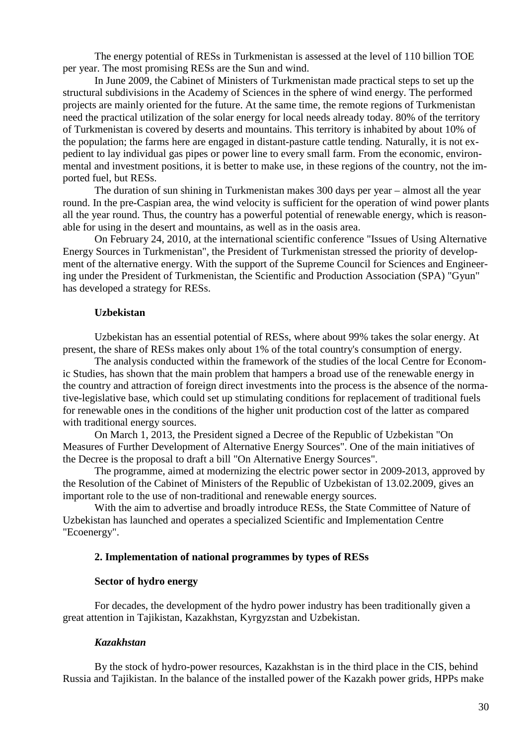The energy potential of RESs in Turkmenistan is assessed at the level of 110 billion TOE per year. The most promising RESs are the Sun and wind.

In June 2009, the Cabinet of Ministers of Turkmenistan made practical steps to set up the structural subdivisions in the Academy of Sciences in the sphere of wind energy. The performed projects are mainly oriented for the future. At the same time, the remote regions of Turkmenistan need the practical utilization of the solar energy for local needs already today. 80% of the territory of Turkmenistan is covered by deserts and mountains. This territory is inhabited by about 10% of the population; the farms here are engaged in distant-pasture cattle tending. Naturally, it is not expedient to lay individual gas pipes or power line to every small farm. From the economic, environmental and investment positions, it is better to make use, in these regions of the country, not the imported fuel, but RESs.

The duration of sun shining in Turkmenistan makes 300 days per year – almost all the year round. In the pre-Caspian area, the wind velocity is sufficient for the operation of wind power plants all the year round. Thus, the country has a powerful potential of renewable energy, which is reasonable for using in the desert and mountains, as well as in the oasis area.

On February 24, 2010, at the international scientific conference "Issues of Using Alternative Energy Sources in Turkmenistan", the President of Turkmenistan stressed the priority of development of the alternative energy. With the support of the Supreme Council for Sciences and Engineering under the President of Turkmenistan, the Scientific and Production Association (SPA) "Gyun" has developed a strategy for RESs.

### **Uzbekistan**

<span id="page-29-0"></span>Uzbekistan has an essential potential of RESs, where about 99% takes the solar energy. At present, the share of RESs makes only about 1% of the total country's consumption of energy.

The analysis conducted within the framework of the studies of the local Centre for Economic Studies, has shown that the main problem that hampers a broad use of the renewable energy in the country and attraction of foreign direct investments into the process is the absence of the normative-legislative base, which could set up stimulating conditions for replacement of traditional fuels for renewable ones in the conditions of the higher unit production cost of the latter as compared with traditional energy sources.

On March 1, 2013, the President signed a Decree of the Republic of Uzbekistan "On Measures of Further Development of Alternative Energy Sources". One of the main initiatives of the Decree is the proposal to draft a bill "On Alternative Energy Sources".

The programme, aimed at modernizing the electric power sector in 2009-2013, approved by the Resolution of the Cabinet of Ministers of the Republic of Uzbekistan of 13.02.2009, gives an important role to the use of non-traditional and renewable energy sources.

With the aim to advertise and broadly introduce RESs, the State Committee of Nature of Uzbekistan has launched and operates a specialized Scientific and Implementation Centre "Ecoenergy".

### <span id="page-29-1"></span>**2. Implementation of national programmes by types of RESs**

#### **Sector of hydro energy**

For decades, the development of the hydro power industry has been traditionally given a great attention in Tajikistan, Kazakhstan, Kyrgyzstan and Uzbekistan.

#### *Kazakhstan*

<span id="page-29-2"></span>By the stock of hydro-power resources, Kazakhstan is in the third place in the CIS, behind Russia and Tajikistan. In the balance of the installed power of the Kazakh power grids, HPPs make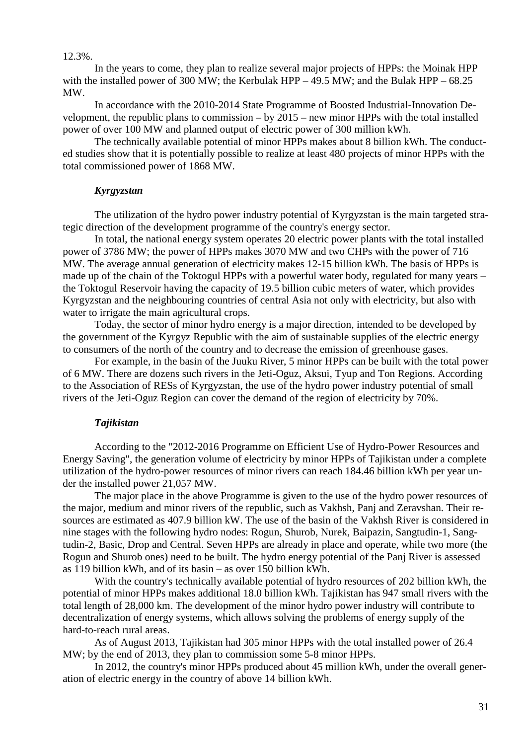### 12.3%.

In the years to come, they plan to realize several major projects of HPPs: the Moinak HPP with the installed power of 300 MW; the Kerbulak HPP – 49.5 MW; and the Bulak HPP –  $68.25$ МW.

In accordance with the 2010-2014 State Programme of Boosted Industrial-Innovation Development, the republic plans to commission – by 2015 – new minor HPPs with the total installed power of over 100 МW and planned output of electric power of 300 million kWh.

The technically available potential of minor HPPs makes about 8 billion kWh. The conducted studies show that it is potentially possible to realize at least 480 projects of minor HPPs with the total commissioned power of 1868 МW.

### *Kyrgyzstan*

<span id="page-30-0"></span>The utilization of the hydro power industry potential of Kyrgyzstan is the main targeted strategic direction of the development programme of the country's energy sector.

In total, the national energy system operates 20 electric power plants with the total installed power of 3786 МW; the power of HPPs makes 3070 МW and two CHPs with the power of 716 МW. The average annual generation of electricity makes 12-15 billion kWh. The basis of HPPs is made up of the chain of the Toktogul HPPs with a powerful water body, regulated for many years – the Toktogul Reservoir having the capacity of 19.5 billion cubic meters of water, which provides Kyrgyzstan and the neighbouring countries of central Asia not only with electricity, but also with water to irrigate the main agricultural crops.

Today, the sector of minor hydro energy is a major direction, intended to be developed by the government of the Kyrgyz Republic with the aim of sustainable supplies of the electric energy to consumers of the north of the country and to decrease the emission of greenhouse gases.

For example, in the basin of the Juuku River, 5 minor HPPs can be built with the total power of 6 MW. There are dozens such rivers in the Jeti-Oguz, Aksui, Tyup and Ton Regions. According to the Association of RESs of Kyrgyzstan, the use of the hydro power industry potential of small rivers of the Jeti-Oguz Region can cover the demand of the region of electricity by 70%.

# *Tajikistan*

<span id="page-30-1"></span>According to the "2012-2016 Programme on Efficient Use of Hydro-Power Resources and Energy Saving", the generation volume of electricity by minor HPPs of Tajikistan under a complete utilization of the hydro-power resources of minor rivers can reach 184.46 billion kWh per year under the installed power 21,057 MW.

The major place in the above Programme is given to the use of the hydro power resources of the major, medium and minor rivers of the republic, such as Vakhsh, Panj and Zeravshan. Their resources are estimated as 407.9 billion kW. The use of the basin of the Vakhsh River is considered in nine stages with the following hydro nodes: Rogun, Shurob, Nurek, Baipazin, Sangtudin-1, Sangtudin-2, Basic, Drop and Central. Seven HPPs are already in place and operate, while two more (the Rogun and Shurob ones) need to be built. The hydro energy potential of the Panj River is assessed as 119 billion kWh, and of its basin – as over 150 billion kWh.

With the country's technically available potential of hydro resources of 202 billion kWh, the potential of minor HPPs makes additional 18.0 billion kWh. Tajikistan has 947 small rivers with the total length of 28,000 km. The development of the minor hydro power industry will contribute to decentralization of energy systems, which allows solving the problems of energy supply of the hard-to-reach rural areas.

As of August 2013, Tajikistan had 305 minor HPPs with the total installed power of 26.4 МW; by the end of 2013, they plan to commission some 5-8 minor HPPs.

In 2012, the country's minor HPPs produced about 45 million kWh, under the overall generation of electric energy in the country of above 14 billion kWh.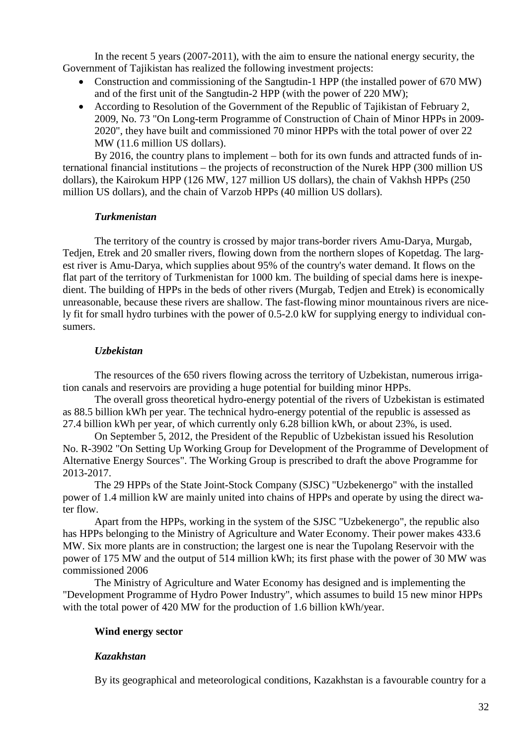In the recent 5 years (2007-2011), with the aim to ensure the national energy security, the Government of Tajikistan has realized the following investment projects:

- Construction and commissioning of the Sangtudin-1 HPP (the installed power of 670 MW) and of the first unit of the Sangtudin-2 HPP (with the power of 220 МW);
- According to Resolution of the Government of the Republic of Tajikistan of February 2, 2009, No. 73 "On Long-term Programme of Construction of Chain of Minor HPPs in 2009- 2020", they have built and commissioned 70 minor HPPs with the total power of over 22 МW (11.6 million US dollars).

By 2016, the country plans to implement – both for its own funds and attracted funds of international financial institutions – the projects of reconstruction of the Nurek HPP (300 million US dollars), the Kairokum HPP (126 МW, 127 million US dollars), the chain of Vakhsh HPPs (250 million US dollars), and the chain of Varzob HPPs (40 million US dollars).

### *Turkmenistan*

<span id="page-31-0"></span>The territory of the country is crossed by major trans-border rivers Amu-Darya, Murgab, Tedjen, Etrek and 20 smaller rivers, flowing down from the northern slopes of Kopetdag. The largest river is Amu-Darya, which supplies about 95% of the country's water demand. It flows on the flat part of the territory of Turkmenistan for 1000 km. The building of special dams here is inexpedient. The building of HPPs in the beds of other rivers (Murgab, Tedjen and Etrek) is economically unreasonable, because these rivers are shallow. The fast-flowing minor mountainous rivers are nicely fit for small hydro turbines with the power of 0.5-2.0 kW for supplying energy to individual consumers.

# *Uzbekistan*

<span id="page-31-1"></span>The resources of the 650 rivers flowing across the territory of Uzbekistan, numerous irrigation canals and reservoirs are providing a huge potential for building minor HPPs.

The overall gross theoretical hydro-energy potential of the rivers of Uzbekistan is estimated as 88.5 billion kWh per year. The technical hydro-energy potential of the republic is assessed as 27.4 billion kWh per year, of which currently only 6.28 billion kWh, or about 23%, is used.

On September 5, 2012, the President of the Republic of Uzbekistan issued his Resolution No. R-3902 "On Setting Up Working Group for Development of the Programme of Development of Alternative Energy Sources". The Working Group is prescribed to draft the above Programme for 2013-2017.

The 29 HPPs of the State Joint-Stock Company (SJSC) "Uzbekenergo" with the installed power of 1.4 million kW are mainly united into chains of HPPs and operate by using the direct water flow.

Apart from the HPPs, working in the system of the SJSC "Uzbekenergo", the republic also has HPPs belonging to the Ministry of Agriculture and Water Economy. Their power makes 433.6 МW. Six more plants are in construction; the largest one is near the Tupolang Reservoir with the power of 175 МW and the output of 514 million kWh; its first phase with the power of 30 МW was commissioned 2006

The Ministry of Agriculture and Water Economy has designed and is implementing the "Development Programme of Hydro Power Industry", which assumes to build 15 new minor HPPs with the total power of 420 MW for the production of 1.6 billion kWh/year.

# <span id="page-31-2"></span>**Wind energy sector**

# <span id="page-31-3"></span>*Kazakhstan*

By its geographical and meteorological conditions, Kazakhstan is a favourable country for a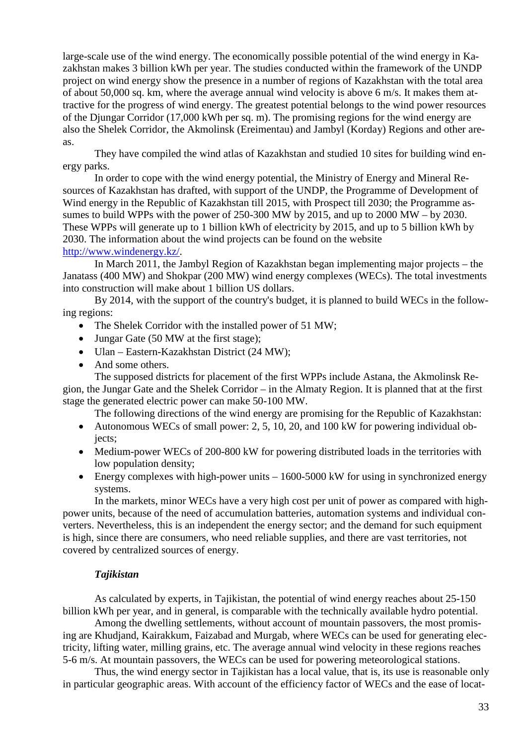large-scale use of the wind energy. The economically possible potential of the wind energy in Kazakhstan makes 3 billion kWh per year. The studies conducted within the framework of the UNDP project on wind energy show the presence in a number of regions of Kazakhstan with the total area of about 50,000 sq. km, where the average annual wind velocity is above 6 m/s. It makes them attractive for the progress of wind energy. The greatest potential belongs to the wind power resources of the Djungar Corridor (17,000 kWh per sq. m). The promising regions for the wind energy are also the Shelek Corridor, the Akmolinsk (Ereimentau) and Jambyl (Korday) Regions and other areas.

They have compiled the wind atlas of Kazakhstan and studied 10 sites for building wind energy parks.

In order to cope with the wind energy potential, the Ministry of Energy and Mineral Resources of Kazakhstan has drafted, with support of the UNDP, the Programme of Development of Wind energy in the Republic of Kazakhstan till 2015, with Prospect till 2030; the Programme assumes to build WPPs with the power of 250-300 МW by 2015, and up to 2000 МW – by 2030. These WPPs will generate up to 1 billion kWh of electricity by 2015, and up to 5 billion kWh by 2030. The information about the wind projects can be found on the website [http://www.windenergy.kz/.](http://www.windenergy.kz/)

In March 2011, the Jambyl Region of Kazakhstan began implementing major projects – the Janatass (400 МW) and Shokpar (200 МW) wind energy complexes (WECs). The total investments into construction will make about 1 billion US dollars.

By 2014, with the support of the country's budget, it is planned to build WECs in the following regions:

- The Shelek Corridor with the installed power of 51 MW;
- Jungar Gate (50 MW at the first stage);
- Ulan Eastern-Kazakhstan District (24 MW);
- And some others.

The supposed districts for placement of the first WPPs include Astana, the Akmolinsk Region, the Jungar Gate and the Shelek Corridor – in the Almaty Region. It is planned that at the first stage the generated electric power can make 50-100 МW.

The following directions of the wind energy are promising for the Republic of Kazakhstan:

- Autonomous WECs of small power: 2, 5, 10, 20, and 100 kW for powering individual objects;
- Medium-power WECs of 200-800 kW for powering distributed loads in the territories with low population density;
- Energy complexes with high-power units  $-1600-5000$  kW for using in synchronized energy systems.

In the markets, minor WECs have a very high cost per unit of power as compared with highpower units, because of the need of accumulation batteries, automation systems and individual converters. Nevertheless, this is an independent the energy sector; and the demand for such equipment is high, since there are consumers, who need reliable supplies, and there are vast territories, not covered by centralized sources of energy.

### *Tajikistan*

<span id="page-32-0"></span>As calculated by experts, in Tajikistan, the potential of wind energy reaches about 25-150 billion kWh per year, and in general, is comparable with the technically available hydro potential.

Among the dwelling settlements, without account of mountain passovers, the most promising are Khudjand, Kairakkum, Faizabad and Murgab, where WECs can be used for generating electricity, lifting water, milling grains, etc. The average annual wind velocity in these regions reaches 5-6 m/s. At mountain passovers, the WECs can be used for powering meteorological stations.

Thus, the wind energy sector in Tajikistan has a local value, that is, its use is reasonable only in particular geographic areas. With account of the efficiency factor of WECs and the ease of locat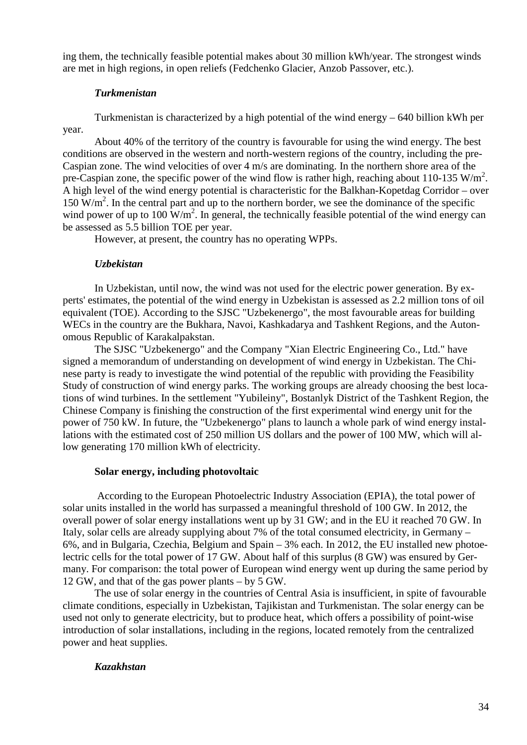ing them, the technically feasible potential makes about 30 million kWh/year. The strongest winds are met in high regions, in open reliefs (Fedchenko Glacier, Anzob Passover, etc.).

### *Turkmenistan*

<span id="page-33-0"></span>Turkmenistan is characterized by a high potential of the wind energy – 640 billion kWh per year.

About 40% of the territory of the country is favourable for using the wind energy. The best conditions are observed in the western and north-western regions of the country, including the pre-Caspian zone. The wind velocities of over 4 m/s are dominating. In the northern shore area of the pre-Caspian zone, the specific power of the wind flow is rather high, reaching about 110-135 W/m<sup>2</sup>. A high level of the wind energy potential is characteristic for the Balkhan-Kopetdag Corridor – over 150 W/m<sup>2</sup>. In the central part and up to the northern border, we see the dominance of the specific wind power of up to 100  $W/m^2$ . In general, the technically feasible potential of the wind energy can be assessed as 5.5 billion TOE per year.

However, at present, the country has no operating WPPs.

### *Uzbekistan*

<span id="page-33-1"></span>In Uzbekistan, until now, the wind was not used for the electric power generation. By experts' estimates, the potential of the wind energy in Uzbekistan is assessed as 2.2 million tons of oil equivalent (TOE). According to the SJSC "Uzbekenergo", the most favourable areas for building WECs in the country are the Bukhara, Navoi, Kashkadarya and Tashkent Regions, and the Autonomous Republic of Karakalpakstan.

The SJSC "Uzbekenergo" and the Company "Xian Electric Engineering Co., Ltd." have signed a memorandum of understanding on development of wind energy in Uzbekistan. The Chinese party is ready to investigate the wind potential of the republic with providing the Feasibility Study of construction of wind energy parks. The working groups are already choosing the best locations of wind turbines. In the settlement "Yubileiny", Bostanlyk District of the Tashkent Region, the Chinese Company is finishing the construction of the first experimental wind energy unit for the power of 750 kW. In future, the "Uzbekenergo" plans to launch a whole park of wind energy installations with the estimated cost of 250 million US dollars and the power of 100 МW, which will allow generating 170 million kWh of electricity.

### **Solar energy, including photovoltaic**

<span id="page-33-2"></span>According to the European Photoelectric Industry Association (EPIA), the total power of solar units installed in the world has surpassed a meaningful threshold of 100 GW. In 2012, the overall power of solar energy installations went up by 31 GW; and in the EU it reached 70 GW. In Italy, solar cells are already supplying about 7% of the total consumed electricity, in Germany – 6%, and in Bulgaria, Czechia, Belgium and Spain – 3% each. In 2012, the EU installed new photoelectric cells for the total power of 17 GW. About half of this surplus (8 GW) was ensured by Germany. For comparison: the total power of European wind energy went up during the same period by 12 GW, and that of the gas power plants – by 5 GW.

The use of solar energy in the countries of Central Asia is insufficient, in spite of favourable climate conditions, especially in Uzbekistan, Tajikistan and Turkmenistan. The solar energy can be used not only to generate electricity, but to produce heat, which offers a possibility of point-wise introduction of solar installations, including in the regions, located remotely from the centralized power and heat supplies.

### <span id="page-33-3"></span>*Kazakhstan*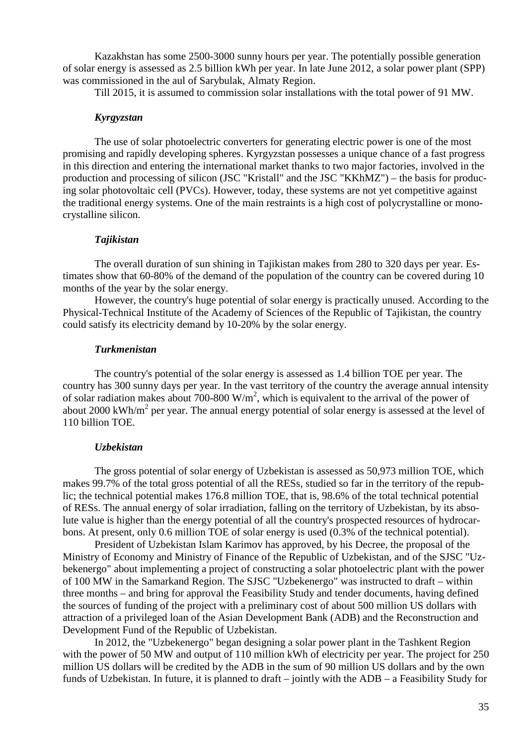Kazakhstan has some 2500-3000 sunny hours per year. The potentially possible generation of solar energy is assessed as 2.5 billion kWh per year. In late June 2012, a solar power plant (SPP) was commissioned in the aul of Sarybulak, Almaty Region.

Till 2015, it is assumed to commission solar installations with the total power of 91 МW.

### *Kyrgyzstan*

<span id="page-34-0"></span>The use of solar photoelectric converters for generating electric power is one of the most promising and rapidly developing spheres. Kyrgyzstan possesses a unique chance of a fast progress in this direction and entering the international market thanks to two major factories, involved in the production and processing of silicon (JSC "Kristall" and the JSC "KKhMZ") – the basis for producing solar photovoltaic cell (PVCs). However, today, these systems are not yet competitive against the traditional energy systems. One of the main restraints is a high cost of polycrystalline or monocrystalline silicon.

### *Tajikistan*

<span id="page-34-1"></span>The overall duration of sun shining in Tajikistan makes from 280 to 320 days per year. Estimates show that 60-80% of the demand of the population of the country can be covered during 10 months of the year by the solar energy.

However, the country's huge potential of solar energy is practically unused. According to the Physical-Technical Institute of the Academy of Sciences of the Republic of Tajikistan, the country could satisfy its electricity demand by 10-20% by the solar energy.

### *Turkmenistan*

<span id="page-34-2"></span>The country's potential of the solar energy is assessed as 1.4 billion TOE per year. The country has 300 sunny days per year. In the vast territory of the country the average annual intensity of solar radiation makes about 700-800 W/m<sup>2</sup>, which is equivalent to the arrival of the power of about 2000 kWh/m<sup>2</sup> per year. The annual energy potential of solar energy is assessed at the level of 110 billion TOE.

#### *Uzbekistan*

<span id="page-34-3"></span>The gross potential of solar energy of Uzbekistan is assessed as 50,973 million TOE, which makes 99.7% of the total gross potential of all the RESs, studied so far in the territory of the republic; the technical potential makes 176.8 million TOE, that is, 98.6% of the total technical potential of RESs. The annual energy of solar irradiation, falling on the territory of Uzbekistan, by its absolute value is higher than the energy potential of all the country's prospected resources of hydrocarbons. At present, only 0.6 million TOE of solar energy is used (0.3% of the technical potential).

President of Uzbekistan Islam Karimov has approved, by his Decree, the proposal of the Ministry of Economy and Ministry of Finance of the Republic of Uzbekistan, and of the SJSC "Uzbekenergo" about implementing a project of constructing a solar photoelectric plant with the power of 100 МW in the Samarkand Region. The SJSC "Uzbekenergo" was instructed to draft – within three months – and bring for approval the Feasibility Study and tender documents, having defined the sources of funding of the project with a preliminary cost of about 500 million US dollars with attraction of a privileged loan of the Asian Development Bank (ADB) and the Reconstruction and Development Fund of the Republic of Uzbekistan.

In 2012, the "Uzbekenergo" began designing a solar power plant in the Tashkent Region with the power of 50 MW and output of 110 million kWh of electricity per year. The project for 250 million US dollars will be credited by the ADB in the sum of 90 million US dollars and by the own funds of Uzbekistan. In future, it is planned to draft – jointly with the ADB – a Feasibility Study for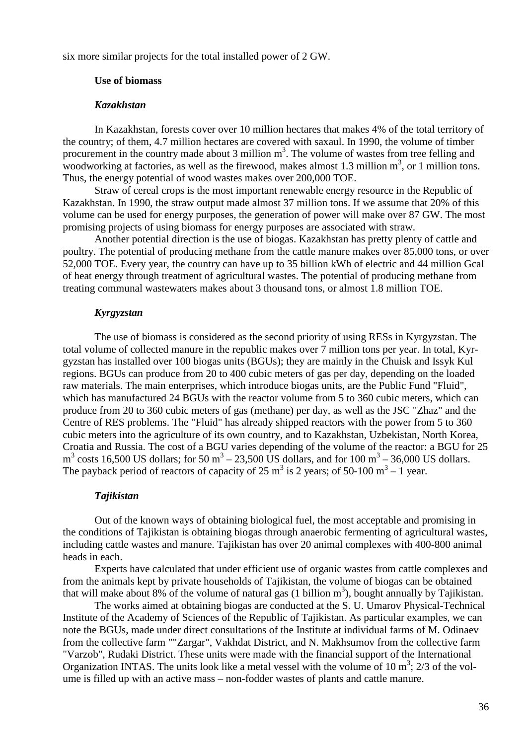<span id="page-35-0"></span>six more similar projects for the total installed power of 2 GW.

### **Use of biomass**

#### *Kazakhstan*

<span id="page-35-1"></span>In Kazakhstan, forests cover over 10 million hectares that makes 4% of the total territory of the country; of them, 4.7 million hectares are covered with saxaul. In 1990, the volume of timber procurement in the country made about 3 million  $m<sup>3</sup>$ . The volume of wastes from tree felling and woodworking at factories, as well as the firewood, makes almost 1.3 million  $m^3$ , or 1 million tons. Thus, the energy potential of wood wastes makes over 200,000 TOE.

Straw of cereal crops is the most important renewable energy resource in the Republic of Kazakhstan. In 1990, the straw output made almost 37 million tons. If we assume that 20% of this volume can be used for energy purposes, the generation of power will make over 87 GW. The most promising projects of using biomass for energy purposes are associated with straw.

Another potential direction is the use of biogas. Kazakhstan has pretty plenty of cattle and poultry. The potential of producing methane from the cattle manure makes over 85,000 tons, or over 52,000 TOE. Every year, the country can have up to 35 billion kWh of electric and 44 million Gcal of heat energy through treatment of agricultural wastes. The potential of producing methane from treating communal wastewaters makes about 3 thousand tons, or almost 1.8 million TOE.

### *Kyrgyzstan*

<span id="page-35-2"></span>The use of biomass is considered as the second priority of using RESs in Kyrgyzstan. The total volume of collected manure in the republic makes over 7 million tons per year. In total, Kyrgyzstan has installed over 100 biogas units (BGUs); they are mainly in the Chuisk and Issyk Kul regions. BGUs can produce from 20 to 400 cubic meters of gas per day, depending on the loaded raw materials. The main enterprises, which introduce biogas units, are the Public Fund "Fluid", which has manufactured 24 BGUs with the reactor volume from 5 to 360 cubic meters, which can produce from 20 to 360 cubic meters of gas (methane) per day, as well as the JSC "Zhaz" and the Centre of RES problems. The "Fluid" has already shipped reactors with the power from 5 to 360 cubic meters into the agriculture of its own country, and to Kazakhstan, Uzbekistan, North Korea, Croatia and Russia. The cost of a BGU varies depending of the volume of the reactor: a BGU for 25  $m<sup>3</sup>$  costs 16,500 US dollars; for 50  $m<sup>3</sup> - 23,500$  US dollars, and for 100  $m<sup>3</sup> - 36,000$  US dollars. The payback period of reactors of capacity of 25 m<sup>3</sup> is 2 years; of 50-100 m<sup>3</sup> – 1 year.

#### *Tajikistan*

<span id="page-35-3"></span>Out of the known ways of obtaining biological fuel, the most acceptable and promising in the conditions of Tajikistan is obtaining biogas through anaerobic fermenting of agricultural wastes, including cattle wastes and manure. Tajikistan has over 20 animal complexes with 400-800 animal heads in each.

Experts have calculated that under efficient use of organic wastes from cattle complexes and from the animals kept by private households of Tajikistan, the volume of biogas can be obtained that will make about 8% of the volume of natural gas  $(1 \text{ billion m}^3)$ , bought annually by Tajikistan.

The works aimed at obtaining biogas are conducted at the S. U. Umarov Physical-Technical Institute of the Academy of Sciences of the Republic of Tajikistan. As particular examples, we can note the BGUs, made under direct consultations of the Institute at individual farms of M. Odinaev from the collective farm ""Zargar", Vakhdat District, and N. Makhsumov from the collective farm "Varzob", Rudaki District. These units were made with the financial support of the International Organization INTAS. The units look like a metal vessel with the volume of 10  $m^3$ ; 2/3 of the volume is filled up with an active mass – non-fodder wastes of plants and cattle manure.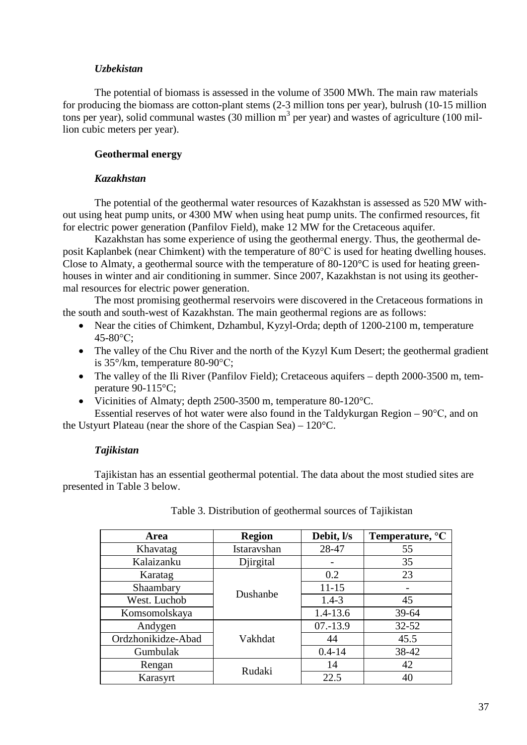#### *Uzbekistan*

The potential of biomass is assessed in the volume of 3500 МWh. The main raw materials for producing the biomass are cotton-plant stems (2-3 million tons per year), bulrush (10-15 million tons per year), solid communal wastes (30 million  $m<sup>3</sup>$  per year) and wastes of agriculture (100 million cubic meters per year).

#### **Geothermal energy**

#### *Kazakhstan*

The potential of the geothermal water resources of Kazakhstan is assessed as 520 МW without using heat pump units, or 4300 МW when using heat pump units. The confirmed resources, fit for electric power generation (Panfilov Field), make 12 МW for the Cretaceous aquifer.

Kazakhstan has some experience of using the geothermal energy. Thus, the geothermal deposit Kaplanbek (near Chimkent) with the temperature of 80°С is used for heating dwelling houses. Close to Almaty, a geothermal source with the temperature of 80-120°C is used for heating greenhouses in winter and air conditioning in summer. Since 2007, Kazakhstan is not using its geothermal resources for electric power generation.

The most promising geothermal reservoirs were discovered in the Cretaceous formations in the south and south-west of Kazakhstan. The main geothermal regions are as follows:

- Near the cities of Chimkent, Dzhambul, Kyzyl-Orda; depth of 1200-2100 m, temperature 45-80°С;
- The valley of the Chu River and the north of the Kyzyl Kum Desert; the geothermal gradient is 35°/km, temperature 80-90°С;
- The valley of the Ili River (Panfilov Field); Cretaceous aquifers depth 2000-3500 m, temperature 90-115°C;
- Vicinities of Almaty; depth 2500-3500 m, temperature 80-120°C.

Essential reserves of hot water were also found in the Taldykurgan Region – 90°С, and on the Ustyurt Plateau (near the shore of the Caspian Sea) – 120°C.

## *Tajikistan*

Tajikistan has an essential geothermal potential. The data about the most studied sites are presented in Table 3 below.

| Area               | <b>Region</b> | Debit, l/s   | Temperature, $\mathrm{C}$ |
|--------------------|---------------|--------------|---------------------------|
| Khavatag           | Istaravshan   | 28-47        | 55                        |
| Kalaizanku         | Diirgital     |              | 35                        |
| Karatag            |               | 0.2          | 23                        |
| Shaambary          | Dushanbe      | $11 - 15$    |                           |
| West. Luchob       |               | $1.4 - 3$    | 45                        |
| Komsomolskaya      |               | $1.4 - 13.6$ | 39-64                     |
| Andygen            |               | $07 - 13.9$  | $32 - 52$                 |
| Ordzhonikidze-Abad | Vakhdat       | 44           | 45.5                      |
| Gumbulak           |               | $0.4 - 14$   | 38-42                     |
| Rengan             | Rudaki        | 14           | 42                        |
| Karasyrt           |               | 22.5         | 40                        |

| Table 3. Distribution of geothermal sources of Tajikistan |  |
|-----------------------------------------------------------|--|
|-----------------------------------------------------------|--|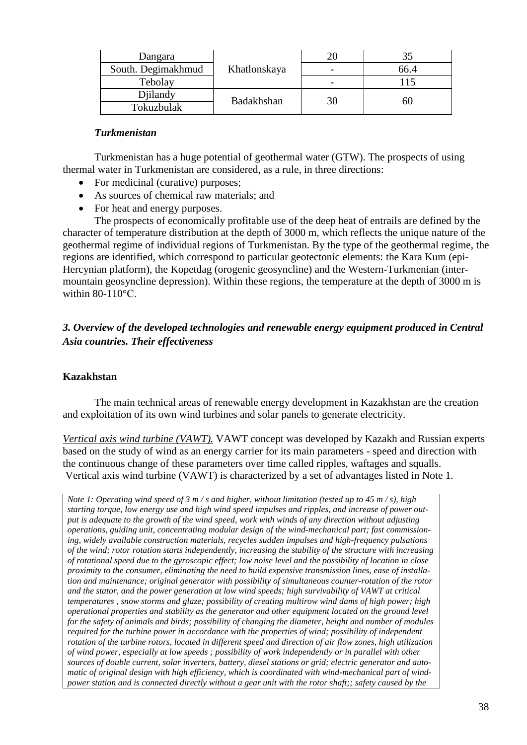| Dangara            |              |      |  |
|--------------------|--------------|------|--|
| South. Degimakhmud | Khatlonskaya | 66.4 |  |
| Tebolay            |              |      |  |
| Dillandy           | Badakhshan   |      |  |
| Tokuzbulak         |              | 60   |  |

#### *Turkmenistan*

Turkmenistan has a huge potential of geothermal water (GTW). The prospects of using thermal water in Turkmenistan are considered, as a rule, in three directions:

- For medicinal (curative) purposes;
- As sources of chemical raw materials; and
- For heat and energy purposes.

The prospects of economically profitable use of the deep heat of entrails are defined by the character of temperature distribution at the depth of 3000 m, which reflects the unique nature of the geothermal regime of individual regions of Turkmenistan. By the type of the geothermal regime, the regions are identified, which correspond to particular geotectonic elements: the Kara Kum (epi-Hercynian platform), the Kopetdag (orogenic geosyncline) and the Western-Turkmenian (intermountain geosyncline depression). Within these regions, the temperature at the depth of 3000 m is within  $80-110^{\circ}$ C.

*3. Overview of the developed technologies and renewable energy equipment produced in Central Asia countries. Their effectiveness*

## **Kazakhstan**

The main technical areas of renewable energy development in Kazakhstan are the creation and exploitation of its own wind turbines and solar panels to generate electricity.

*Vertical axis wind turbine (VAWT).* VAWT concept was developed by Kazakh and Russian experts based on the study of wind as an energy carrier for its main parameters - speed and direction with the continuous change of these parameters over time called ripples, waftages and squalls. Vertical axis wind turbine (VAWT) is characterized by a set of advantages listed in Note 1.

*Note 1: Operating wind speed of 3 m / s and higher, without limitation (tested up to 45 m / s), high starting torque, low energy use and high wind speed impulses and ripples, and increase of power output is adequate to the growth of the wind speed, work with winds of any direction without adjusting operations, guiding unit, concentrating modular design of the wind-mechanical part; fast commissioning, widely available construction materials, recycles sudden impulses and high-frequency pulsations of the wind; rotor rotation starts independently, increasing the stability of the structure with increasing of rotational speed due to the gyroscopic effect; low noise level and the possibility of location in close proximity to the consumer, eliminating the need to build expensive transmission lines, ease of installation and maintenance; original generator with possibility of simultaneous counter-rotation of the rotor and the stator, and the power generation at low wind speeds; high survivability of VAWT at critical temperatures , snow storms and glaze; possibility of creating multirow wind dams of high power; high operational properties and stability as the generator and other equipment located on the ground level for the safety of animals and birds; possibility of changing the diameter, height and number of modules required for the turbine power in accordance with the properties of wind; possibility of independent rotation of the turbine rotors, located in different speed and direction of air flow zones, high utilization of wind power, especially at low speeds ; possibility of work independently or in parallel with other sources of double current, solar inverters, battery, diesel stations or grid; electric generator and automatic of original design with high efficiency, which is coordinated with wind-mechanical part of windpower station and is connected directly without a gear unit with the rotor shaft;; safety caused by the*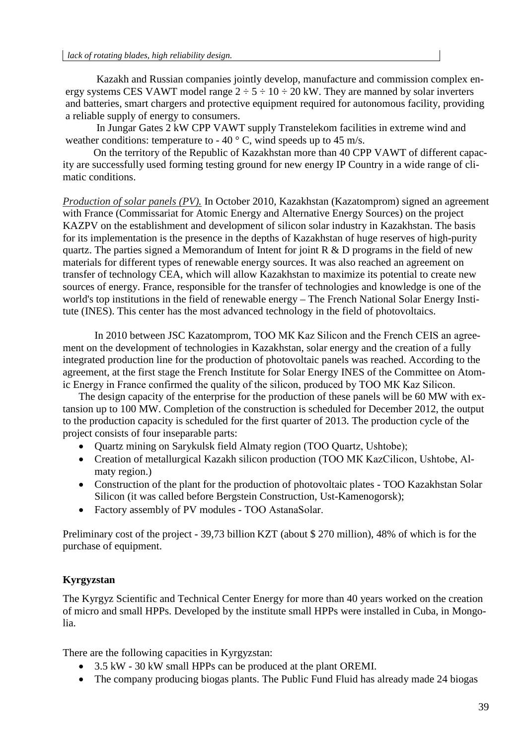Kazakh and Russian companies jointly develop, manufacture and commission complex energy systems CES VAWT model range  $2 \div 5 \div 10 \div 20$  kW. They are manned by solar inverters and batteries, smart chargers and protective equipment required for autonomous facility, providing a reliable supply of energy to consumers.

In Jungar Gates 2 kW CPP VAWT supply Transtelekom facilities in extreme wind and weather conditions: temperature to - 40  $\degree$  C, wind speeds up to 45 m/s.

On the territory of the Republic of Kazakhstan more than 40 CPP VAWT of different capacity are successfully used forming testing ground for new energy IP Country in a wide range of climatic conditions.

*Production of solar panels (PV).* In October 2010, Kazakhstan (Kazatomprom) signed an agreement with France (Commissariat for Atomic Energy and Alternative Energy Sources) on the project KAZPV on the establishment and development of silicon solar industry in Kazakhstan. The basis for its implementation is the presence in the depths of Kazakhstan of huge reserves of high-purity quartz. The parties signed a Memorandum of Intent for joint  $R \& D$  programs in the field of new materials for different types of renewable energy sources. It was also reached an agreement on transfer of technology CEA, which will allow Kazakhstan to maximize its potential to create new sources of energy. France, responsible for the transfer of technologies and knowledge is one of the world's top institutions in the field of renewable energy – The French National Solar Energy Institute (INES). This center has the most advanced technology in the field of photovoltaics.

In 2010 between JSC Kazatomprom, TOO MK Kaz Silicon and the French CEIS an agreement on the development of technologies in Kazakhstan, solar energy and the creation of a fully integrated production line for the production of photovoltaic panels was reached. According to the agreement, at the first stage the French Institute for Solar Energy INES of the Committee on Atomic Energy in France confirmed the quality of the silicon, produced by ТОО МК Kaz Silicon.

The design capacity of the enterprise for the production of these panels will be 60 MW with extansion up to 100 MW. Completion of the construction is scheduled for December 2012, the output to the production capacity is scheduled for the first quarter of 2013. The production cycle of the project consists of four inseparable parts:

- Quartz mining on Sarykulsk field Almaty region (TOO Quartz, Ushtobe);
- Creation of metallurgical Kazakh silicon production (ТОО МК KazCilicon, Ushtobe, Almaty region.)
- Construction of the plant for the production of photovoltaic plates TOO Kazakhstan Solar Silicon (it was called before Bergstein Construction, Ust-Kamenogorsk);
- Factory assembly of PV modules TOO AstanaSolar.

Preliminary cost of the project - 39,73 billion KZT (about \$ 270 million), 48% of which is for the purchase of equipment.

## **Kyrgyzstan**

The Kyrgyz Scientific and Technical Center Energy for more than 40 years worked on the creation of micro and small HPPs. Developed by the institute small HPPs were installed in Cuba, in Mongolia.

There are the following capacities in Kyrgyzstan:

- 3.5 kW 30 kW small HPPs can be produced at the plant OREMI.
- The company producing biogas plants. The Public Fund Fluid has already made 24 biogas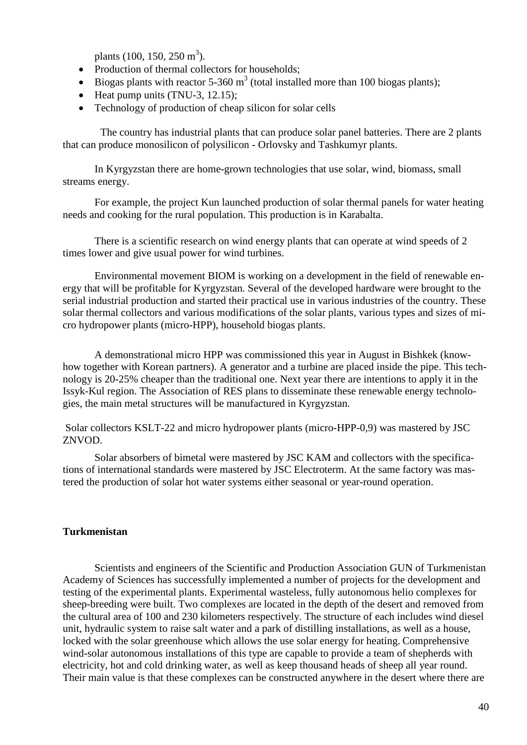plants  $(100, 150, 250 \text{ m}^3)$ .

- Production of thermal collectors for households;
- Biogas plants with reactor 5-360  $m<sup>3</sup>$  (total installed more than 100 biogas plants);
- Heat pump units  $(TNU-3, 12.15)$ ;
- Technology of production of cheap silicon for solar cells

The country has industrial plants that can produce solar panel batteries. There are 2 plants that can produce monosilicon of polysilicon - Orlovsky and Tashkumyr plants.

In Kyrgyzstan there are home-grown technologies that use solar, wind, biomass, small streams energy.

For example, the project Kun launched production of solar thermal panels for water heating needs and cooking for the rural population. This production is in Karabalta.

There is a scientific research on wind energy plants that can operate at wind speeds of 2 times lower and give usual power for wind turbines.

Environmental movement BIOM is working on a development in the field of renewable energy that will be profitable for Kyrgyzstan. Several of the developed hardware were brought to the serial industrial production and started their practical use in various industries of the country. These solar thermal collectors and various modifications of the solar plants, various types and sizes of micro hydropower plants (micro-HPP), household biogas plants.

A demonstrational micro HPP was commissioned this year in August in Bishkek (knowhow together with Korean partners). A generator and a turbine are placed inside the pipe. This technology is 20-25% cheaper than the traditional one. Next year there are intentions to apply it in the Issyk-Kul region. The Association of RES plans to disseminate these renewable energy technologies, the main metal structures will be manufactured in Kyrgyzstan.

Solar collectors KSLT-22 and micro hydropower plants (micro-HPP-0,9) was mastered by JSC ZNVOD.

Solar absorbers of bimetal were mastered by JSC KAM and collectors with the specifications of international standards were mastered by JSC Electroterm. At the same factory was mastered the production of solar hot water systems either seasonal or year-round operation.

## **Turkmenistan**

Scientists and engineers of the Scientific and Production Association GUN of Turkmenistan Academy of Sciences has successfully implemented a number of projects for the development and testing of the experimental plants. Experimental wasteless, fully autonomous helio complexes for sheep-breeding were built. Two complexes are located in the depth of the desert and removed from the cultural area of 100 and 230 kilometers respectively. The structure of each includes wind diesel unit, hydraulic system to raise salt water and a park of distilling installations, as well as a house, locked with the solar greenhouse which allows the use solar energy for heating. Comprehensive wind-solar autonomous installations of this type are capable to provide a team of shepherds with electricity, hot and cold drinking water, as well as keep thousand heads of sheep all year round. Their main value is that these complexes can be constructed anywhere in the desert where there are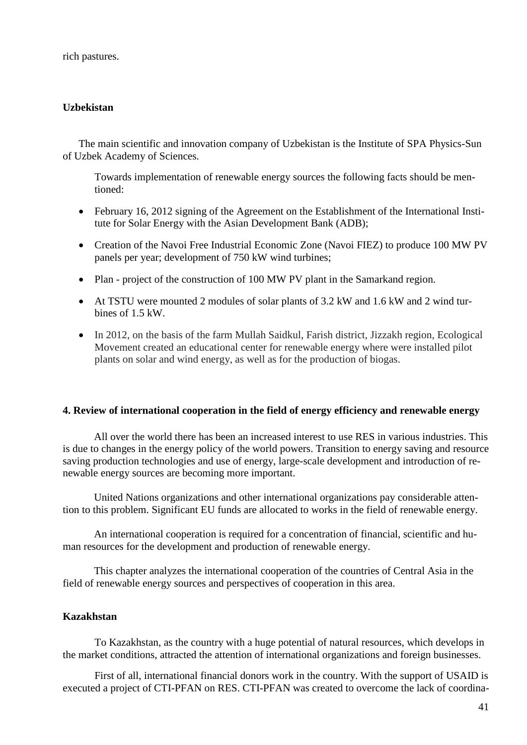rich pastures.

## **Uzbekistan**

The main scientific and innovation company of Uzbekistan is the Institute of SPA Physics-Sun of Uzbek Academy of Sciences.

Towards implementation of renewable energy sources the following facts should be mentioned:

- February 16, 2012 signing of the Agreement on the Establishment of the International Institute for Solar Energy with the Asian Development Bank (ADB);
- Creation of the Navoi Free Industrial Economic Zone (Navoi FIEZ) to produce 100 MW PV panels per year; development of 750 kW wind turbines;
- Plan project of the construction of 100 MW PV plant in the Samarkand region.
- At TSTU were mounted 2 modules of solar plants of 3.2 kW and 1.6 kW and 2 wind turbines of 1.5 kW.
- In 2012, on the basis of the farm Mullah Saidkul, Farish district, Jizzakh region, Ecological Movement created an educational center for renewable energy where were installed pilot plants on solar and wind energy, as well as for the production of biogas.

## **4. Review of international cooperation in the field of energy efficiency and renewable energy**

All over the world there has been an increased interest to use RES in various industries. This is due to changes in the energy policy of the world powers. Transition to energy saving and resource saving production technologies and use of energy, large-scale development and introduction of renewable energy sources are becoming more important.

United Nations organizations and other international organizations pay considerable attention to this problem. Significant EU funds are allocated to works in the field of renewable energy.

An international cooperation is required for a concentration of financial, scientific and human resources for the development and production of renewable energy.

This chapter analyzes the international cooperation of the countries of Central Asia in the field of renewable energy sources and perspectives of cooperation in this area.

## **Kazakhstan**

To Kazakhstan, as the country with a huge potential of natural resources, which develops in the market conditions, attracted the attention of international organizations and foreign businesses.

First of all, international financial donors work in the country. With the support of USAID is executed a project of CTI-PFAN on RES. CTI-PFAN was created to overcome the lack of coordina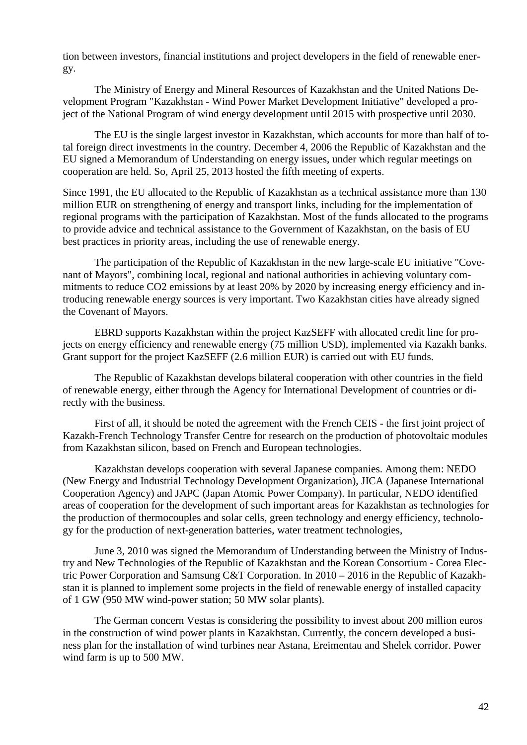tion between investors, financial institutions and project developers in the field of renewable energy.

The Ministry of Energy and Mineral Resources of Kazakhstan and the United Nations Development Program "Kazakhstan - Wind Power Market Development Initiative" developed a project of the National Program of wind energy development until 2015 with prospective until 2030.

The EU is the single largest investor in Kazakhstan, which accounts for more than half of total foreign direct investments in the country. December 4, 2006 the Republic of Kazakhstan and the EU signed a Memorandum of Understanding on energy issues, under which regular meetings on cooperation are held. So, April 25, 2013 hosted the fifth meeting of experts.

Since 1991, the EU allocated to the Republic of Kazakhstan as a technical assistance more than 130 million EUR on strengthening of energy and transport links, including for the implementation of regional programs with the participation of Kazakhstan. Most of the funds allocated to the programs to provide advice and technical assistance to the Government of Kazakhstan, on the basis of EU best practices in priority areas, including the use of renewable energy.

The participation of the Republic of Kazakhstan in the new large-scale EU initiative "Covenant of Mayors", combining local, regional and national authorities in achieving voluntary commitments to reduce CO2 emissions by at least 20% by 2020 by increasing energy efficiency and introducing renewable energy sources is very important. Two Kazakhstan cities have already signed the Covenant of Mayors.

EBRD supports Kazakhstan within the project KazSEFF with allocated credit line for projects on energy efficiency and renewable energy (75 million USD), implemented via Kazakh banks. Grant support for the project KazSEFF (2.6 million EUR) is carried out with EU funds.

The Republic of Kazakhstan develops bilateral cooperation with other countries in the field of renewable energy, either through the Agency for International Development of countries or directly with the business.

First of all, it should be noted the agreement with the French CEIS - the first joint project of Kazakh-French Technology Transfer Centre for research on the production of photovoltaic modules from Kazakhstan silicon, based on French and European technologies.

Kazakhstan develops cooperation with several Japanese companies. Among them: NEDO (New Energy and Industrial Technology Development Organization), JICA (Japanese International Cooperation Agency) and JAPC (Japan Atomic Power Company). In particular, NEDO identified areas of cooperation for the development of such important areas for Kazakhstan as technologies for the production of thermocouples and solar cells, green technology and energy efficiency, technology for the production of next-generation batteries, water treatment technologies,

June 3, 2010 was signed the Memorandum of Understanding between the Ministry of Industry and New Technologies of the Republic of Kazakhstan and the Korean Consortium - Corea Electric Power Corporation and Samsung C&T Corporation. In 2010 – 2016 in the Republic of Kazakhstan it is planned to implement some projects in the field of renewable energy of installed capacity of 1 GW (950 MW wind-power station; 50 MW solar plants).

The German concern Vestas is considering the possibility to invest about 200 million euros in the construction of wind power plants in Kazakhstan. Currently, the concern developed a business plan for the installation of wind turbines near Astana, Ereimentau and Shelek corridor. Power wind farm is up to 500 MW.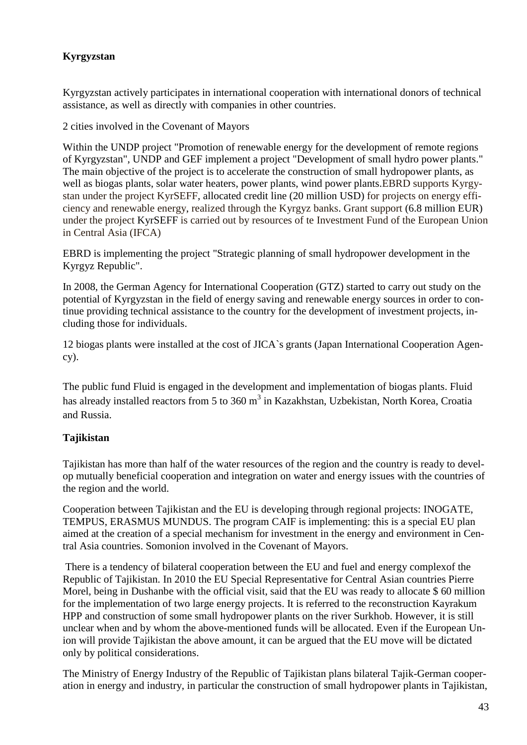# **Kyrgyzstan**

Kyrgyzstan actively participates in international cooperation with international donors of technical assistance, as well as directly with companies in other countries.

2 cities involved in the Covenant of Mayors

Within the UNDP project "Promotion of renewable energy for the development of remote regions of Kyrgyzstan", UNDP and GEF implement a project "Development of small hydro power plants." The main objective of the project is to accelerate the construction of small hydropower plants, as well as biogas plants, solar water heaters, power plants, wind power plants.EBRD supports Kyrgystan under the project KyrSEFF, allocated credit line (20 million USD) for projects on energy efficiency and renewable energy, realized through the Kyrgyz banks. Grant support (6.8 million EUR) under the project KyrSEFF is carried out by resources of te Investment Fund of the European Union in Central Asia (IFCA)

EBRD is implementing the project "Strategic planning of small hydropower development in the Kyrgyz Republic".

In 2008, the German Agency for International Cooperation (GTZ) started to carry out study on the potential of Kyrgyzstan in the field of energy saving and renewable energy sources in order to continue providing technical assistance to the country for the development of investment projects, including those for individuals.

12 biogas plants were installed at the cost of JICA`s grants (Japan International Cooperation Agency).

The public fund Fluid is engaged in the development and implementation of biogas plants. Fluid has already installed reactors from 5 to 360  $m<sup>3</sup>$  in Kazakhstan, Uzbekistan, North Korea, Croatia and Russia.

# **Tajikistan**

Tajikistan has more than half of the water resources of the region and the country is ready to develop mutually beneficial cooperation and integration on water and energy issues with the countries of the region and the world.

Cooperation between Tajikistan and the EU is developing through regional projects: INOGATE, TEMPUS, ERASMUS MUNDUS. The program CAIF is implementing: this is a special EU plan aimed at the creation of a special mechanism for investment in the energy and environment in Central Asia countries. Somonion involved in the Covenant of Mayors.

There is a tendency of bilateral cooperation between the EU and fuel and energy complexof the Republic of Tajikistan. In 2010 the EU Special Representative for Central Asian countries Pierre Morel, being in Dushanbe with the official visit, said that the EU was ready to allocate \$ 60 million for the implementation of two large energy projects. It is referred to the reconstruction Kayrakum HPP and construction of some small hydropower plants on the river Surkhob. However, it is still unclear when and by whom the above-mentioned funds will be allocated. Even if the European Union will provide Tajikistan the above amount, it can be argued that the EU move will be dictated only by political considerations.

The Ministry of Energy Industry of the Republic of Tajikistan plans bilateral Tajik-German cooperation in energy and industry, in particular the construction of small hydropower plants in Tajikistan,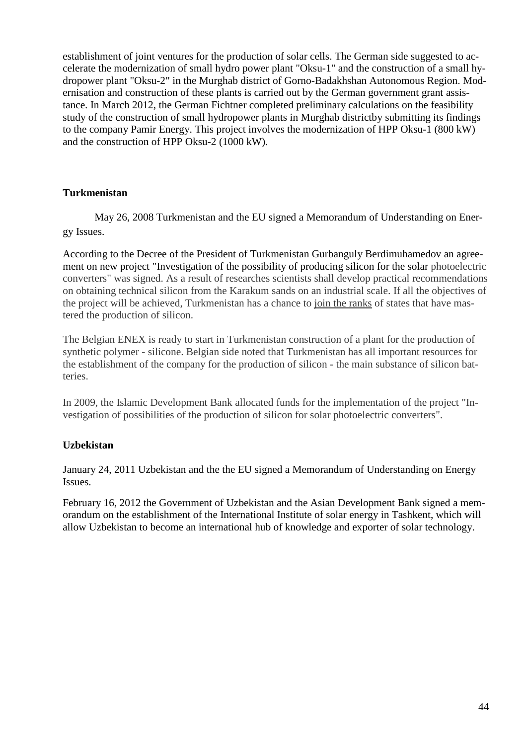establishment of joint ventures for the production of solar cells. The German side suggested to accelerate the modernization of small hydro power plant "Oksu-1" and the construction of a small hydropower plant "Oksu-2" in the Murghab district of Gorno-Badakhshan Autonomous Region. Modernisation and construction of these plants is carried out by the German government grant assistance. In March 2012, the German Fichtner completed preliminary calculations on the feasibility study of the construction of small hydropower plants in Murghab districtby submitting its findings to the company Pamir Energy. This project involves the modernization of HPP Oksu-1 (800 kW) and the construction of HPP Oksu-2 (1000 kW).

## **Turkmenistan**

May 26, 2008 Turkmenistan and the EU signed a Memorandum of Understanding on Energy Issues.

According to the Decree of the President of Turkmenistan Gurbanguly Berdimuhamedov an agreement on new project "Investigation of the possibility of producing silicon for the solar photoelectric converters" was signed. As a result of researches scientists shall develop practical recommendations on obtaining technical silicon from the Karakum sands on an industrial scale. If all the objectives of the project will be achieved, Turkmenistan has a chance to [join the ranks](http://www.multitran.ru/c/m.exe?t=4577502_1_2) of states that have mastered the production of silicon.

The Belgian ENEX is ready to start in Turkmenistan construction of a plant for the production of synthetic polymer - silicone. Belgian side noted that Turkmenistan has all important resources for the establishment of the company for the production of silicon - the main substance of silicon batteries.

In 2009, the Islamic Development Bank allocated funds for the implementation of the project "Investigation of possibilities of the production of silicon for solar photoelectric converters".

## **Uzbekistan**

January 24, 2011 Uzbekistan and the the EU signed a Memorandum of Understanding on Energy Issues.

February 16, 2012 the Government of Uzbekistan and the Asian Development Bank signed a memorandum on the establishment of the International Institute of solar energy in Tashkent, which will allow Uzbekistan to become an international hub of knowledge and exporter of solar technology.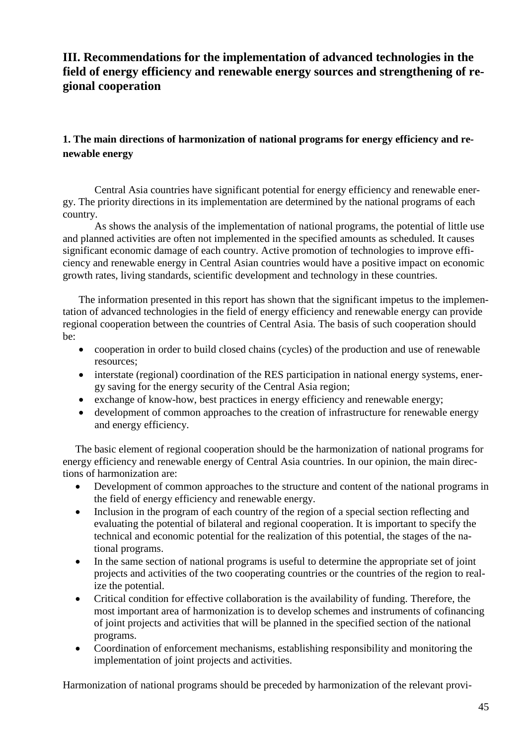# **III. Recommendations for the implementation of advanced technologies in the field of energy efficiency and renewable energy sources and strengthening of regional cooperation**

# **1. The main directions of harmonization of national programs for energy efficiency and renewable energy**

Central Asia countries have significant potential for energy efficiency and renewable energy. The priority directions in its implementation are determined by the national programs of each country.

As shows the analysis of the implementation of national programs, the potential of little use and planned activities are often not implemented in the specified amounts as scheduled. It causes significant economic damage of each country. Active promotion of technologies to improve efficiency and renewable energy in Central Asian countries would have a positive impact on economic growth rates, living standards, scientific development and technology in these countries.

The information presented in this report has shown that the significant impetus to the implementation of advanced technologies in the field of energy efficiency and renewable energy can provide regional cooperation between the countries of Central Asia. The basis of such cooperation should be:

- cooperation in order to build closed chains (cycles) of the production and use of renewable resources;
- interstate (regional) coordination of the RES participation in national energy systems, energy saving for the energy security of the Central Asia region;
- exchange of know-how, best practices in energy efficiency and renewable energy;
- development of common approaches to the creation of infrastructure for renewable energy and energy efficiency.

The basic element of regional cooperation should be the harmonization of national programs for energy efficiency and renewable energy of Central Asia countries. In our opinion, the main directions of harmonization are:

- Development of common approaches to the structure and content of the national programs in the field of energy efficiency and renewable energy.
- Inclusion in the program of each country of the region of a special section reflecting and evaluating the potential of bilateral and regional cooperation. It is important to specify the technical and economic potential for the realization of this potential, the stages of the national programs.
- In the same section of national programs is useful to determine the appropriate set of joint projects and activities of the two cooperating countries or the countries of the region to realize the potential.
- Critical condition for effective collaboration is the availability of funding. Therefore, the most important area of harmonization is to develop schemes and instruments of cofinancing of joint projects and activities that will be planned in the specified section of the national programs.
- Coordination of enforcement mechanisms, establishing responsibility and monitoring the implementation of joint projects and activities.

Harmonization of national programs should be preceded by harmonization of the relevant provi-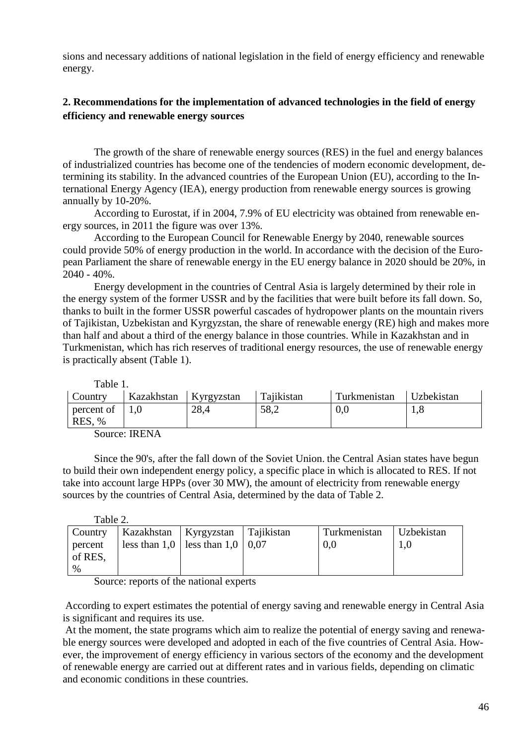sions and necessary additions of national legislation in the field of energy efficiency and renewable energy.

# **2. Recommendations for the implementation of advanced technologies in the field of energy efficiency and renewable energy sources**

The growth of the share of renewable energy sources (RES) in the fuel and energy balances of industrialized countries has become one of the tendencies of modern economic development, determining its stability. In the advanced countries of the European Union (EU), according to the International Energy Agency (IEA), energy production from renewable energy sources is growing annually by 10-20%.

According to Eurostat, if in 2004, 7.9% of EU electricity was obtained from renewable energy sources, in 2011 the figure was over 13%.

According to the European Council for Renewable Energy by 2040, renewable sources could provide 50% of energy production in the world. In accordance with the decision of the European Parliament the share of renewable energy in the EU energy balance in 2020 should be 20%, in 2040 - 40%.

Energy development in the countries of Central Asia is largely determined by their role in the energy system of the former USSR and by the facilities that were built before its fall down. So, thanks to built in the former USSR powerful cascades of hydropower plants on the mountain rivers of Tajikistan, Uzbekistan and Kyrgyzstan, the share of renewable energy (RE) high and makes more than half and about a third of the energy balance in those countries. While in Kazakhstan and in Turkmenistan, which has rich reserves of traditional energy resources, the use of renewable energy is practically absent (Table 1).

| Table 1.                       |                         |      |            |              |            |
|--------------------------------|-------------------------|------|------------|--------------|------------|
| Country                        | Kazakhstan   Kyrgyzstan |      | Tajikistan | Turkmenistan | Uzbekistan |
| percent of $\vert 1,0 \rangle$ |                         | 28,4 | 58,2       | 0,0          | 1,8        |
| RES, %                         |                         |      |            |              |            |
| $\sim$                         | ------                  |      |            |              |            |

Source: IRENA

Since the 90's, after the fall down of the Soviet Union. the Central Asian states have begun to build their own independent energy policy, a specific place in which is allocated to RES. If not take into account large HPPs (over 30 MW), the amount of electricity from renewable energy sources by the countries of Central Asia, determined by the data of Table 2.

| Table 2.                   |                                      |              |            |
|----------------------------|--------------------------------------|--------------|------------|
| Country                    | Kazakhstan   Kyrgyzstan   Tajikistan | Turkmenistan | Uzbekistan |
| percent<br>of RES,<br>$\%$ | less than 1,0   less than 1,0   0,07 | 0,0          | 1,0        |

Source: reports of the national experts

According to expert estimates the potential of energy saving and renewable energy in Central Asia is significant and requires its use.

At the moment, the state programs which aim to realize the potential of energy saving and renewable energy sources were developed and adopted in each of the five countries of Central Asia. However, the improvement of energy efficiency in various sectors of the economy and the development of renewable energy are carried out at different rates and in various fields, depending on climatic and economic conditions in these countries.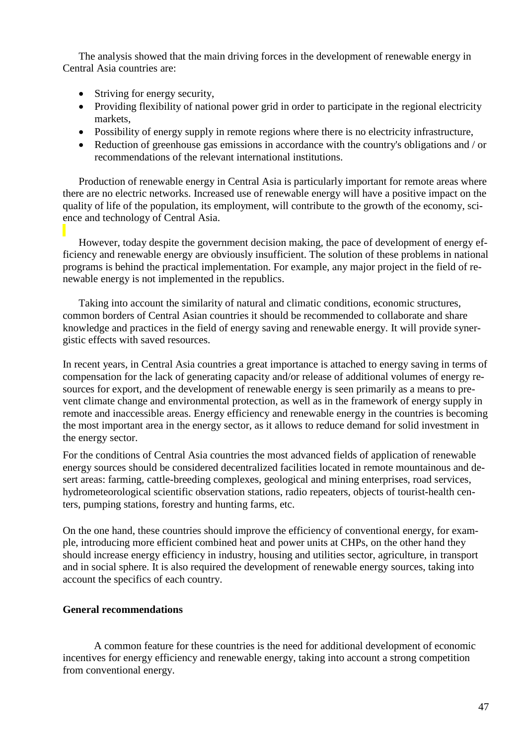The analysis showed that the main driving forces in the development of renewable energy in Central Asia countries are:

- Striving for energy security,
- Providing flexibility of national power grid in order to participate in the regional electricity markets,
- Possibility of energy supply in remote regions where there is no electricity infrastructure,
- Reduction of greenhouse gas emissions in accordance with the country's obligations and / or recommendations of the relevant international institutions.

Production of renewable energy in Central Asia is particularly important for remote areas where there are no electric networks. Increased use of renewable energy will have a positive impact on the quality of life of the population, its employment, will contribute to the growth of the economy, science and technology of Central Asia.

However, today despite the government decision making, the pace of development of energy efficiency and renewable energy are obviously insufficient. The solution of these problems in national programs is behind the practical implementation. For example, any major project in the field of renewable energy is not implemented in the republics.

Taking into account the similarity of natural and climatic conditions, economic structures, common borders of Central Asian countries it should be recommended to collaborate and share knowledge and practices in the field of energy saving and renewable energy. It will provide synergistic effects with saved resources.

In recent years, in Central Asia countries a great importance is attached to energy saving in terms of compensation for the lack of generating capacity and/or release of additional volumes of energy resources for export, and the development of renewable energy is seen primarily as a means to prevent climate change and environmental protection, as well as in the framework of energy supply in remote and inaccessible areas. Energy efficiency and renewable energy in the countries is becoming the most important area in the energy sector, as it allows to reduce demand for solid investment in the energy sector.

For the conditions of Central Asia countries the most advanced fields of application of renewable energy sources should be considered decentralized facilities located in remote mountainous and desert areas: farming, cattle-breeding complexes, geological and mining enterprises, road services, hydrometeorological scientific observation stations, radio repeaters, objects of tourist-health centers, pumping stations, forestry and hunting farms, etc.

On the one hand, these countries should improve the efficiency of conventional energy, for example, introducing more efficient combined heat and power units at CHPs, on the other hand they should increase energy efficiency in industry, housing and utilities sector, agriculture, in transport and in social sphere. It is also required the development of renewable energy sources, taking into account the specifics of each country.

## **General recommendations**

A common feature for these countries is the need for additional development of economic incentives for energy efficiency and renewable energy, taking into account a strong competition from conventional energy.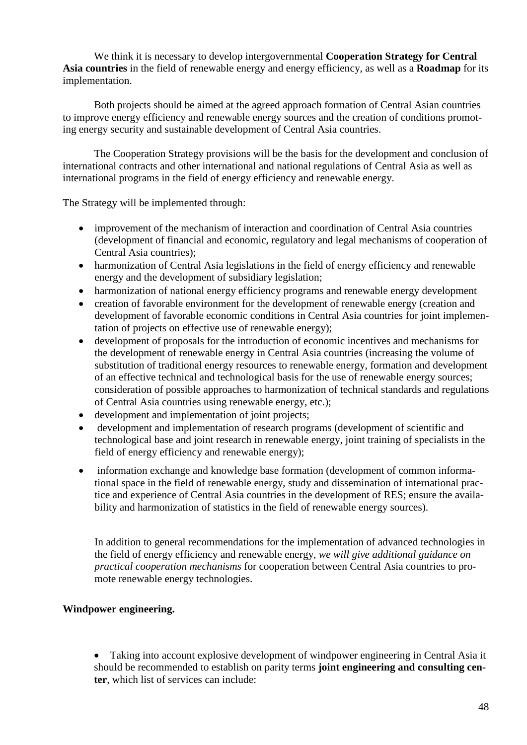We think it is necessary to develop intergovernmental **Cooperation Strategy for Central Asia countries** in the field of renewable energy and energy efficiency, as well as a **Roadmap** for its implementation.

Both projects should be aimed at the agreed approach formation of Central Asian countries to improve energy efficiency and renewable energy sources and the creation of conditions promoting energy security and sustainable development of Central Asia countries.

The Cooperation Strategy provisions will be the basis for the development and conclusion of international contracts and other international and national regulations of Central Asia as well as international programs in the field of energy efficiency and renewable energy.

The Strategy will be implemented through:

- improvement of the mechanism of interaction and coordination of Central Asia countries (development of financial and economic, regulatory and legal mechanisms of cooperation of Central Asia countries);
- harmonization of Central Asia legislations in the field of energy efficiency and renewable energy and the development of subsidiary legislation;
- harmonization of national energy efficiency programs and renewable energy development
- creation of favorable environment for the development of renewable energy (creation and development of favorable economic conditions in Central Asia countries for joint implementation of projects on effective use of renewable energy);
- development of proposals for the introduction of economic incentives and mechanisms for the development of renewable energy in Central Asia countries (increasing the volume of substitution of traditional energy resources to renewable energy, formation and development of an effective technical and technological basis for the use of renewable energy sources; consideration of possible approaches to harmonization of technical standards and regulations of Central Asia countries using renewable energy, etc.);
- development and implementation of joint projects;
- development and implementation of research programs (development of scientific and technological base and joint research in renewable energy, joint training of specialists in the field of energy efficiency and renewable energy);
- information exchange and knowledge base formation (development of common informational space in the field of renewable energy, study and dissemination of international practice and experience of Central Asia countries in the development of RES; ensure the availability and harmonization of statistics in the field of renewable energy sources).

In addition to general recommendations for the implementation of advanced technologies in the field of energy efficiency and renewable energy, *we will give additional guidance on practical cooperation mechanisms* for cooperation between Central Asia countries to promote renewable energy technologies.

#### **Windpower engineering.**

• Taking into account explosive development of windpower engineering in Central Asia it should be recommended to establish on parity terms **joint engineering and consulting center**, which list of services can include: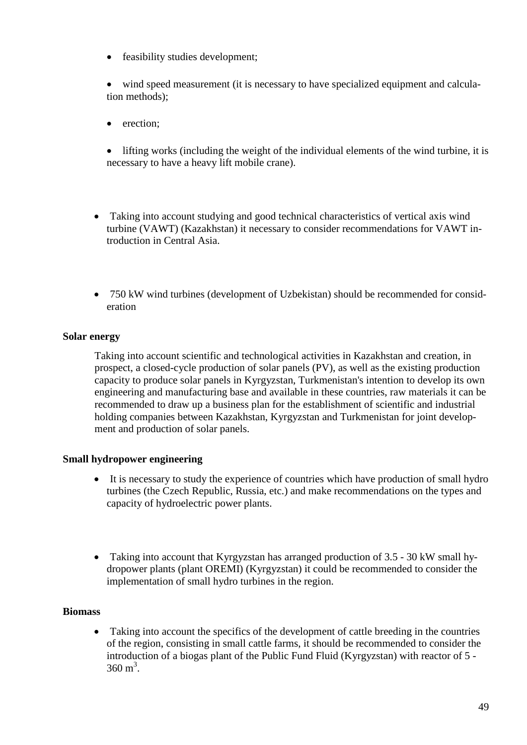• feasibility studies development;

• wind speed measurement (it is necessary to have specialized equipment and calculation methods);

- erection:
- lifting works (including the weight of the individual elements of the wind turbine, it is necessary to have a heavy lift mobile crane).
- Taking into account studying and good technical characteristics of vertical axis wind turbine (VAWT) (Kazakhstan) it necessary to consider recommendations for VAWT introduction in Central Asia.
- 750 kW wind turbines (development of Uzbekistan) should be recommended for consideration

## **Solar energy**

Taking into account scientific and technological activities in Kazakhstan and creation, in prospect, a closed-cycle production of solar panels (PV), as well as the existing production capacity to produce solar panels in Kyrgyzstan, Turkmenistan's intention to develop its own engineering and manufacturing base and available in these countries, raw materials it can be recommended to draw up a business plan for the establishment of scientific and industrial holding companies between Kazakhstan, Kyrgyzstan and Turkmenistan for joint development and production of solar panels.

## **Small hydropower engineering**

- It is necessary to study the experience of countries which have production of small hydro turbines (the Czech Republic, Russia, etc.) and make recommendations on the types and capacity of hydroelectric power plants.
- Taking into account that Kyrgyzstan has arranged production of 3.5 30 kW small hydropower plants (plant OREMI) (Kyrgyzstan) it could be recommended to consider the implementation of small hydro turbines in the region.

## **Biomass**

• Taking into account the specifics of the development of cattle breeding in the countries of the region, consisting in small cattle farms, it should be recommended to consider the introduction of a biogas plant of the Public Fund Fluid (Kyrgyzstan) with reactor of 5 -  $360 \text{ m}^3$ .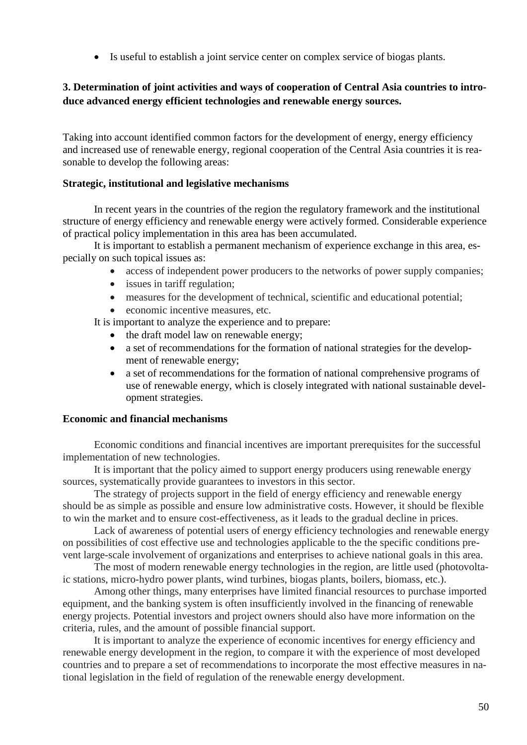• Is useful to establish a joint service center on complex service of biogas plants.

# **3. Determination of joint activities and ways of cooperation of Central Asia countries to introduce advanced energy efficient technologies and renewable energy sources.**

Taking into account identified common factors for the development of energy, energy efficiency and increased use of renewable energy, regional cooperation of the Central Asia countries it is reasonable to develop the following areas:

#### **Strategic, institutional and legislative mechanisms**

In recent years in the countries of the region the regulatory framework and the institutional structure of energy efficiency and renewable energy were actively formed. Considerable experience of practical policy implementation in this area has been accumulated.

It is important to establish a permanent mechanism of experience exchange in this area, especially on such topical issues as:

- access of independent power producers to the networks of power supply companies;
- issues in tariff regulation;
- measures for the development of technical, scientific and educational potential;
- economic incentive measures, etc.

It is important to analyze the experience and to prepare:

- the draft model law on renewable energy;
- a set of recommendations for the formation of national strategies for the development of renewable energy;
- a set of recommendations for the formation of national comprehensive programs of use of renewable energy, which is closely integrated with national sustainable development strategies.

#### **Economic and financial mechanisms**

Economic conditions and financial incentives are important prerequisites for the successful implementation of new technologies.

It is important that the policy aimed to support energy producers using renewable energy sources, systematically provide guarantees to investors in this sector.

The strategy of projects support in the field of energy efficiency and renewable energy should be as simple as possible and ensure low administrative costs. However, it should be flexible to win the market and to ensure cost-effectiveness, as it leads to the gradual decline in prices.

Lack of awareness of potential users of energy efficiency technologies and renewable energy on possibilities of cost effective use and technologies applicable to the the specific conditions prevent large-scale involvement of organizations and enterprises to achieve national goals in this area.

The most of modern renewable energy technologies in the region, are little used (photovoltaic stations, micro-hydro power plants, wind turbines, biogas plants, boilers, biomass, etc.).

Among other things, many enterprises have limited financial resources to purchase imported equipment, and the banking system is often insufficiently involved in the financing of renewable energy projects. Potential investors and project owners should also have more information on the criteria, rules, and the amount of possible financial support.

It is important to analyze the experience of economic incentives for energy efficiency and renewable energy development in the region, to compare it with the experience of most developed countries and to prepare a set of recommendations to incorporate the most effective measures in national legislation in the field of regulation of the renewable energy development.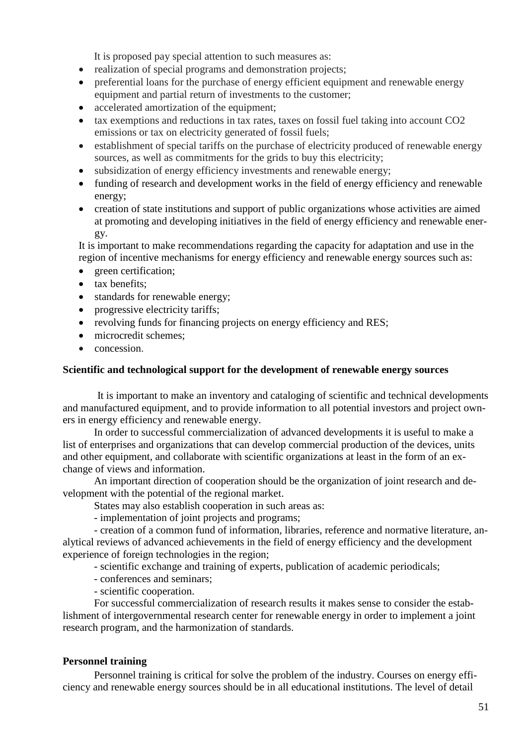It is proposed pay special attention to such measures as:

- realization of special programs and demonstration projects;
- preferential loans for the purchase of energy efficient equipment and renewable energy equipment and partial return of investments to the customer;
- accelerated amortization of the equipment;
- tax exemptions and reductions in tax rates, taxes on fossil fuel taking into account CO2 emissions or tax on electricity generated of fossil fuels;
- establishment of special tariffs on the purchase of electricity produced of renewable energy sources, as well as commitments for the grids to buy this electricity;
- subsidization of energy efficiency investments and renewable energy;
- funding of research and development works in the field of energy efficiency and renewable energy;
- creation of state institutions and support of public organizations whose activities are aimed at promoting and developing initiatives in the field of energy efficiency and renewable energy.

It is important to make recommendations regarding the capacity for adaptation and use in the region of incentive mechanisms for energy efficiency and renewable energy sources such as:

- green certification;
- tax benefits:
- standards for renewable energy;
- progressive electricity tariffs;
- revolving funds for financing projects on energy efficiency and RES;
- microcredit schemes:
- concession.

#### **Scientific and technological support for the development of renewable energy sources**

It is important to make an inventory and cataloging of scientific and technical developments and manufactured equipment, and to provide information to all potential investors and project owners in energy efficiency and renewable energy.

In order to successful commercialization of advanced developments it is useful to make a list of enterprises and organizations that can develop commercial production of the devices, units and other equipment, and collaborate with scientific organizations at least in the form of an exchange of views and information.

An important direction of cooperation should be the organization of joint research and development with the potential of the regional market.

States may also establish cooperation in such areas as:

- implementation of joint projects and programs;

- creation of a common fund of information, libraries, reference and normative literature, analytical reviews of advanced achievements in the field of energy efficiency and the development experience of foreign technologies in the region;

- scientific exchange and training of experts, publication of academic periodicals;

- conferences and seminars;
- scientific cooperation.

For successful commercialization of research results it makes sense to consider the establishment of intergovernmental research center for renewable energy in order to implement a joint research program, and the harmonization of standards.

#### **Personnel training**

Personnel training is critical for solve the problem of the industry. Courses on energy efficiency and renewable energy sources should be in all educational institutions. The level of detail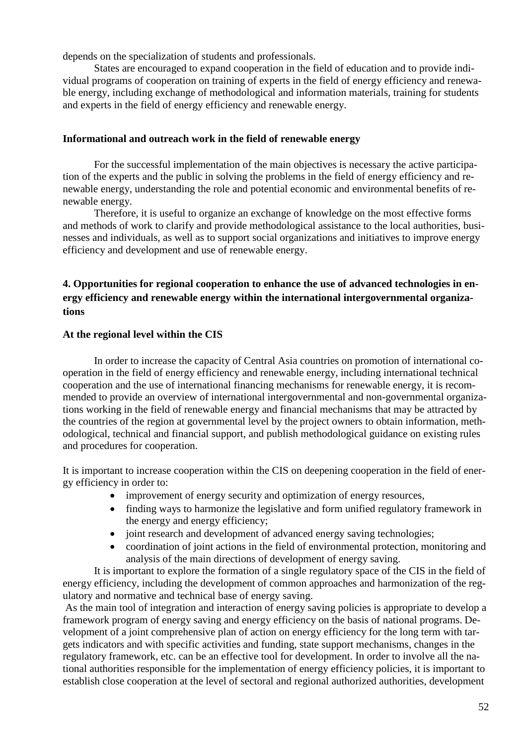depends on the specialization of students and professionals.

States are encouraged to expand cooperation in the field of education and to provide individual programs of cooperation on training of experts in the field of energy efficiency and renewable energy, including exchange of methodological and information materials, training for students and experts in the field of energy efficiency and renewable energy.

#### **Informational and outreach work in the field of renewable energy**

For the successful implementation of the main objectives is necessary the active participation of the experts and the public in solving the problems in the field of energy efficiency and renewable energy, understanding the role and potential economic and environmental benefits of renewable energy.

Therefore, it is useful to organize an exchange of knowledge on the most effective forms and methods of work to clarify and provide methodological assistance to the local authorities, businesses and individuals, as well as to support social organizations and initiatives to improve energy efficiency and development and use of renewable energy.

# **4. Opportunities for regional cooperation to enhance the use of advanced technologies in energy efficiency and renewable energy within the international intergovernmental organizations**

## **At the regional level within the CIS**

In order to increase the capacity of Central Asia countries on promotion of international cooperation in the field of energy efficiency and renewable energy, including international technical cooperation and the use of international financing mechanisms for renewable energy, it is recommended to provide an overview of international intergovernmental and non-governmental organizations working in the field of renewable energy and financial mechanisms that may be attracted by the countries of the region at governmental level by the project owners to obtain information, methodological, technical and financial support, and publish methodological guidance on existing rules and procedures for cooperation.

It is important to increase cooperation within the CIS on deepening cooperation in the field of energy efficiency in order to:

- improvement of energy security and optimization of energy resources,
- finding ways to harmonize the legislative and form unified regulatory framework in the energy and energy efficiency;
- joint research and development of advanced energy saving technologies;
- coordination of joint actions in the field of environmental protection, monitoring and analysis of the main directions of development of energy saving.

It is important to explore the formation of a single regulatory space of the CIS in the field of energy efficiency, including the development of common approaches and harmonization of the regulatory and normative and technical base of energy saving.

As the main tool of integration and interaction of energy saving policies is appropriate to develop a framework program of energy saving and energy efficiency on the basis of national programs. Development of a joint comprehensive plan of action on energy efficiency for the long term with targets indicators and with specific activities and funding, state support mechanisms, changes in the regulatory framework, etc. can be an effective tool for development. In order to involve all the national authorities responsible for the implementation of energy efficiency policies, it is important to establish close cooperation at the level of sectoral and regional authorized authorities, development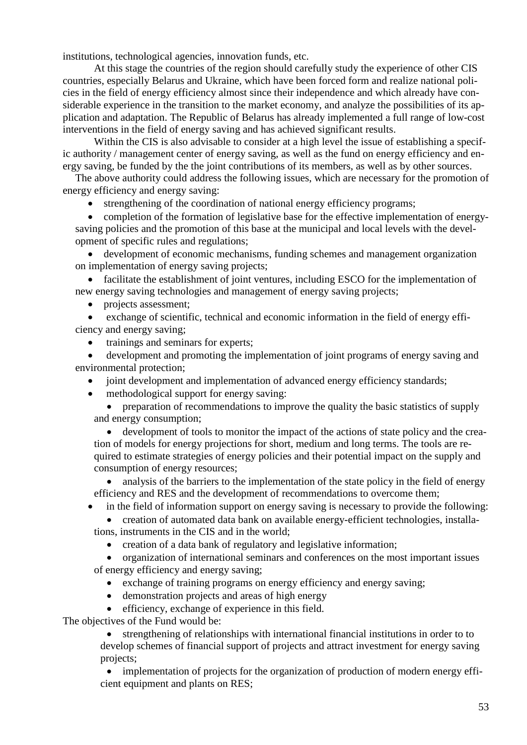institutions, technological agencies, innovation funds, etc.

At this stage the countries of the region should carefully study the experience of other CIS countries, especially Belarus and Ukraine, which have been forced form and realize national policies in the field of energy efficiency almost since their independence and which already have considerable experience in the transition to the market economy, and analyze the possibilities of its application and adaptation. The Republic of Belarus has already implemented a full range of low-cost interventions in the field of energy saving and has achieved significant results.

Within the CIS is also advisable to consider at a high level the issue of establishing a specific authority / management center of energy saving, as well as the fund on energy efficiency and energy saving, be funded by the the joint contributions of its members, as well as by other sources.

The above authority could address the following issues, which are necessary for the promotion of energy efficiency and energy saving:

strengthening of the coordination of national energy efficiency programs;

• completion of the formation of legislative base for the effective implementation of energysaving policies and the promotion of this base at the municipal and local levels with the development of specific rules and regulations;

development of economic mechanisms, funding schemes and management organization on implementation of energy saving projects;

facilitate the establishment of joint ventures, including ESCO for the implementation of new energy saving technologies and management of energy saving projects;

• projects assessment;

exchange of scientific, technical and economic information in the field of energy efficiency and energy saving;

trainings and seminars for experts;

• development and promoting the implementation of joint programs of energy saving and environmental protection;

joint development and implementation of advanced energy efficiency standards;

• methodological support for energy saving:

• preparation of recommendations to improve the quality the basic statistics of supply and energy consumption;

• development of tools to monitor the impact of the actions of state policy and the creation of models for energy projections for short, medium and long terms. The tools are required to estimate strategies of energy policies and their potential impact on the supply and consumption of energy resources;

• analysis of the barriers to the implementation of the state policy in the field of energy efficiency and RES and the development of recommendations to overcome them;

in the field of information support on energy saving is necessary to provide the following:

• creation of automated data bank on available energy-efficient technologies, installa-

tions, instruments in the CIS and in the world;

• creation of a data bank of regulatory and legislative information;

• organization of international seminars and conferences on the most important issues of energy efficiency and energy saving;

- exchange of training programs on energy efficiency and energy saving;
- demonstration projects and areas of high energy

• efficiency, exchange of experience in this field.

The objectives of the Fund would be:

• strengthening of relationships with international financial institutions in order to to develop schemes of financial support of projects and attract investment for energy saving projects;

• implementation of projects for the organization of production of modern energy efficient equipment and plants on RES;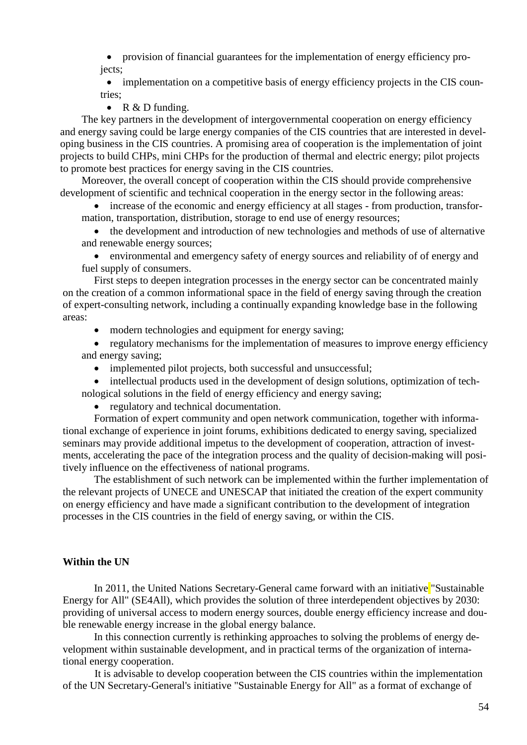• provision of financial guarantees for the implementation of energy efficiency projects;

• implementation on a competitive basis of energy efficiency projects in the CIS countries;

• R  $&D$  funding.

The key partners in the development of intergovernmental cooperation on energy efficiency and energy saving could be large energy companies of the CIS countries that are interested in developing business in the CIS countries. A promising area of cooperation is the implementation of joint projects to build CHPs, mini CHPs for the production of thermal and electric energy; pilot projects to promote best practices for energy saving in the CIS countries.

Moreover, the overall concept of cooperation within the CIS should provide comprehensive development of scientific and technical cooperation in the energy sector in the following areas:

• increase of the economic and energy efficiency at all stages - from production, transformation, transportation, distribution, storage to end use of energy resources;

• the development and introduction of new technologies and methods of use of alternative and renewable energy sources;

• environmental and emergency safety of energy sources and reliability of of energy and fuel supply of consumers.

First steps to deepen integration processes in the energy sector can be concentrated mainly on the creation of a common informational space in the field of energy saving through the creation of expert-consulting network, including a continually expanding knowledge base in the following areas:

• modern technologies and equipment for energy saving;

• regulatory mechanisms for the implementation of measures to improve energy efficiency and energy saving;

• implemented pilot projects, both successful and unsuccessful;

• intellectual products used in the development of design solutions, optimization of technological solutions in the field of energy efficiency and energy saving;

• regulatory and technical documentation.

Formation of expert community and open network communication, together with informational exchange of experience in joint forums, exhibitions dedicated to energy saving, specialized seminars may provide additional impetus to the development of cooperation, attraction of investments, accelerating the pace of the integration process and the quality of decision-making will positively influence on the effectiveness of national programs.

The establishment of such network can be implemented within the further implementation of the relevant projects of UNECE and UNESCAP that initiated the creation of the expert community on energy efficiency and have made a significant contribution to the development of integration processes in the CIS countries in the field of energy saving, or within the CIS.

## **Within the UN**

In 2011, the United Nations Secretary-General came forward with an initiative "Sustainable" Energy for All" (SE4All), which provides the solution of three interdependent objectives by 2030: providing of universal access to modern energy sources, double energy efficiency increase and double renewable energy increase in the global energy balance.

In this connection currently is rethinking approaches to solving the problems of energy development within sustainable development, and in practical terms of the organization of international energy cooperation.

It is advisable to develop cooperation between the CIS countries within the implementation of the UN Secretary-General's initiative "Sustainable Energy for All" as a format of exchange of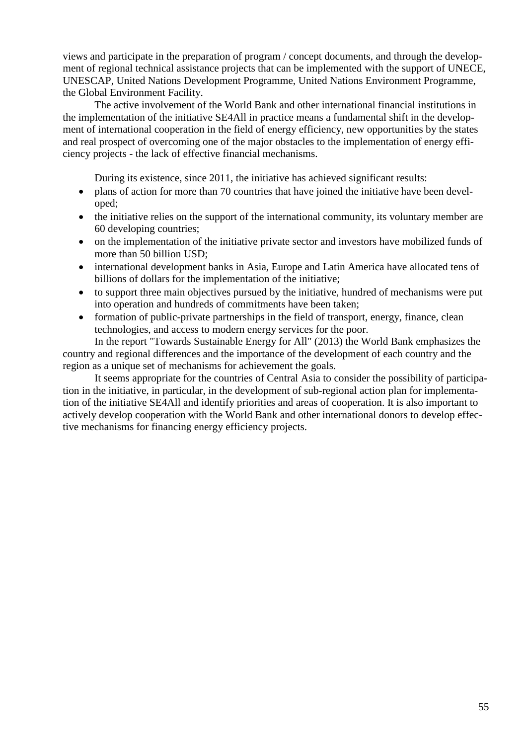views and participate in the preparation of program / concept documents, and through the development of regional technical assistance projects that can be implemented with the support of UNECE, UNESCAP, United Nations Development Programme, United Nations Environment Programme, the Global Environment Facility.

The active involvement of the World Bank and other international financial institutions in the implementation of the initiative SE4All in practice means a fundamental shift in the development of international cooperation in the field of energy efficiency, new opportunities by the states and real prospect of overcoming one of the major obstacles to the implementation of energy efficiency projects - the lack of effective financial mechanisms.

During its existence, since 2011, the initiative has achieved significant results:

- plans of action for more than 70 countries that have joined the initiative have been developed;
- the initiative relies on the support of the international community, its voluntary member are 60 developing countries;
- on the implementation of the initiative private sector and investors have mobilized funds of more than 50 billion USD;
- international development banks in Asia, Europe and Latin America have allocated tens of billions of dollars for the implementation of the initiative;
- to support three main objectives pursued by the initiative, hundred of mechanisms were put into operation and hundreds of commitments have been taken;
- formation of public-private partnerships in the field of transport, energy, finance, clean technologies, and access to modern energy services for the poor.

In the report "Towards Sustainable Energy for All" (2013) the World Bank emphasizes the country and regional differences and the importance of the development of each country and the region as a unique set of mechanisms for achievement the goals.

It seems appropriate for the countries of Central Asia to consider the possibility of participation in the initiative, in particular, in the development of sub-regional action plan for implementation of the initiative SE4All and identify priorities and areas of cooperation. It is also important to actively develop cooperation with the World Bank and other international donors to develop effective mechanisms for financing energy efficiency projects.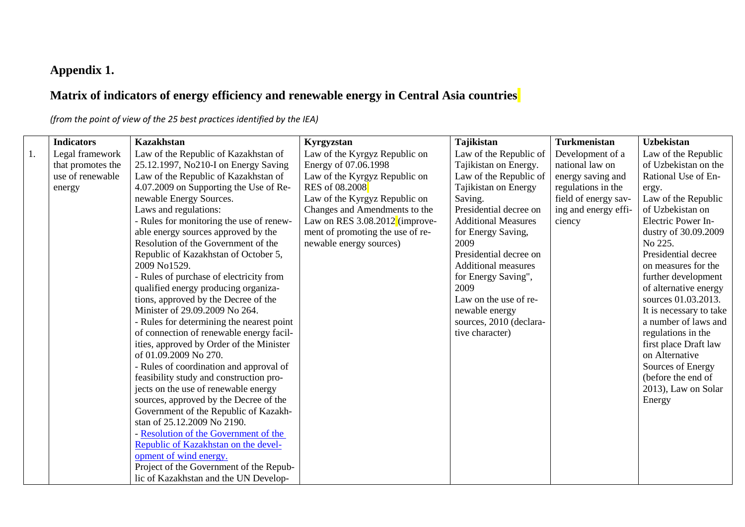# **Appendix 1.**

# **Matrix of indicators of energy efficiency and renewable energy in Central Asia countries**

*(from the point of view of the 25 best practices identified by the IEA)*

|    | <b>Indicators</b> | <b>Kazakhstan</b>                         | Kyrgyzstan                       | <b>Tajikistan</b>          | <b>Turkmenistan</b>  | <b>Uzbekistan</b>       |
|----|-------------------|-------------------------------------------|----------------------------------|----------------------------|----------------------|-------------------------|
| 1. | Legal framework   | Law of the Republic of Kazakhstan of      | Law of the Kyrgyz Republic on    | Law of the Republic of     | Development of a     | Law of the Republic     |
|    | that promotes the | 25.12.1997, No210-I on Energy Saving      | Energy of 07.06.1998             | Tajikistan on Energy.      | national law on      | of Uzbekistan on the    |
|    | use of renewable  | Law of the Republic of Kazakhstan of      | Law of the Kyrgyz Republic on    | Law of the Republic of     | energy saving and    | Rational Use of En-     |
|    | energy            | 4.07.2009 on Supporting the Use of Re-    | <b>RES</b> of 08.2008            | Tajikistan on Energy       | regulations in the   | ergy.                   |
|    |                   | newable Energy Sources.                   | Law of the Kyrgyz Republic on    | Saving.                    | field of energy sav- | Law of the Republic     |
|    |                   | Laws and regulations:                     | Changes and Amendments to the    | Presidential decree on     | ing and energy effi- | of Uzbekistan on        |
|    |                   | - Rules for monitoring the use of renew-  | Law on RES $3.08.2012$ (improve- | <b>Additional Measures</b> | ciency               | Electric Power In-      |
|    |                   | able energy sources approved by the       | ment of promoting the use of re- | for Energy Saving,         |                      | dustry of 30.09.2009    |
|    |                   | Resolution of the Government of the       | newable energy sources)          | 2009                       |                      | No 225.                 |
|    |                   | Republic of Kazakhstan of October 5,      |                                  | Presidential decree on     |                      | Presidential decree     |
|    |                   | 2009 No1529.                              |                                  | <b>Additional measures</b> |                      | on measures for the     |
|    |                   | - Rules of purchase of electricity from   |                                  | for Energy Saving",        |                      | further development     |
|    |                   | qualified energy producing organiza-      |                                  | 2009                       |                      | of alternative energy   |
|    |                   | tions, approved by the Decree of the      |                                  | Law on the use of re-      |                      | sources 01.03.2013.     |
|    |                   | Minister of 29.09.2009 No 264.            |                                  | newable energy             |                      | It is necessary to take |
|    |                   | - Rules for determining the nearest point |                                  | sources, 2010 (declara-    |                      | a number of laws and    |
|    |                   | of connection of renewable energy facil-  |                                  | tive character)            |                      | regulations in the      |
|    |                   | ities, approved by Order of the Minister  |                                  |                            |                      | first place Draft law   |
|    |                   | of 01.09.2009 No 270.                     |                                  |                            |                      | on Alternative          |
|    |                   | - Rules of coordination and approval of   |                                  |                            |                      | Sources of Energy       |
|    |                   | feasibility study and construction pro-   |                                  |                            |                      | (before the end of      |
|    |                   | jects on the use of renewable energy      |                                  |                            |                      | 2013), Law on Solar     |
|    |                   | sources, approved by the Decree of the    |                                  |                            |                      | Energy                  |
|    |                   | Government of the Republic of Kazakh-     |                                  |                            |                      |                         |
|    |                   | stan of 25.12.2009 No 2190.               |                                  |                            |                      |                         |
|    |                   | - Resolution of the Government of the     |                                  |                            |                      |                         |
|    |                   | Republic of Kazakhstan on the devel-      |                                  |                            |                      |                         |
|    |                   | opment of wind energy.                    |                                  |                            |                      |                         |
|    |                   | Project of the Government of the Repub-   |                                  |                            |                      |                         |
|    |                   | lic of Kazakhstan and the UN Develop-     |                                  |                            |                      |                         |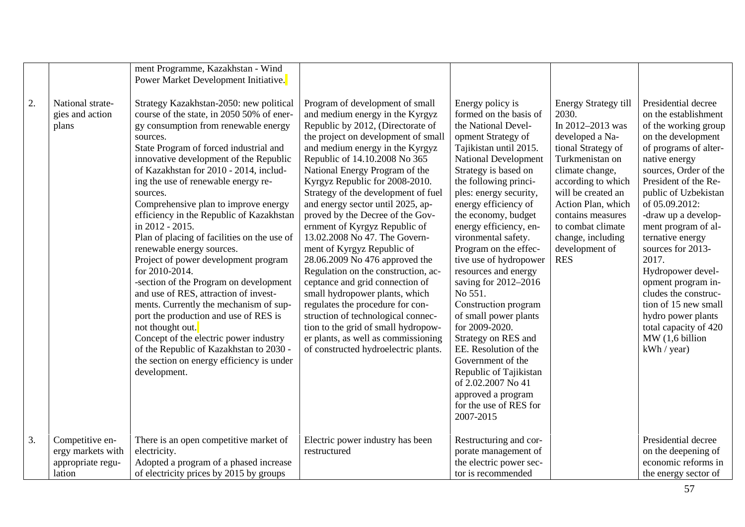|                  |                                                                     | ment Programme, Kazakhstan - Wind<br>Power Market Development Initiative.                                                                                                                                                                                                                                                                                                                                                                                                                                                                                                                                                                                                                                                                                                                                                                                                                                          |                                                                                                                                                                                                                                                                                                                                                                                                                                                                                                                                                                                                                                                                                                                                                                                                                                                      |                                                                                                                                                                                                                                                                                                                                                                                                                                                                                                                                                                                                                                                                                                |                                                                                                                                                                                                                                                                                                          |                                                                                                                                                                                                                                                                                                                                                                                                                                                                                                            |
|------------------|---------------------------------------------------------------------|--------------------------------------------------------------------------------------------------------------------------------------------------------------------------------------------------------------------------------------------------------------------------------------------------------------------------------------------------------------------------------------------------------------------------------------------------------------------------------------------------------------------------------------------------------------------------------------------------------------------------------------------------------------------------------------------------------------------------------------------------------------------------------------------------------------------------------------------------------------------------------------------------------------------|------------------------------------------------------------------------------------------------------------------------------------------------------------------------------------------------------------------------------------------------------------------------------------------------------------------------------------------------------------------------------------------------------------------------------------------------------------------------------------------------------------------------------------------------------------------------------------------------------------------------------------------------------------------------------------------------------------------------------------------------------------------------------------------------------------------------------------------------------|------------------------------------------------------------------------------------------------------------------------------------------------------------------------------------------------------------------------------------------------------------------------------------------------------------------------------------------------------------------------------------------------------------------------------------------------------------------------------------------------------------------------------------------------------------------------------------------------------------------------------------------------------------------------------------------------|----------------------------------------------------------------------------------------------------------------------------------------------------------------------------------------------------------------------------------------------------------------------------------------------------------|------------------------------------------------------------------------------------------------------------------------------------------------------------------------------------------------------------------------------------------------------------------------------------------------------------------------------------------------------------------------------------------------------------------------------------------------------------------------------------------------------------|
| 2.               | National strate-<br>gies and action<br>plans                        | Strategy Kazakhstan-2050: new political<br>course of the state, in 2050 50% of ener-<br>gy consumption from renewable energy<br>sources.<br>State Program of forced industrial and<br>innovative development of the Republic<br>of Kazakhstan for 2010 - 2014, includ-<br>ing the use of renewable energy re-<br>sources.<br>Comprehensive plan to improve energy<br>efficiency in the Republic of Kazakhstan<br>in 2012 - 2015.<br>Plan of placing of facilities on the use of<br>renewable energy sources.<br>Project of power development program<br>for 2010-2014.<br>-section of the Program on development<br>and use of RES, attraction of invest-<br>ments. Currently the mechanism of sup-<br>port the production and use of RES is<br>not thought out.<br>Concept of the electric power industry<br>of the Republic of Kazakhstan to 2030 -<br>the section on energy efficiency is under<br>development. | Program of development of small<br>and medium energy in the Kyrgyz<br>Republic by 2012, (Directorate of<br>the project on development of small<br>and medium energy in the Kyrgyz<br>Republic of 14.10.2008 No 365<br>National Energy Program of the<br>Kyrgyz Republic for 2008-2010.<br>Strategy of the development of fuel<br>and energy sector until 2025, ap-<br>proved by the Decree of the Gov-<br>ernment of Kyrgyz Republic of<br>13.02.2008 No 47. The Govern-<br>ment of Kyrgyz Republic of<br>28.06.2009 No 476 approved the<br>Regulation on the construction, ac-<br>ceptance and grid connection of<br>small hydropower plants, which<br>regulates the procedure for con-<br>struction of technological connec-<br>tion to the grid of small hydropow-<br>er plants, as well as commissioning<br>of constructed hydroelectric plants. | Energy policy is<br>formed on the basis of<br>the National Devel-<br>opment Strategy of<br>Tajikistan until 2015.<br><b>National Development</b><br>Strategy is based on<br>the following princi-<br>ples: energy security,<br>energy efficiency of<br>the economy, budget<br>energy efficiency, en-<br>vironmental safety.<br>Program on the effec-<br>tive use of hydropower<br>resources and energy<br>saving for 2012-2016<br>No 551.<br>Construction program<br>of small power plants<br>for 2009-2020.<br>Strategy on RES and<br>EE. Resolution of the<br>Government of the<br>Republic of Tajikistan<br>of 2.02.2007 No 41<br>approved a program<br>for the use of RES for<br>2007-2015 | <b>Energy Strategy till</b><br>2030.<br>In 2012-2013 was<br>developed a Na-<br>tional Strategy of<br>Turkmenistan on<br>climate change,<br>according to which<br>will be created an<br>Action Plan, which<br>contains measures<br>to combat climate<br>change, including<br>development of<br><b>RES</b> | Presidential decree<br>on the establishment<br>of the working group<br>on the development<br>of programs of alter-<br>native energy<br>sources, Order of the<br>President of the Re-<br>public of Uzbekistan<br>of 05.09.2012:<br>-draw up a develop-<br>ment program of al-<br>ternative energy<br>sources for 2013-<br>2017.<br>Hydropower devel-<br>opment program in-<br>cludes the construc-<br>tion of 15 new small<br>hydro power plants<br>total capacity of 420<br>MW(1,6 billion)<br>kWh / year) |
| $\overline{3}$ . | Competitive en-<br>ergy markets with<br>appropriate regu-<br>lation | There is an open competitive market of<br>electricity.<br>Adopted a program of a phased increase<br>of electricity prices by 2015 by groups                                                                                                                                                                                                                                                                                                                                                                                                                                                                                                                                                                                                                                                                                                                                                                        | Electric power industry has been<br>restructured                                                                                                                                                                                                                                                                                                                                                                                                                                                                                                                                                                                                                                                                                                                                                                                                     | Restructuring and cor-<br>porate management of<br>the electric power sec-<br>tor is recommended                                                                                                                                                                                                                                                                                                                                                                                                                                                                                                                                                                                                |                                                                                                                                                                                                                                                                                                          | Presidential decree<br>on the deepening of<br>economic reforms in<br>the energy sector of                                                                                                                                                                                                                                                                                                                                                                                                                  |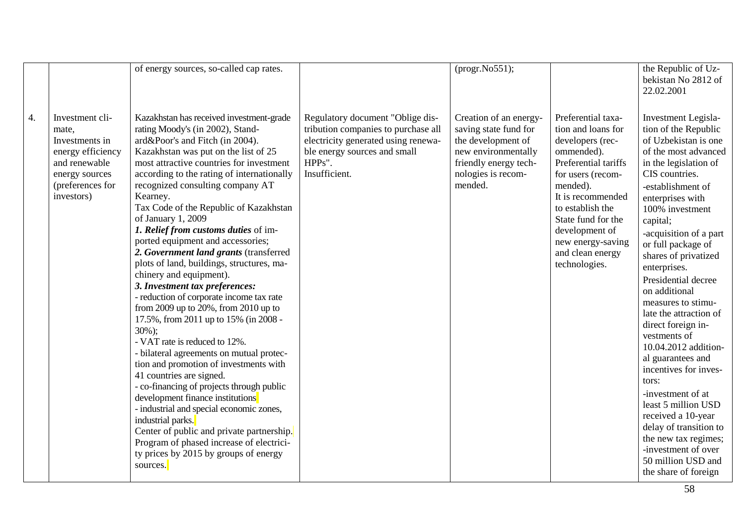|    |                                                                                                                                      | of energy sources, so-called cap rates.                                                                                                                                                                                                                                                                                                                                                                                                                                                                                                                                                                                                                                                                                                                                                                                                                                                                                                                                                                                                                                                                                                                                                            |                                                                                                                                                                           | (progr.No551);                                                                                                                                         |                                                                                                                                                                                                                                                                                | the Republic of Uz-<br>bekistan No 2812 of<br>22.02.2001                                                                                                                                                                                                                                                                                                                                                                                                                                                                                                                                                                                                                                                     |
|----|--------------------------------------------------------------------------------------------------------------------------------------|----------------------------------------------------------------------------------------------------------------------------------------------------------------------------------------------------------------------------------------------------------------------------------------------------------------------------------------------------------------------------------------------------------------------------------------------------------------------------------------------------------------------------------------------------------------------------------------------------------------------------------------------------------------------------------------------------------------------------------------------------------------------------------------------------------------------------------------------------------------------------------------------------------------------------------------------------------------------------------------------------------------------------------------------------------------------------------------------------------------------------------------------------------------------------------------------------|---------------------------------------------------------------------------------------------------------------------------------------------------------------------------|--------------------------------------------------------------------------------------------------------------------------------------------------------|--------------------------------------------------------------------------------------------------------------------------------------------------------------------------------------------------------------------------------------------------------------------------------|--------------------------------------------------------------------------------------------------------------------------------------------------------------------------------------------------------------------------------------------------------------------------------------------------------------------------------------------------------------------------------------------------------------------------------------------------------------------------------------------------------------------------------------------------------------------------------------------------------------------------------------------------------------------------------------------------------------|
| 4. | Investment cli-<br>mate,<br>Investments in<br>energy efficiency<br>and renewable<br>energy sources<br>(preferences for<br>investors) | Kazakhstan has received investment-grade<br>rating Moody's (in 2002), Stand-<br>ard&Poor's and Fitch (in 2004).<br>Kazakhstan was put on the list of 25<br>most attractive countries for investment<br>according to the rating of internationally<br>recognized consulting company AT<br>Kearney.<br>Tax Code of the Republic of Kazakhstan<br>of January 1, 2009<br>1. Relief from customs duties of im-<br>ported equipment and accessories;<br>2. Government land grants (transferred<br>plots of land, buildings, structures, ma-<br>chinery and equipment).<br>3. Investment tax preferences:<br>- reduction of corporate income tax rate<br>from 2009 up to $20\%$ , from 2010 up to<br>17.5%, from 2011 up to 15% (in 2008 -<br>$30\%$ :<br>- VAT rate is reduced to 12%.<br>- bilateral agreements on mutual protec-<br>tion and promotion of investments with<br>41 countries are signed.<br>- co-financing of projects through public<br>development finance institutions<br>- industrial and special economic zones,<br>industrial parks.<br>Center of public and private partnership.<br>Program of phased increase of electrici-<br>ty prices by 2015 by groups of energy<br>sources. | Regulatory document "Oblige dis-<br>tribution companies to purchase all<br>electricity generated using renewa-<br>ble energy sources and small<br>HPPs".<br>Insufficient. | Creation of an energy-<br>saving state fund for<br>the development of<br>new environmentally<br>friendly energy tech-<br>nologies is recom-<br>mended. | Preferential taxa-<br>tion and loans for<br>developers (rec-<br>ommended).<br>Preferential tariffs<br>for users (recom-<br>mended).<br>It is recommended<br>to establish the<br>State fund for the<br>development of<br>new energy-saving<br>and clean energy<br>technologies. | Investment Legisla-<br>tion of the Republic<br>of Uzbekistan is one<br>of the most advanced<br>in the legislation of<br>CIS countries.<br>-establishment of<br>enterprises with<br>100% investment<br>capital;<br>-acquisition of a part<br>or full package of<br>shares of privatized<br>enterprises.<br>Presidential decree<br>on additional<br>measures to stimu-<br>late the attraction of<br>direct foreign in-<br>vestments of<br>10.04.2012 addition-<br>al guarantees and<br>incentives for inves-<br>tors:<br>-investment of at<br>least 5 million USD<br>received a 10-year<br>delay of transition to<br>the new tax regimes;<br>-investment of over<br>50 million USD and<br>the share of foreign |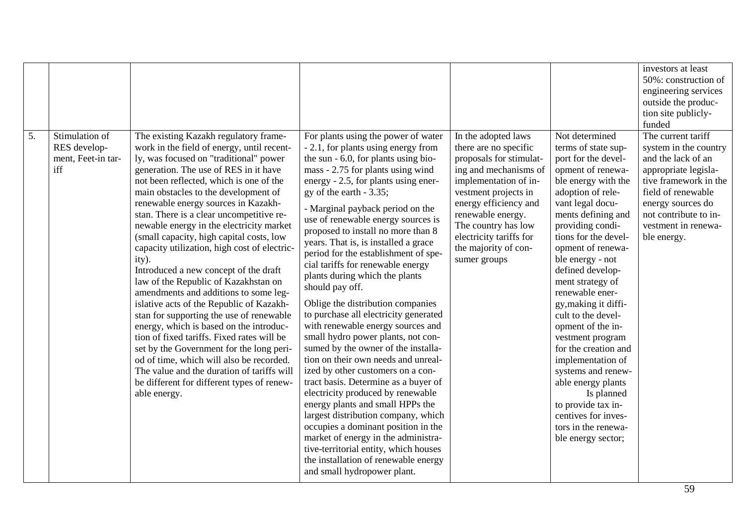| 5. | Stimulation of<br>RES develop-<br>ment, Feet-in tar-<br>iff | The existing Kazakh regulatory frame-<br>work in the field of energy, until recent-<br>ly, was focused on "traditional" power<br>generation. The use of RES in it have<br>not been reflected, which is one of the<br>main obstacles to the development of<br>renewable energy sources in Kazakh-<br>stan. There is a clear uncompetitive re-<br>newable energy in the electricity market<br>(small capacity, high capital costs, low<br>capacity utilization, high cost of electric-<br>ity).<br>Introduced a new concept of the draft<br>law of the Republic of Kazakhstan on<br>amendments and additions to some leg-<br>islative acts of the Republic of Kazakh-<br>stan for supporting the use of renewable<br>energy, which is based on the introduc-<br>tion of fixed tariffs. Fixed rates will be<br>set by the Government for the long peri-<br>od of time, which will also be recorded.<br>The value and the duration of tariffs will<br>be different for different types of renew-<br>able energy. | For plants using the power of water<br>- 2.1, for plants using energy from<br>the sun - 6.0, for plants using bio-<br>mass - 2.75 for plants using wind<br>energy - 2.5, for plants using ener-<br>gy of the earth $-3.35$ ;<br>- Marginal payback period on the<br>use of renewable energy sources is<br>proposed to install no more than 8<br>years. That is, is installed a grace<br>period for the establishment of spe-<br>cial tariffs for renewable energy<br>plants during which the plants<br>should pay off.<br>Oblige the distribution companies<br>to purchase all electricity generated<br>with renewable energy sources and<br>small hydro power plants, not con-<br>sumed by the owner of the installa-<br>tion on their own needs and unreal-<br>ized by other customers on a con-<br>tract basis. Determine as a buyer of<br>electricity produced by renewable<br>energy plants and small HPPs the<br>largest distribution company, which | In the adopted laws<br>there are no specific<br>proposals for stimulat-<br>ing and mechanisms of<br>implementation of in-<br>vestment projects in<br>energy efficiency and<br>renewable energy.<br>The country has low<br>electricity tariffs for<br>the majority of con-<br>sumer groups | Not determined<br>terms of state sup-<br>port for the devel-<br>opment of renewa-<br>ble energy with the<br>adoption of rele-<br>vant legal docu-<br>ments defining and<br>providing condi-<br>tions for the devel-<br>opment of renewa-<br>ble energy - not<br>defined develop-<br>ment strategy of<br>renewable ener-<br>gy, making it diffi-<br>cult to the devel-<br>opment of the in-<br>vestment program<br>for the creation and<br>implementation of<br>systems and renew-<br>able energy plants<br>Is planned<br>to provide tax in-<br>centives for inves- | investors at least<br>50%: construction of<br>engineering services<br>outside the produc-<br>tion site publicly-<br>funded<br>The current tariff<br>system in the country<br>and the lack of an<br>appropriate legisla-<br>tive framework in the<br>field of renewable<br>energy sources do<br>not contribute to in-<br>vestment in renewa-<br>ble energy. |
|----|-------------------------------------------------------------|--------------------------------------------------------------------------------------------------------------------------------------------------------------------------------------------------------------------------------------------------------------------------------------------------------------------------------------------------------------------------------------------------------------------------------------------------------------------------------------------------------------------------------------------------------------------------------------------------------------------------------------------------------------------------------------------------------------------------------------------------------------------------------------------------------------------------------------------------------------------------------------------------------------------------------------------------------------------------------------------------------------|------------------------------------------------------------------------------------------------------------------------------------------------------------------------------------------------------------------------------------------------------------------------------------------------------------------------------------------------------------------------------------------------------------------------------------------------------------------------------------------------------------------------------------------------------------------------------------------------------------------------------------------------------------------------------------------------------------------------------------------------------------------------------------------------------------------------------------------------------------------------------------------------------------------------------------------------------------|-------------------------------------------------------------------------------------------------------------------------------------------------------------------------------------------------------------------------------------------------------------------------------------------|--------------------------------------------------------------------------------------------------------------------------------------------------------------------------------------------------------------------------------------------------------------------------------------------------------------------------------------------------------------------------------------------------------------------------------------------------------------------------------------------------------------------------------------------------------------------|------------------------------------------------------------------------------------------------------------------------------------------------------------------------------------------------------------------------------------------------------------------------------------------------------------------------------------------------------------|
|    |                                                             |                                                                                                                                                                                                                                                                                                                                                                                                                                                                                                                                                                                                                                                                                                                                                                                                                                                                                                                                                                                                              | occupies a dominant position in the<br>market of energy in the administra-<br>tive-territorial entity, which houses<br>the installation of renewable energy<br>and small hydropower plant.                                                                                                                                                                                                                                                                                                                                                                                                                                                                                                                                                                                                                                                                                                                                                                 |                                                                                                                                                                                                                                                                                           | tors in the renewa-<br>ble energy sector;                                                                                                                                                                                                                                                                                                                                                                                                                                                                                                                          |                                                                                                                                                                                                                                                                                                                                                            |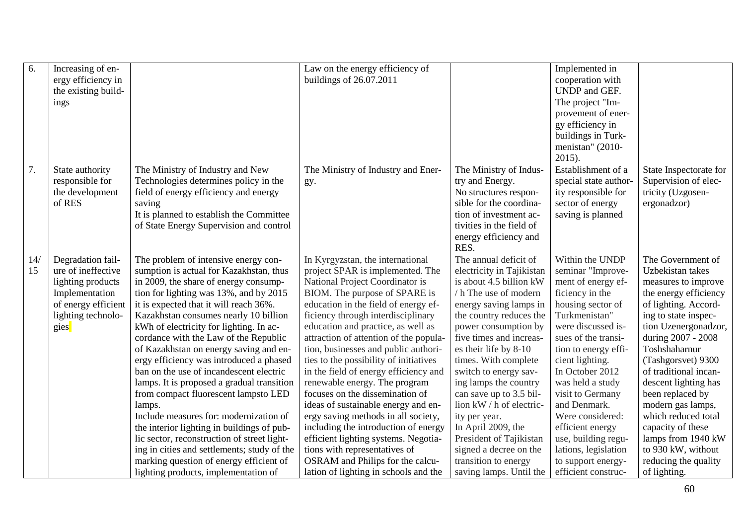| 6.        | Increasing of en-<br>ergy efficiency in<br>the existing build-<br>ings                                                              |                                                                                                                                                                                                                                                                                                                                                                                                                                                                                                                                                                                                                                                                                                                                                                                                            | Law on the energy efficiency of<br>buildings of 26.07.2011                                                                                                                                                                                                                                                                                                                                                                                                                                                                                                                                                                                                                                                                               |                                                                                                                                                                                                                                                                                                                                                                                                                                                                                              | Implemented in<br>cooperation with<br>UNDP and GEF.<br>The project "Im-<br>provement of ener-<br>gy efficiency in<br>buildings in Turk-<br>menistan" (2010-<br>$2015$ ).                                                                                                                                                                                                                            |                                                                                                                                                                                                                                                                                                                                                                                                                                      |
|-----------|-------------------------------------------------------------------------------------------------------------------------------------|------------------------------------------------------------------------------------------------------------------------------------------------------------------------------------------------------------------------------------------------------------------------------------------------------------------------------------------------------------------------------------------------------------------------------------------------------------------------------------------------------------------------------------------------------------------------------------------------------------------------------------------------------------------------------------------------------------------------------------------------------------------------------------------------------------|------------------------------------------------------------------------------------------------------------------------------------------------------------------------------------------------------------------------------------------------------------------------------------------------------------------------------------------------------------------------------------------------------------------------------------------------------------------------------------------------------------------------------------------------------------------------------------------------------------------------------------------------------------------------------------------------------------------------------------------|----------------------------------------------------------------------------------------------------------------------------------------------------------------------------------------------------------------------------------------------------------------------------------------------------------------------------------------------------------------------------------------------------------------------------------------------------------------------------------------------|-----------------------------------------------------------------------------------------------------------------------------------------------------------------------------------------------------------------------------------------------------------------------------------------------------------------------------------------------------------------------------------------------------|--------------------------------------------------------------------------------------------------------------------------------------------------------------------------------------------------------------------------------------------------------------------------------------------------------------------------------------------------------------------------------------------------------------------------------------|
| 7.        | State authority<br>responsible for<br>the development<br>of RES                                                                     | The Ministry of Industry and New<br>Technologies determines policy in the<br>field of energy efficiency and energy<br>saving<br>It is planned to establish the Committee<br>of State Energy Supervision and control                                                                                                                                                                                                                                                                                                                                                                                                                                                                                                                                                                                        | The Ministry of Industry and Ener-<br>gy.                                                                                                                                                                                                                                                                                                                                                                                                                                                                                                                                                                                                                                                                                                | The Ministry of Indus-<br>try and Energy.<br>No structures respon-<br>sible for the coordina-<br>tion of investment ac-<br>tivities in the field of<br>energy efficiency and<br>RES.                                                                                                                                                                                                                                                                                                         | Establishment of a<br>special state author-<br>ity responsible for<br>sector of energy<br>saving is planned                                                                                                                                                                                                                                                                                         | State Inspectorate for<br>Supervision of elec-<br>tricity (Uzgosen-<br>ergonadzor)                                                                                                                                                                                                                                                                                                                                                   |
| 14/<br>15 | Degradation fail-<br>ure of ineffective<br>lighting products<br>Implementation<br>of energy efficient<br>lighting technolo-<br>gies | The problem of intensive energy con-<br>sumption is actual for Kazakhstan, thus<br>in 2009, the share of energy consump-<br>tion for lighting was 13%, and by 2015<br>it is expected that it will reach 36%.<br>Kazakhstan consumes nearly 10 billion<br>kWh of electricity for lighting. In ac-<br>cordance with the Law of the Republic<br>of Kazakhstan on energy saving and en-<br>ergy efficiency was introduced a phased<br>ban on the use of incandescent electric<br>lamps. It is proposed a gradual transition<br>from compact fluorescent lampsto LED<br>lamps.<br>Include measures for: modernization of<br>the interior lighting in buildings of pub-<br>lic sector, reconstruction of street light-<br>ing in cities and settlements; study of the<br>marking question of energy efficient of | In Kyrgyzstan, the international<br>project SPAR is implemented. The<br>National Project Coordinator is<br>BIOM. The purpose of SPARE is<br>education in the field of energy ef-<br>ficiency through interdisciplinary<br>education and practice, as well as<br>attraction of attention of the popula-<br>tion, businesses and public authori-<br>ties to the possibility of initiatives<br>in the field of energy efficiency and<br>renewable energy. The program<br>focuses on the dissemination of<br>ideas of sustainable energy and en-<br>ergy saving methods in all society,<br>including the introduction of energy<br>efficient lighting systems. Negotia-<br>tions with representatives of<br>OSRAM and Philips for the calcu- | The annual deficit of<br>electricity in Tajikistan<br>is about 4.5 billion kW<br>/ h The use of modern<br>energy saving lamps in<br>the country reduces the<br>power consumption by<br>five times and increas-<br>es their life by 8-10<br>times. With complete<br>switch to energy sav-<br>ing lamps the country<br>can save up to 3.5 bil-<br>lion kW / h of electric-<br>ity per year.<br>In April 2009, the<br>President of Tajikistan<br>signed a decree on the<br>transition to energy | Within the UNDP<br>seminar "Improve-<br>ment of energy ef-<br>ficiency in the<br>housing sector of<br>Turkmenistan"<br>were discussed is-<br>sues of the transi-<br>tion to energy effi-<br>cient lighting.<br>In October 2012<br>was held a study<br>visit to Germany<br>and Denmark.<br>Were considered:<br>efficient energy<br>use, building regu-<br>lations, legislation<br>to support energy- | The Government of<br>Uzbekistan takes<br>measures to improve<br>the energy efficiency<br>of lighting. Accord-<br>ing to state inspec-<br>tion Uzenergonadzor,<br>during 2007 - 2008<br>Toshshaharnur<br>(Tashgorsvet) 9300<br>of traditional incan-<br>descent lighting has<br>been replaced by<br>modern gas lamps,<br>which reduced total<br>capacity of these<br>lamps from 1940 kW<br>to 930 kW, without<br>reducing the quality |
|           |                                                                                                                                     | lighting products, implementation of                                                                                                                                                                                                                                                                                                                                                                                                                                                                                                                                                                                                                                                                                                                                                                       | lation of lighting in schools and the                                                                                                                                                                                                                                                                                                                                                                                                                                                                                                                                                                                                                                                                                                    | saving lamps. Until the                                                                                                                                                                                                                                                                                                                                                                                                                                                                      | efficient construc-                                                                                                                                                                                                                                                                                                                                                                                 | of lighting.                                                                                                                                                                                                                                                                                                                                                                                                                         |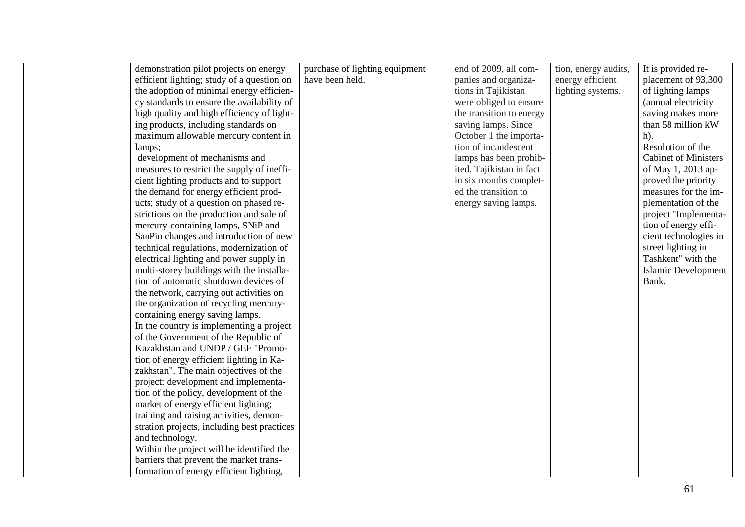| demonstration pilot projects on energy<br>efficient lighting; study of a question on | purchase of lighting equipment<br>have been held. | end of 2009, all com-<br>panies and organiza- | tion, energy audits,<br>energy efficient | It is provided re-<br>placement of 93,300 |
|--------------------------------------------------------------------------------------|---------------------------------------------------|-----------------------------------------------|------------------------------------------|-------------------------------------------|
|                                                                                      |                                                   |                                               |                                          |                                           |
| the adoption of minimal energy efficien-                                             |                                                   | tions in Tajikistan                           | lighting systems.                        | of lighting lamps                         |
| cy standards to ensure the availability of                                           |                                                   | were obliged to ensure                        |                                          | (annual electricity                       |
| high quality and high efficiency of light-                                           |                                                   | the transition to energy                      |                                          | saving makes more                         |
| ing products, including standards on                                                 |                                                   | saving lamps. Since                           |                                          | than 58 million kW                        |
| maximum allowable mercury content in                                                 |                                                   | October 1 the importa-                        |                                          | $h$ ).                                    |
| lamps;                                                                               |                                                   | tion of incandescent                          |                                          | Resolution of the                         |
| development of mechanisms and                                                        |                                                   | lamps has been prohib-                        |                                          | Cabinet of Ministers                      |
| measures to restrict the supply of ineffi-                                           |                                                   | ited. Tajikistan in fact                      |                                          | of May 1, 2013 ap-                        |
| cient lighting products and to support                                               |                                                   | in six months complet-                        |                                          | proved the priority                       |
| the demand for energy efficient prod-                                                |                                                   | ed the transition to                          |                                          | measures for the im-                      |
| ucts; study of a question on phased re-                                              |                                                   | energy saving lamps.                          |                                          | plementation of the                       |
| strictions on the production and sale of                                             |                                                   |                                               |                                          | project "Implementa-                      |
| mercury-containing lamps, SNiP and                                                   |                                                   |                                               |                                          | tion of energy effi-                      |
| SanPin changes and introduction of new                                               |                                                   |                                               |                                          | cient technologies in                     |
| technical regulations, modernization of                                              |                                                   |                                               |                                          | street lighting in                        |
| electrical lighting and power supply in                                              |                                                   |                                               |                                          | Tashkent" with the                        |
| multi-storey buildings with the installa-                                            |                                                   |                                               |                                          | <b>Islamic Development</b>                |
| tion of automatic shutdown devices of                                                |                                                   |                                               |                                          | Bank.                                     |
| the network, carrying out activities on                                              |                                                   |                                               |                                          |                                           |
| the organization of recycling mercury-                                               |                                                   |                                               |                                          |                                           |
| containing energy saving lamps.                                                      |                                                   |                                               |                                          |                                           |
| In the country is implementing a project                                             |                                                   |                                               |                                          |                                           |
| of the Government of the Republic of                                                 |                                                   |                                               |                                          |                                           |
| Kazakhstan and UNDP / GEF "Promo-                                                    |                                                   |                                               |                                          |                                           |
| tion of energy efficient lighting in Ka-                                             |                                                   |                                               |                                          |                                           |
| zakhstan". The main objectives of the                                                |                                                   |                                               |                                          |                                           |
| project: development and implementa-                                                 |                                                   |                                               |                                          |                                           |
| tion of the policy, development of the                                               |                                                   |                                               |                                          |                                           |
| market of energy efficient lighting;                                                 |                                                   |                                               |                                          |                                           |
| training and raising activities, demon-                                              |                                                   |                                               |                                          |                                           |
| stration projects, including best practices                                          |                                                   |                                               |                                          |                                           |
| and technology.                                                                      |                                                   |                                               |                                          |                                           |
| Within the project will be identified the                                            |                                                   |                                               |                                          |                                           |
| barriers that prevent the market trans-                                              |                                                   |                                               |                                          |                                           |
| formation of energy efficient lighting,                                              |                                                   |                                               |                                          |                                           |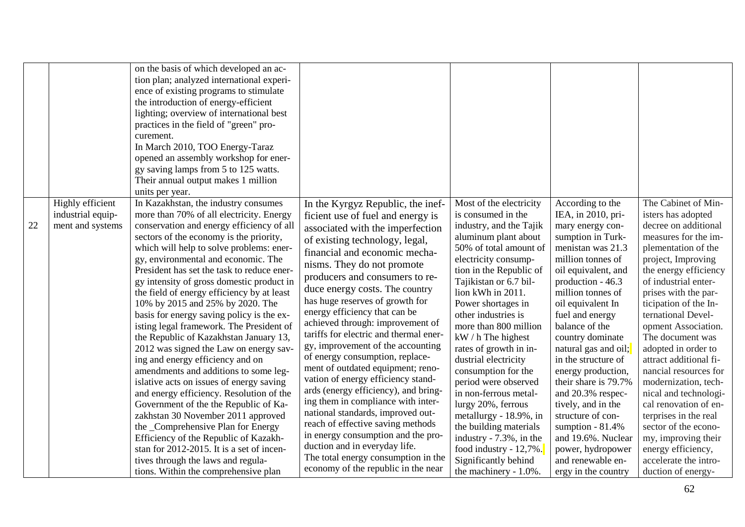| Highly efficient<br>industrial equip-<br>22<br>ment and systems | on the basis of which developed an ac-<br>tion plan; analyzed international experi-<br>ence of existing programs to stimulate<br>the introduction of energy-efficient<br>lighting; overview of international best<br>practices in the field of "green" pro-<br>curement.<br>In March 2010, TOO Energy-Taraz<br>opened an assembly workshop for ener-<br>gy saving lamps from 5 to 125 watts.<br>Their annual output makes 1 million<br>units per year.<br>In Kazakhstan, the industry consumes<br>more than 70% of all electricity. Energy<br>conservation and energy efficiency of all<br>sectors of the economy is the priority,<br>which will help to solve problems: ener-<br>gy, environmental and economic. The<br>President has set the task to reduce ener-<br>gy intensity of gross domestic product in<br>the field of energy efficiency by at least<br>10% by 2015 and 25% by 2020. The<br>basis for energy saving policy is the ex-<br>isting legal framework. The President of<br>the Republic of Kazakhstan January 13,<br>2012 was signed the Law on energy sav-<br>ing and energy efficiency and on<br>amendments and additions to some leg-<br>islative acts on issues of energy saving<br>and energy efficiency. Resolution of the<br>Government of the the Republic of Ka-<br>zakhstan 30 November 2011 approved<br>the _Comprehensive Plan for Energy<br>Efficiency of the Republic of Kazakh-<br>stan for 2012-2015. It is a set of incen-<br>tives through the laws and regula-<br>tions. Within the comprehensive plan | In the Kyrgyz Republic, the inef-<br>ficient use of fuel and energy is<br>associated with the imperfection<br>of existing technology, legal,<br>financial and economic mecha-<br>nisms. They do not promote<br>producers and consumers to re-<br>duce energy costs. The country<br>has huge reserves of growth for<br>energy efficiency that can be<br>achieved through: improvement of<br>tariffs for electric and thermal ener-<br>gy, improvement of the accounting<br>of energy consumption, replace-<br>ment of outdated equipment; reno-<br>vation of energy efficiency stand-<br>ards (energy efficiency), and bring-<br>ing them in compliance with inter-<br>national standards, improved out-<br>reach of effective saving methods<br>in energy consumption and the pro-<br>duction and in everyday life.<br>The total energy consumption in the<br>economy of the republic in the near | Most of the electricity<br>is consumed in the<br>industry, and the Tajik<br>aluminum plant about<br>50% of total amount of<br>electricity consump-<br>tion in the Republic of<br>Tajikistan or 6.7 bil-<br>lion kWh in 2011.<br>Power shortages in<br>other industries is<br>more than 800 million<br>$kW / h$ The highest<br>rates of growth in in-<br>dustrial electricity<br>consumption for the<br>period were observed<br>in non-ferrous metal-<br>lurgy 20%, ferrous<br>metallurgy - 18.9%, in<br>the building materials<br>industry - 7.3%, in the<br>food industry - $12,7\%$ .<br>Significantly behind<br>the machinery - 1.0%. | According to the<br>IEA, in 2010, pri-<br>mary energy con-<br>sumption in Turk-<br>menistan was 21.3<br>million tonnes of<br>oil equivalent, and<br>production - 46.3<br>million tonnes of<br>oil equivalent In<br>fuel and energy<br>balance of the<br>country dominate<br>natural gas and oil;<br>in the structure of<br>energy production,<br>their share is 79.7%<br>and 20.3% respec-<br>tively, and in the<br>structure of con-<br>sumption $-81.4%$<br>and 19.6%. Nuclear<br>power, hydropower<br>and renewable en-<br>ergy in the country | The Cabinet of Min-<br>isters has adopted<br>decree on additional<br>measures for the im-<br>plementation of the<br>project, Improving<br>the energy efficiency<br>of industrial enter-<br>prises with the par-<br>ticipation of the In-<br>ternational Devel-<br>opment Association.<br>The document was<br>adopted in order to<br>attract additional fi-<br>nancial resources for<br>modernization, tech-<br>nical and technologi-<br>cal renovation of en-<br>terprises in the real<br>sector of the econo-<br>my, improving their<br>energy efficiency,<br>accelerate the intro-<br>duction of energy- |
|-----------------------------------------------------------------|-----------------------------------------------------------------------------------------------------------------------------------------------------------------------------------------------------------------------------------------------------------------------------------------------------------------------------------------------------------------------------------------------------------------------------------------------------------------------------------------------------------------------------------------------------------------------------------------------------------------------------------------------------------------------------------------------------------------------------------------------------------------------------------------------------------------------------------------------------------------------------------------------------------------------------------------------------------------------------------------------------------------------------------------------------------------------------------------------------------------------------------------------------------------------------------------------------------------------------------------------------------------------------------------------------------------------------------------------------------------------------------------------------------------------------------------------------------------------------------------------------------------------------------------------|---------------------------------------------------------------------------------------------------------------------------------------------------------------------------------------------------------------------------------------------------------------------------------------------------------------------------------------------------------------------------------------------------------------------------------------------------------------------------------------------------------------------------------------------------------------------------------------------------------------------------------------------------------------------------------------------------------------------------------------------------------------------------------------------------------------------------------------------------------------------------------------------------|------------------------------------------------------------------------------------------------------------------------------------------------------------------------------------------------------------------------------------------------------------------------------------------------------------------------------------------------------------------------------------------------------------------------------------------------------------------------------------------------------------------------------------------------------------------------------------------------------------------------------------------|---------------------------------------------------------------------------------------------------------------------------------------------------------------------------------------------------------------------------------------------------------------------------------------------------------------------------------------------------------------------------------------------------------------------------------------------------------------------------------------------------------------------------------------------------|------------------------------------------------------------------------------------------------------------------------------------------------------------------------------------------------------------------------------------------------------------------------------------------------------------------------------------------------------------------------------------------------------------------------------------------------------------------------------------------------------------------------------------------------------------------------------------------------------------|
|-----------------------------------------------------------------|-----------------------------------------------------------------------------------------------------------------------------------------------------------------------------------------------------------------------------------------------------------------------------------------------------------------------------------------------------------------------------------------------------------------------------------------------------------------------------------------------------------------------------------------------------------------------------------------------------------------------------------------------------------------------------------------------------------------------------------------------------------------------------------------------------------------------------------------------------------------------------------------------------------------------------------------------------------------------------------------------------------------------------------------------------------------------------------------------------------------------------------------------------------------------------------------------------------------------------------------------------------------------------------------------------------------------------------------------------------------------------------------------------------------------------------------------------------------------------------------------------------------------------------------------|---------------------------------------------------------------------------------------------------------------------------------------------------------------------------------------------------------------------------------------------------------------------------------------------------------------------------------------------------------------------------------------------------------------------------------------------------------------------------------------------------------------------------------------------------------------------------------------------------------------------------------------------------------------------------------------------------------------------------------------------------------------------------------------------------------------------------------------------------------------------------------------------------|------------------------------------------------------------------------------------------------------------------------------------------------------------------------------------------------------------------------------------------------------------------------------------------------------------------------------------------------------------------------------------------------------------------------------------------------------------------------------------------------------------------------------------------------------------------------------------------------------------------------------------------|---------------------------------------------------------------------------------------------------------------------------------------------------------------------------------------------------------------------------------------------------------------------------------------------------------------------------------------------------------------------------------------------------------------------------------------------------------------------------------------------------------------------------------------------------|------------------------------------------------------------------------------------------------------------------------------------------------------------------------------------------------------------------------------------------------------------------------------------------------------------------------------------------------------------------------------------------------------------------------------------------------------------------------------------------------------------------------------------------------------------------------------------------------------------|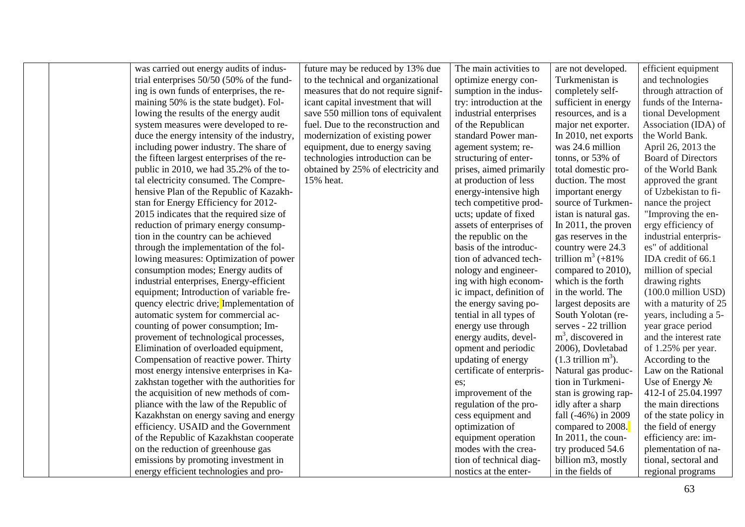was carried out energy audits of industrial enterprises 50/50 (50% of the funding is own funds of enterprises, the remaining 50% is the state budget). Following the results of the energy audit system measures were developed to reduce the energy intensity of the industry, including power industry. The share of the fifteen largest enterprises of the republic in 2010, we had 35.2% of the total electricity consumed. The Comprehensive Plan of the Republic of Kazakhstan for Energy Efficiency for 2012- 2015 indicates that the required size of reduction of primary energy consumption in the country can be achieved through the implementation of the following measures: Optimization of power consumption modes; Energy audits of industrial enterprises, Energy-efficient equipment; Introduction of variable frequency electric drive; Implementation of automatic system for commercial accounting of power consumption; Improvement of technological processes, Elimination of overloaded equipment, Compensation of reactive power. Thirty most energy intensive enterprises in Kazakhstan together with the authorities for the acquisition of new methods of compliance with the law of the Republic of Kazakhstan on energy saving and energy efficiency. USAID and the Government of the Republic of Kazakhstan cooperate on the reduction of greenhouse gas emissions by promoting investment in energy efficient technologies and pro-

future may be reduced by 13% due to the technical and organizational measures that do not require significant capital investment that will save 550 million tons of equivalent fuel. Due to the reconstruction and modernization of existing power equipment, due to energy saving technologies introduction can be obtained by 25% of electricity and 15% heat.

The main activities to optimize energy consumption in the industry: introduction at the industrial enterprises of the Republican standard Power management system; restructuring of enterprises, aimed primarily at production of less energy-intensive high tech competitive products; update of fixed assets of enterprises of the republic on the basis of the introduction of advanced technology and engineering with high economic impact, definition of the energy saving potential in all types of energy use through energy audits, development and periodic updating of energy certificate of enterprises; improvement of the regulation of the process equipment and optimization of equipment operation modes with the creation of technical diagnostics at the enter-

are not developed. Turkmenistan is completely selfsufficient in energy resources, and is a major net exporter. In 2010, net exports was 24.6 million tonns, or 53% of total domestic production. The most important energy source of Turkmenistan is natural gas. In 2011, the proven gas reserves in the country were 24.3 trillion  $m^3$  (+81%) compared to 2010), which is the forth in the world. The largest deposits are South Yolotan (reserves - 22 trillion m<sup>3</sup>, discovered in 2006), Dovletabad  $(1.3$  trillion m<sup>3</sup>). Natural gas production in Turkmenistan is growing rapidly after a sharp fall (-46%) in 2009 compared to 2008. In 2011, the country produced 54.6 billion m3, mostly in the fields of

efficient equipment and technologies through attraction of funds of the International Development Association (IDA) of the World Bank. April 26, 2013 the Board of Directors of the World Bank approved the grant of Uzbekistan to finance the project "Improving the energy efficiency of industrial enterprises" of additional IDA credit of 66.1 million of special drawing rights (100.0 million USD) with a maturity of 25 years, including a 5 year grace period and the interest rate of 1.25% per year. According to the Law on the Rational Use of Energy No 412-I of 25.04.1997 the main directions of the state policy in the field of energy efficiency are: implementation of national, sectoral and regional programs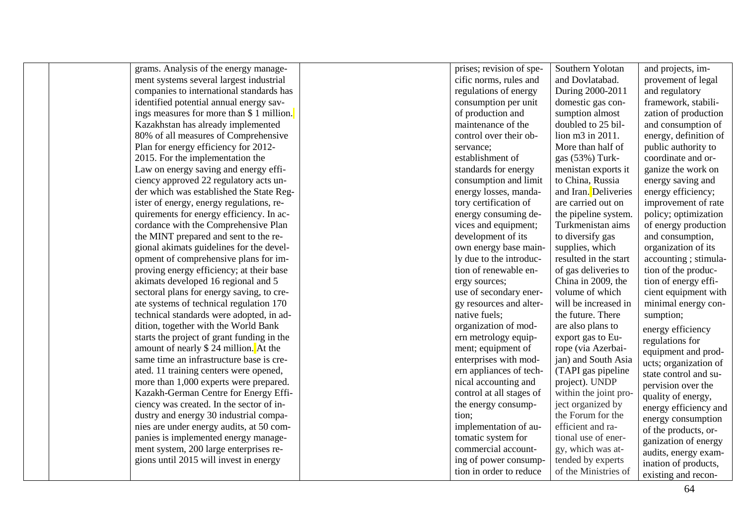grams. Analysis of the energy management systems several largest industrial companies to international standards has identified potential annual energy savings measures for more than \$ 1 million. Kazakhstan has already implemented 80% of all measures of Comprehensive Plan for energy efficiency for 2012 - 2015. For the implementation the Law on energy saving and energy efficiency approved 22 regulatory acts under which was established the State Register of energy, energy regulations, requirements for energy efficiency. In accordance with the Comprehensive Plan the MINT prepared and sent to the regional akimats guidelines for the development of comprehensive plans for improving energy efficiency; at their base akimats developed 16 regional and 5 sectoral plans for energy saving, to create systems of technical regulation 170 technical standards were adopted, in addition, together with the World Bank starts the project of grant funding in the amount of nearly \$ 24 million. At the same time an infrastructure base is created. 11 training centers were opened, more than 1,000 experts were prepared. Kazakh -German Centre for Energy Efficiency was created. In the sector of industry and energy 30 industrial companies are under energy audits, at 50 companies is implemented energy management system, 200 large enterprises regions until 2015 will invest in energy

prises; revision of specific norms, rules and regulations of energy consumption per unit of production and maintenance of the control over their observance; establishment of standards for energy co nsumption and limit energy losses, mandatory certification of energy consuming devices and equipment; development of its own energy base mainly due to the introduction of renewable energy sources; use of secondary energy resources and alternative fuels; organization of modern metrology equipment; equipment of enterprises with modern appliances of technical accounting and control at all stages of the energy consumption; implementation of automatic system for commercial accounting of power consumption in order to reduce

Southern Yolotan and Dovlatabad. During 2000 -2011 domestic gas consumption almost doubled to 25 billion m3 in 2011. More than half of gas (53%) Turkmenistan exports it to China, Russia and Iran. Deliveries are ca rried out on the pipeline system. Turkmenistan aims to diversify gas supplies, which resulted in the start of gas deliveries to China in 2009, the volume of which will be increased in the future. There are also plans to export gas to Europe (via Azerbaijan) and South Asia (TAPI gas pipeline project). UNDP within the joint project organized by the Forum for the efficient and rational use of energy, which was attended by experts of the Ministries of and projects, im-

provement of legal and regulatory framework, stabili zation of production and consumption of energy, definition of public authority to coordinate and organize the work on energy saving and energy efficiency; improvement of rate policy; optimization of energy production and consumption, organization of its accounting ; stimulation of the production of energy efficient equipment with minimal energy consumption; energy efficiency regulations for equipment and products; organization of state control and supervision over the quality of energy, energy efficiency and energy consumption of the products, organization of energy audits, energy examination of products, existing and recon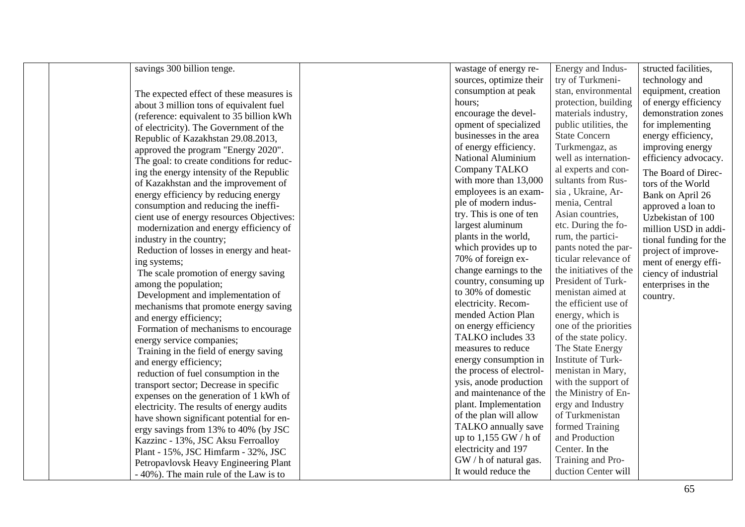savings 300 billion tenge.

The expected effect of these measures is about 3 million tons of equivalent fuel (reference: equivalent to 35 billion kWh Republic of Kazakhstan 29.08.2013, approved the program "Energy 2020". The goal: to create conditions for reducing the energy intensity of the Republic of Kazakhstan and the improvement of energy efficiency by reducing energy consumption and reducing the inefficient use of energy resources Objectives: modernization and energy efficiency of industry in the country; Reduction of losses in energy and heating systems; The scale promotion of energy saving among the population; Development and implementation of mechanisms that promote energy saving and energy efficiency; Formation of mechanisms to encourage energy service companies; Training in the field of energy saving and energy efficiency; reduction of fuel consumption in the transport sector; Decrease in specific expenses on the generation of 1 kWh of electricity. The results of energy audits have shown significant potential for energy savings from 13% to 40% (by JSC Kazzinc - 13%, JSC Aksu Ferroalloy Plant - 15%, JSC Himfarm - 32%, JSC Petropavlovsk Heavy Engineering Plant - 40%). The main rule of the Law is to

wastage of energy resources, optimize their consumption at peak hours; encourage the development of specialized businesses in the area of energy efficiency. National Aluminium Company TALKO with more than 13,000 employees is an example of modern industry. This is one of ten largest aluminum plants in the world, which provides up to 70% of foreign exchange earnings to the country, consuming up to 30% of domestic electricity. Recommended Action Plan on energy efficiency TALKO includes 33 measures to reduce energy consumption in the process of electrolysis, anode production and maintenance of the plant. Impl ementation of the plan will allow TALKO annually save up to  $1.155$  GW / h of electricity and 197 GW / h of natural gas. It would reduce the duction Center will

Energy and Industry of Turkmenistan, environmental protection, building materials industry, public utilities, the State Concern Turkmengaz, as well as international experts and consultants from Russia , Ukraine, Armenia, Central Asian countries, etc. During the forum, the participants noted the particular relevance of the initiatives of the President of Turkmenistan aimed at the efficient use of energy, which is one of the priorities of the state policy. The State Energy Institute of Turkmenistan in Mary, with the support of the Ministry of Energy and Industry of Turkmenistan formed Training and Production Center. In the Training and Pro-

structed facilities, technology and equipment, creation of energy efficiency demonstration zones for implementing energy efficiency, improving energy efficiency advocacy. The Board of Directors of the World Bank on April 26 approved a loan to Uzbekistan of 100 million USD in additional funding for the project of improvement of energy efficiency of industrial enterprises in the country.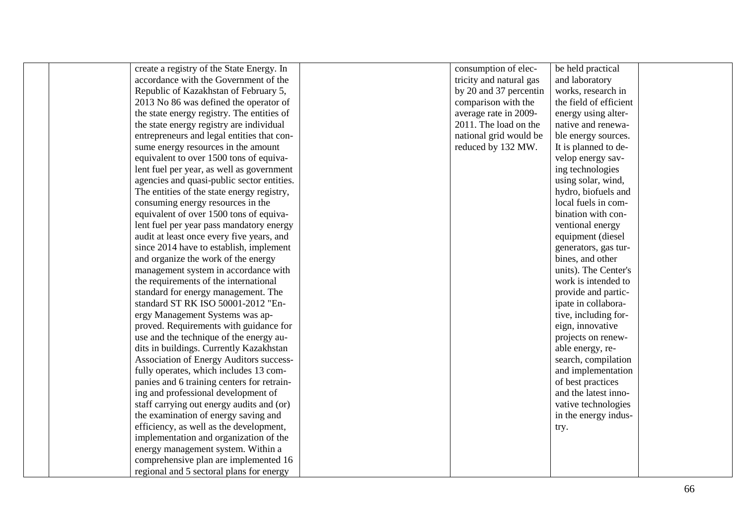create a registry of the State Energy. In accordance with the Government of the Republic of Kazakhstan of February 5, 2013 No 86 was defined the operator of the state energy registry. The entities of the state energy registry are individual entrepreneurs and legal entities that consume energy resources in the amount equivalent to over 1500 tons of equivalent fuel per year, as well as government agencies and quasi -public sector entities. The entities of the state energy registry, consuming energy resources in the equivalent of over 1500 tons of equivalent fuel per year pass mandatory energy audit at least once every five years, and since 2014 have to establish, implement and organize the work of the energy management system in accordance with the requirements of the international standard for energy management. The standard ST RK ISO 50001 -2012 "Energy Management Systems was approved. Requirements with guidance for use and the technique of the energy audits in buildings. Currently Kazakhstan Association of Energy Auditors successfully operates, which includes 13 companies and 6 training centers for retraining and professional development of staff carrying out energy audits and (or) the examination of energy saving and efficiency, as well as the development, implementation and organization of the energy management system. Within a comprehensive plan are implemented 16 regional and 5 sectoral plans for energy

consumption of electricity and natural gas by 20 and 37 percentin compar ison with the average rate in 2009 - 2011. The load on the national grid would be reduced by 132 MW.

be held practical and laboratory works, research in the field of efficient energy using alternative and renewable energy sources. It is planned to develop energy saving technologies using s olar, wind, hydro, biofuels and local fuels in combination with conventional energy equipment (diesel generators, gas turbines, and other units). The Center's work is intended to provide and participate in collaborative, including foreign, innovative projects on renewable energy, research, compilation and implementation of best practices and the latest innovative technologies in the energy industry.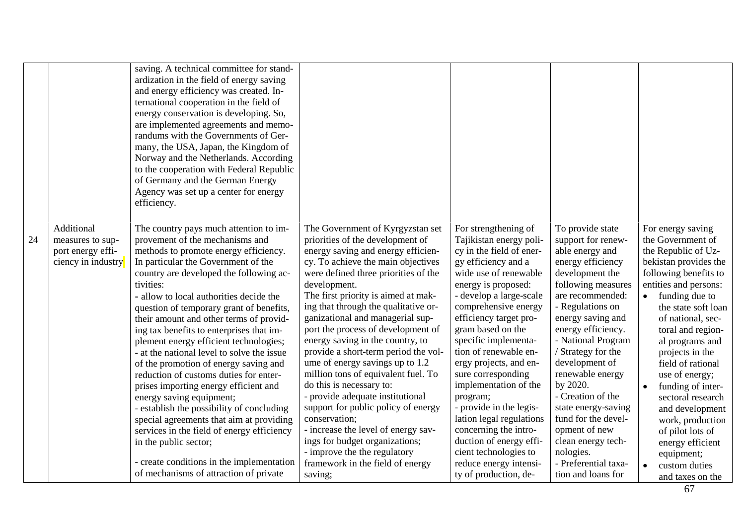|    |                                                                           | saving. A technical committee for stand-<br>ardization in the field of energy saving<br>and energy efficiency was created. In-<br>ternational cooperation in the field of<br>energy conservation is developing. So,<br>are implemented agreements and memo-<br>randums with the Governments of Ger-<br>many, the USA, Japan, the Kingdom of<br>Norway and the Netherlands. According<br>to the cooperation with Federal Republic<br>of Germany and the German Energy<br>Agency was set up a center for energy<br>efficiency.                                                                                                                                                                                                                                                                                                                                                                           |                                                                                                                                                                                                                                                                                                                                                                                                                                                                                                                                                                                                                                                                                                                                                                                                         |                                                                                                                                                                                                                                                                                                                                                                                                                                                                                                                                                                                   |                                                                                                                                                                                                                                                                                                                                                                                                                                                                               |                                                                                                                                                                                                                                                                                                                                                                                                                                                                                                             |
|----|---------------------------------------------------------------------------|--------------------------------------------------------------------------------------------------------------------------------------------------------------------------------------------------------------------------------------------------------------------------------------------------------------------------------------------------------------------------------------------------------------------------------------------------------------------------------------------------------------------------------------------------------------------------------------------------------------------------------------------------------------------------------------------------------------------------------------------------------------------------------------------------------------------------------------------------------------------------------------------------------|---------------------------------------------------------------------------------------------------------------------------------------------------------------------------------------------------------------------------------------------------------------------------------------------------------------------------------------------------------------------------------------------------------------------------------------------------------------------------------------------------------------------------------------------------------------------------------------------------------------------------------------------------------------------------------------------------------------------------------------------------------------------------------------------------------|-----------------------------------------------------------------------------------------------------------------------------------------------------------------------------------------------------------------------------------------------------------------------------------------------------------------------------------------------------------------------------------------------------------------------------------------------------------------------------------------------------------------------------------------------------------------------------------|-------------------------------------------------------------------------------------------------------------------------------------------------------------------------------------------------------------------------------------------------------------------------------------------------------------------------------------------------------------------------------------------------------------------------------------------------------------------------------|-------------------------------------------------------------------------------------------------------------------------------------------------------------------------------------------------------------------------------------------------------------------------------------------------------------------------------------------------------------------------------------------------------------------------------------------------------------------------------------------------------------|
| 24 | Additional<br>measures to sup-<br>port energy effi-<br>ciency in industry | The country pays much attention to im-<br>provement of the mechanisms and<br>methods to promote energy efficiency.<br>In particular the Government of the<br>country are developed the following ac-<br>tivities:<br>- allow to local authorities decide the<br>question of temporary grant of benefits,<br>their amount and other terms of provid-<br>ing tax benefits to enterprises that im-<br>plement energy efficient technologies;<br>- at the national level to solve the issue<br>of the promotion of energy saving and<br>reduction of customs duties for enter-<br>prises importing energy efficient and<br>energy saving equipment;<br>- establish the possibility of concluding<br>special agreements that aim at providing<br>services in the field of energy efficiency<br>in the public sector;<br>- create conditions in the implementation<br>of mechanisms of attraction of private | The Government of Kyrgyzstan set<br>priorities of the development of<br>energy saving and energy efficien-<br>cy. To achieve the main objectives<br>were defined three priorities of the<br>development.<br>The first priority is aimed at mak-<br>ing that through the qualitative or-<br>ganizational and managerial sup-<br>port the process of development of<br>energy saving in the country, to<br>provide a short-term period the vol-<br>ume of energy savings up to 1.2<br>million tons of equivalent fuel. To<br>do this is necessary to:<br>- provide adequate institutional<br>support for public policy of energy<br>conservation;<br>- increase the level of energy sav-<br>ings for budget organizations;<br>- improve the the regulatory<br>framework in the field of energy<br>saving; | For strengthening of<br>Tajikistan energy poli-<br>cy in the field of ener-<br>gy efficiency and a<br>wide use of renewable<br>energy is proposed:<br>- develop a large-scale<br>comprehensive energy<br>efficiency target pro-<br>gram based on the<br>specific implementa-<br>tion of renewable en-<br>ergy projects, and en-<br>sure corresponding<br>implementation of the<br>program;<br>- provide in the legis-<br>lation legal regulations<br>concerning the intro-<br>duction of energy effi-<br>cient technologies to<br>reduce energy intensi-<br>ty of production, de- | To provide state<br>support for renew-<br>able energy and<br>energy efficiency<br>development the<br>following measures<br>are recommended:<br>- Regulations on<br>energy saving and<br>energy efficiency.<br>- National Program<br>/ Strategy for the<br>development of<br>renewable energy<br>by 2020.<br>- Creation of the<br>state energy-saving<br>fund for the devel-<br>opment of new<br>clean energy tech-<br>nologies.<br>- Preferential taxa-<br>tion and loans for | For energy saving<br>the Government of<br>the Republic of Uz-<br>bekistan provides the<br>following benefits to<br>entities and persons:<br>$\bullet$ funding due to<br>the state soft loan<br>of national, sec-<br>toral and region-<br>al programs and<br>projects in the<br>field of rational<br>use of energy;<br>funding of inter-<br>$\bullet$<br>sectoral research<br>and development<br>work, production<br>of pilot lots of<br>energy efficient<br>equipment;<br>custom duties<br>and taxes on the |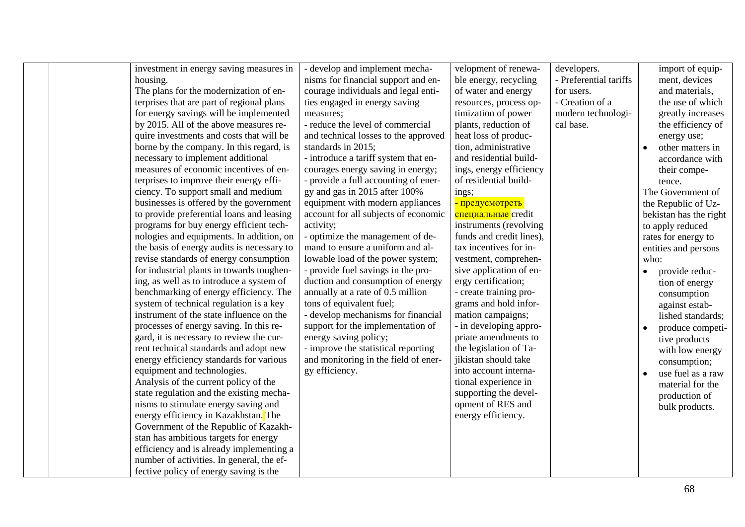investment in energy saving measures in housing.

The plans for the modernization of enterprises that are part of regional plans for energy savings will be implemented by 2015. All of the above measures require investments and costs that will be borne by the company. In this regard, is necessary to implement additional measures of economic incentives of enterprises to improve their energy efficiency. To support small and medium businesses is offered by the government to provide preferential loans and leasing programs for buy energy efficient technologies and equipments. In addition, on the basis of energy audits is necessary to revise standards of energy consumption for industrial plants in towards toughening, as well as to introduce a system of benchmarking of energy efficiency. The system of technical regulation is a key instrument of the state influence on the processes of energy saving. In this regard, it is necessary to review the current technical standards and adopt new energy efficiency standards for various equipment and technologies. Analysis of the current policy of the state regulation and the existing mechanisms to stimulate energy saving and energy efficiency in Kazakhstan. The Government of the Republic of Kazakhstan has ambitious targets for energy efficiency and is already implementing a number of activities. In general, the effective policy of energy saving is the

- develop and implement mechanisms for financial support and encourage individuals and legal entities engaged in energy saving measures; - reduce the level of commercial

and technical losses to the approved standards in 2015; - introduce a tariff system that encourages energy saving in energy; - provide a full accounting of energy and gas in 2015 after 100% equipment with modern appliances account for all subjects of economic

activity; - optimize the management of demand to ensure a uniform and allowable load of the power system; - provide fuel savings in the production and consumption of energy annually at a rate of 0.5 million tons of equivalent fuel;

- develop mechanisms for financial support for the implementation of energy saving policy;

- improve the statistical reporting and monitoring in the field of energy efficiency.

velopment of renewable energy, recycling of water and energy resources, process optimization of power plants, reduction of heat loss of production, administrative and residential buildings, energy efficiency of residential build-

ings; - предусмотреть специальные credit instruments (revolving funds and credit lines), tax incentives for investment, comprehensive application of energy certification; - create training programs and hold information campaigns; - in developing appropriate amendments to the legislation of Tajikistan should take into account international experience in supporting the development of RES and energy efficiency.

developers. - Preferential tariffs for users. - Creation of a modern technological base.

import of equipment, devices and materials, the use of which greatly increases the efficiency of energy use;

• other matters in accordance with their competence.

The Government of the Republic of Uzbekistan has the right to apply reduced rates for energy to entities and persons who:

- provide reduction of energy consumption against established standards;
- produce competi
	- tive products with low energy consumption;
- use fuel as a raw material for the production of bulk products.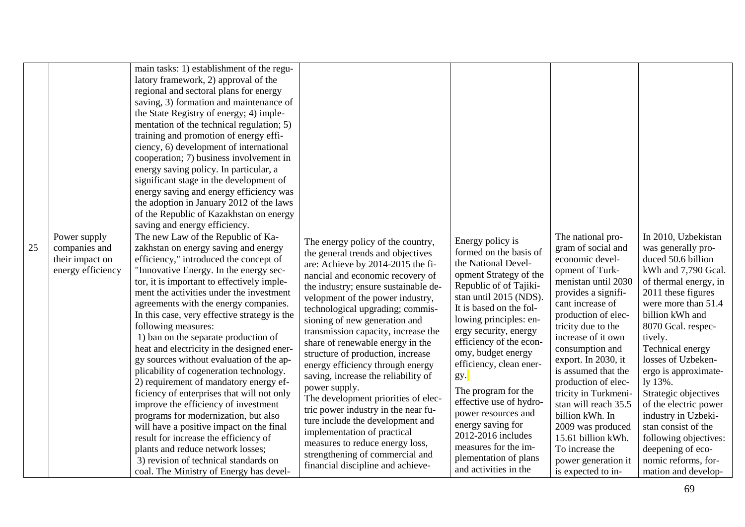| Power supply<br>companies and<br>25<br>their impact on<br>energy efficiency | main tasks: 1) establishment of the regu-<br>latory framework, 2) approval of the<br>regional and sectoral plans for energy<br>saving, 3) formation and maintenance of<br>the State Registry of energy; 4) imple-<br>mentation of the technical regulation; 5)<br>training and promotion of energy effi-<br>ciency, 6) development of international<br>cooperation; 7) business involvement in<br>energy saving policy. In particular, a<br>significant stage in the development of<br>energy saving and energy efficiency was<br>the adoption in January 2012 of the laws<br>of the Republic of Kazakhstan on energy<br>saving and energy efficiency.<br>The new Law of the Republic of Ka-<br>zakhstan on energy saving and energy<br>efficiency," introduced the concept of<br>"Innovative Energy. In the energy sec-<br>tor, it is important to effectively imple-<br>ment the activities under the investment<br>agreements with the energy companies.<br>In this case, very effective strategy is the<br>following measures:<br>1) ban on the separate production of<br>heat and electricity in the designed ener-<br>gy sources without evaluation of the ap-<br>plicability of cogeneration technology.<br>2) requirement of mandatory energy ef-<br>ficiency of enterprises that will not only<br>improve the efficiency of investment<br>programs for modernization, but also<br>will have a positive impact on the final<br>result for increase the efficiency of<br>plants and reduce network losses;<br>3) revision of technical standards on | The energy policy of the country,<br>the general trends and objectives<br>are: Achieve by 2014-2015 the fi-<br>nancial and economic recovery of<br>the industry; ensure sustainable de-<br>velopment of the power industry,<br>technological upgrading; commis-<br>sioning of new generation and<br>transmission capacity, increase the<br>share of renewable energy in the<br>structure of production, increase<br>energy efficiency through energy<br>saving, increase the reliability of<br>power supply.<br>The development priorities of elec-<br>tric power industry in the near fu-<br>ture include the development and<br>implementation of practical<br>measures to reduce energy loss,<br>strengthening of commercial and | Energy policy is<br>formed on the basis of<br>the National Devel-<br>opment Strategy of the<br>Republic of of Tajiki-<br>stan until 2015 (NDS).<br>It is based on the fol-<br>lowing principles: en-<br>ergy security, energy<br>efficiency of the econ-<br>omy, budget energy<br>efficiency, clean ener-<br>gy.<br>The program for the<br>effective use of hydro-<br>power resources and<br>energy saving for<br>2012-2016 includes<br>measures for the im-<br>plementation of plans | The national pro-<br>gram of social and<br>economic devel-<br>opment of Turk-<br>menistan until 2030<br>provides a signifi-<br>cant increase of<br>production of elec-<br>tricity due to the<br>increase of it own<br>consumption and<br>export. In 2030, it<br>is assumed that the<br>production of elec-<br>tricity in Turkmeni-<br>stan will reach 35.5<br>billion kWh. In<br>2009 was produced<br>15.61 billion kWh.<br>To increase the<br>power generation it | In 2010, Uzbekistan<br>was generally pro-<br>duced 50.6 billion<br>kWh and 7,790 Gcal.<br>of thermal energy, in<br>2011 these figures<br>were more than 51.4<br>billion kWh and<br>8070 Gcal. respec-<br>tively.<br>Technical energy<br>losses of Uzbeken-<br>ergo is approximate-<br>ly 13%.<br>Strategic objectives<br>of the electric power<br>industry in Uzbeki-<br>stan consist of the<br>following objectives:<br>deepening of eco-<br>nomic reforms, for- |
|-----------------------------------------------------------------------------|------------------------------------------------------------------------------------------------------------------------------------------------------------------------------------------------------------------------------------------------------------------------------------------------------------------------------------------------------------------------------------------------------------------------------------------------------------------------------------------------------------------------------------------------------------------------------------------------------------------------------------------------------------------------------------------------------------------------------------------------------------------------------------------------------------------------------------------------------------------------------------------------------------------------------------------------------------------------------------------------------------------------------------------------------------------------------------------------------------------------------------------------------------------------------------------------------------------------------------------------------------------------------------------------------------------------------------------------------------------------------------------------------------------------------------------------------------------------------------------------------------------------------------------------------------|-------------------------------------------------------------------------------------------------------------------------------------------------------------------------------------------------------------------------------------------------------------------------------------------------------------------------------------------------------------------------------------------------------------------------------------------------------------------------------------------------------------------------------------------------------------------------------------------------------------------------------------------------------------------------------------------------------------------------------------|---------------------------------------------------------------------------------------------------------------------------------------------------------------------------------------------------------------------------------------------------------------------------------------------------------------------------------------------------------------------------------------------------------------------------------------------------------------------------------------|--------------------------------------------------------------------------------------------------------------------------------------------------------------------------------------------------------------------------------------------------------------------------------------------------------------------------------------------------------------------------------------------------------------------------------------------------------------------|-------------------------------------------------------------------------------------------------------------------------------------------------------------------------------------------------------------------------------------------------------------------------------------------------------------------------------------------------------------------------------------------------------------------------------------------------------------------|
|-----------------------------------------------------------------------------|------------------------------------------------------------------------------------------------------------------------------------------------------------------------------------------------------------------------------------------------------------------------------------------------------------------------------------------------------------------------------------------------------------------------------------------------------------------------------------------------------------------------------------------------------------------------------------------------------------------------------------------------------------------------------------------------------------------------------------------------------------------------------------------------------------------------------------------------------------------------------------------------------------------------------------------------------------------------------------------------------------------------------------------------------------------------------------------------------------------------------------------------------------------------------------------------------------------------------------------------------------------------------------------------------------------------------------------------------------------------------------------------------------------------------------------------------------------------------------------------------------------------------------------------------------|-------------------------------------------------------------------------------------------------------------------------------------------------------------------------------------------------------------------------------------------------------------------------------------------------------------------------------------------------------------------------------------------------------------------------------------------------------------------------------------------------------------------------------------------------------------------------------------------------------------------------------------------------------------------------------------------------------------------------------------|---------------------------------------------------------------------------------------------------------------------------------------------------------------------------------------------------------------------------------------------------------------------------------------------------------------------------------------------------------------------------------------------------------------------------------------------------------------------------------------|--------------------------------------------------------------------------------------------------------------------------------------------------------------------------------------------------------------------------------------------------------------------------------------------------------------------------------------------------------------------------------------------------------------------------------------------------------------------|-------------------------------------------------------------------------------------------------------------------------------------------------------------------------------------------------------------------------------------------------------------------------------------------------------------------------------------------------------------------------------------------------------------------------------------------------------------------|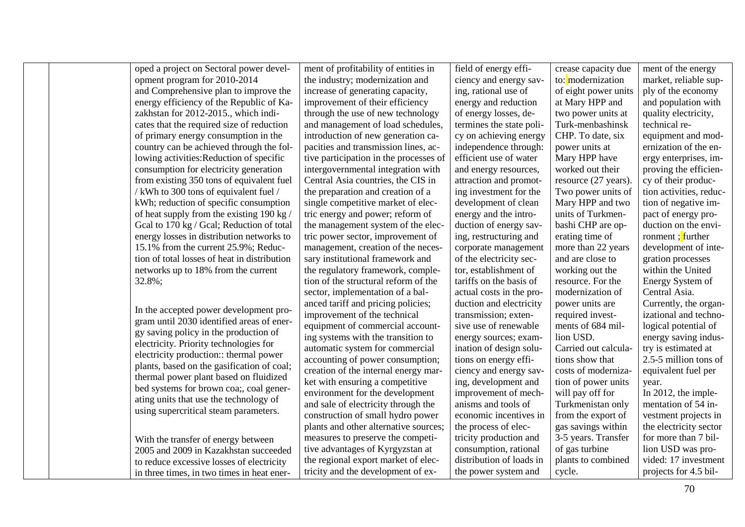oped a project on Sectoral power development program for 2010-2014 and Comprehensive plan to improve the energy efficiency of the Republic of Kazakhstan for 2012-2015., which indicates that the required size of reduction of primary energy consumption in the country can be achieved through the following activities:Reduction of specific consumption for electricity generation from existing 350 tons of equivalent fuel / kWh to 300 tons of equivalent fuel / kWh; reduction of specific consumption of heat supply from the existing 190 kg / Gcal to 170 kg / Gcal; Reduction of total energy losses in distribution networks to 15.1% from the current 25.9%; Reduction of total losses of heat in distribution networks up to 18% from the current 32.8%;

In the accepted power development program until 2030 identified areas of energy saving policy in the production of electricity. Priority technologies for electricity production:: thermal power plants, based on the gasification of coal; thermal power plant based on fluidized bed systems for brown coa;, coal generating units that use the technology of using supercritical steam parameters.

With the transfer of energy between 2005 and 2009 in Kazakhstan succeeded to reduce excessive losses of electricity in three times, in two times in heat ener-

ment of profitability of entities in the industry; modernization and increase of generating capacity, improvement of their efficiency through the use of new technology and management of load schedules, introduction of new generation capacities and transmission lines, active participation in the processes of intergovernmental integration with Central Asia countries, the CIS in the preparation and creation of a single competitive market of electric energy and power; reform of the management system of the electric power sector, improvement of management, creation of the necessary institutional framework and the regulatory framework, completion of the structural reform of the sector, implementation of a balanced tariff and pricing policies; improvement of the technical equipment of commercial accounting systems with the transition to automatic system for commercial accounting of power consumption; creation of the internal energy market with ensuring a competitive environment for the development and sale of electricity through the construction of small hydro power plants and other alternative sources; measures to preserve the competitive advantages of Kyrgyzstan at the regional export market of electricity and the development of ex-

field of energy efficiency and energy saving, rational use of energy and reduction of energy losses, determines the state policy on achieving energy independence through: efficient use of water and energy resources, attraction and promoting investment for the development of clean energy and the introduction of energy saving, restructuring and corporate management of the electricity sector, establishment of tariffs on the basis of actual costs in the production and electricity transmission; extensive use of renewable energy sources; examination of design solutions on energy efficiency and energy saving, development and improvement of mechanisms and tools of economic incentives in the process of electricity production and consumption, rational distribution of loads in the power system and

crease capacity due to: modernization of eight power units at Mary HPP and two power units at Turk-menbashinsk CHP. To date, six power units at Mary HPP have worked out their resource (27 years). Two power units of Mary HPP and two units of Turkmenbashi CHP are operating time of more than 22 years and are close to working out the resource. For the modernization of power units are required investments of 684 million USD. Carried out calculations show that costs of modernization of power units will pay off for Turkmenistan only from the export of gas savings within 3-5 years. Transfer of gas turbine plants to combined cycle. ment of the energy market, reliable supply of the economy and population with quality electricity, technical reequipment and modernization of the energy enterprises, improving the efficiency of their production activities, reduction of negative impact of energy production on the environment ; further development of integration processes within the United Energy System of Central Asia. Currently, the organizational and technological potential of energy saving industry is estimated at 2.5-5 million tons of equivalent fuel per year. In 2012, the implementation of 54 investment projects in the electricity sector for more than 7 billion USD was provided: 17 investment

70 projects for 4.5 bil-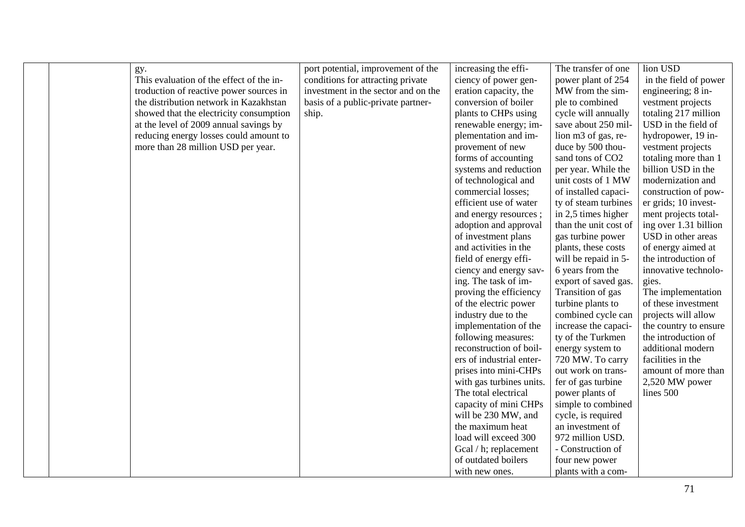| gy.<br>This evaluation of the effect of the in-<br>troduction of reactive power sources in<br>the distribution network in Kazakhstan<br>showed that the electricity consumption<br>at the level of 2009 annual savings by<br>reducing energy losses could amount to<br>more than 28 million USD per year. | port potential, improvement of the<br>conditions for attracting private<br>investment in the sector and on the<br>basis of a public-private partner-<br>ship. | increasing the effi-<br>ciency of power gen-<br>eration capacity, the<br>conversion of boiler<br>plants to CHPs using<br>renewable energy; im-<br>plementation and im-<br>provement of new<br>forms of accounting<br>systems and reduction<br>of technological and<br>commercial losses;<br>efficient use of water<br>and energy resources;<br>adoption and approval<br>of investment plans<br>and activities in the<br>field of energy effi-<br>ciency and energy sav-<br>ing. The task of im-<br>proving the efficiency<br>of the electric power<br>industry due to the<br>implementation of the<br>following measures:<br>reconstruction of boil-<br>ers of industrial enter-<br>prises into mini-CHPs<br>with gas turbines units.<br>The total electrical<br>capacity of mini CHPs<br>will be 230 MW, and<br>the maximum heat<br>load will exceed 300<br>Gcal / h; replacement | The transfer of one<br>power plant of 254<br>MW from the sim-<br>ple to combined<br>cycle will annually<br>save about 250 mil-<br>lion m3 of gas, re-<br>duce by 500 thou-<br>sand tons of CO2<br>per year. While the<br>unit costs of 1 MW<br>of installed capaci-<br>ty of steam turbines<br>in 2,5 times higher<br>than the unit cost of<br>gas turbine power<br>plants, these costs<br>will be repaid in 5-<br>6 years from the<br>export of saved gas.<br>Transition of gas<br>turbine plants to<br>combined cycle can<br>increase the capaci-<br>ty of the Turkmen<br>energy system to<br>720 MW. To carry<br>out work on trans-<br>fer of gas turbine<br>power plants of<br>simple to combined<br>cycle, is required<br>an investment of<br>972 million USD.<br>- Construction of | lion USD<br>in the field of power<br>engineering; 8 in-<br>vestment projects<br>totaling 217 million<br>USD in the field of<br>hydropower, 19 in-<br>vestment projects<br>totaling more than 1<br>billion USD in the<br>modernization and<br>construction of pow-<br>er grids; 10 invest-<br>ment projects total-<br>ing over 1.31 billion<br>USD in other areas<br>of energy aimed at<br>the introduction of<br>innovative technolo-<br>gies.<br>The implementation<br>of these investment<br>projects will allow<br>the country to ensure<br>the introduction of<br>additional modern<br>facilities in the<br>amount of more than<br>2,520 MW power<br>lines 500 |
|-----------------------------------------------------------------------------------------------------------------------------------------------------------------------------------------------------------------------------------------------------------------------------------------------------------|---------------------------------------------------------------------------------------------------------------------------------------------------------------|------------------------------------------------------------------------------------------------------------------------------------------------------------------------------------------------------------------------------------------------------------------------------------------------------------------------------------------------------------------------------------------------------------------------------------------------------------------------------------------------------------------------------------------------------------------------------------------------------------------------------------------------------------------------------------------------------------------------------------------------------------------------------------------------------------------------------------------------------------------------------------|------------------------------------------------------------------------------------------------------------------------------------------------------------------------------------------------------------------------------------------------------------------------------------------------------------------------------------------------------------------------------------------------------------------------------------------------------------------------------------------------------------------------------------------------------------------------------------------------------------------------------------------------------------------------------------------------------------------------------------------------------------------------------------------|--------------------------------------------------------------------------------------------------------------------------------------------------------------------------------------------------------------------------------------------------------------------------------------------------------------------------------------------------------------------------------------------------------------------------------------------------------------------------------------------------------------------------------------------------------------------------------------------------------------------------------------------------------------------|
|                                                                                                                                                                                                                                                                                                           |                                                                                                                                                               | of outdated boilers                                                                                                                                                                                                                                                                                                                                                                                                                                                                                                                                                                                                                                                                                                                                                                                                                                                                | four new power                                                                                                                                                                                                                                                                                                                                                                                                                                                                                                                                                                                                                                                                                                                                                                           |                                                                                                                                                                                                                                                                                                                                                                                                                                                                                                                                                                                                                                                                    |

with new ones.

plants with a com-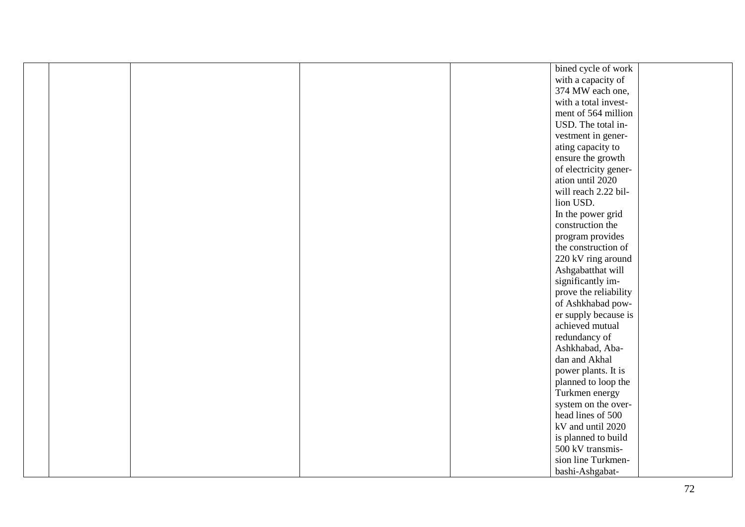|  | bined cycle of work                   |
|--|---------------------------------------|
|  | with a capacity of                    |
|  | 374 MW each one,                      |
|  | with a total invest-                  |
|  | ment of 564 million                   |
|  | USD. The total in-                    |
|  | vestment in gener-                    |
|  | ating capacity to                     |
|  | ensure the growth                     |
|  | of electricity gener-                 |
|  | ation until 2020                      |
|  | will reach 2.22 bil-                  |
|  | lion USD.                             |
|  |                                       |
|  | In the power grid<br>construction the |
|  |                                       |
|  | program provides                      |
|  | the construction of                   |
|  | 220 kV ring around                    |
|  | Ashgabatthat will                     |
|  | significantly im-                     |
|  | prove the reliability                 |
|  | of Ashkhabad pow-                     |
|  | er supply because is                  |
|  | achieved mutual                       |
|  | redundancy of                         |
|  | Ashkhabad, Aba-                       |
|  | dan and Akhal                         |
|  | power plants. It is                   |
|  | planned to loop the                   |
|  | Turkmen energy                        |
|  | system on the over-                   |
|  | head lines of 500                     |
|  | kV and until 2020                     |
|  | is planned to build                   |
|  | 500 kV transmis-                      |
|  | sion line Turkmen-                    |
|  | bashi-Ashgabat-                       |